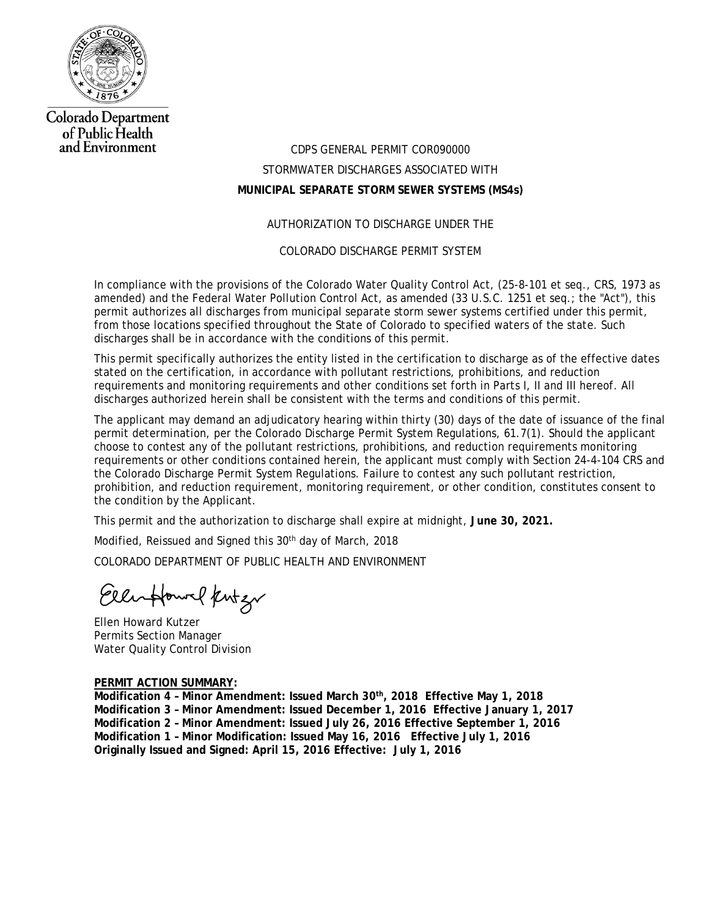

**Colorado Department** of Public Health and Environment

# CDPS GENERAL PERMIT COR090000 STORMWATER DISCHARGES ASSOCIATED WITH **MUNICIPAL SEPARATE STORM SEWER SYSTEMS (MS4s)**

#### AUTHORIZATION TO DISCHARGE UNDER THE

COLORADO DISCHARGE PERMIT SYSTEM

In compliance with the provisions of the Colorado Water Quality Control Act, (25-8-101 et seq., CRS, 1973 as amended) and the Federal Water Pollution Control Act, as amended (33 U.S.C. 1251 et seq.; the "Act"), this permit authorizes all discharges from municipal separate storm sewer systems certified under this permit, from those locations specified throughout the State of Colorado to specified waters of the state. Such discharges shall be in accordance with the conditions of this permit.

This permit specifically authorizes the entity listed in the certification to discharge as of the effective dates stated on the certification, in accordance with pollutant restrictions, prohibitions, and reduction requirements and monitoring requirements and other conditions set forth in Parts I, II and III hereof. All discharges authorized herein shall be consistent with the terms and conditions of this permit.

The applicant may demand an adjudicatory hearing within thirty (30) days of the date of issuance of the final permit determination, per the Colorado Discharge Permit System Regulations, 61.7(1). Should the applicant choose to contest any of the pollutant restrictions, prohibitions, and reduction requirements monitoring requirements or other conditions contained herein, the applicant must comply with Section 24-4-104 CRS and the Colorado Discharge Permit System Regulations. Failure to contest any such pollutant restriction, prohibition, and reduction requirement, monitoring requirement, or other condition, constitutes consent to the condition by the Applicant.

This permit and the authorization to discharge shall expire at midnight, **June 30, 2021.**

Modified, Reissued and Signed this 30<sup>th</sup> day of March, 2018

COLORADO DEPARTMENT OF PUBLIC HEALTH AND ENVIRONMENT

Eller Howel Kentzw

Ellen Howard Kutzer Permits Section Manager Water Quality Control Division

#### **PERMIT ACTION SUMMARY:**

Modification 4 - Minor Amendment: Issued March 30<sup>th</sup>, 2018 Effective May 1, 2018 **Modification 3 – Minor Amendment: Issued December 1, 2016 Effective January 1, 2017 Modification 2 – Minor Amendment: Issued July 26, 2016 Effective September 1, 2016 Modification 1 – Minor Modification: Issued May 16, 2016 Effective July 1, 2016 Originally Issued and Signed: April 15, 2016 Effective: July 1, 2016**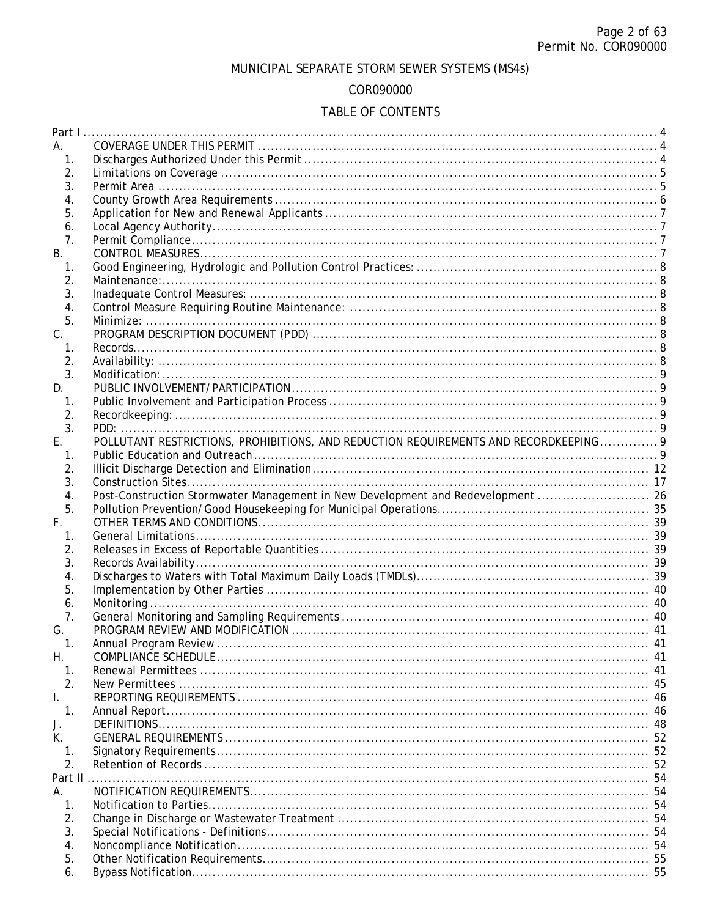# MUNICIPAL SEPARATE STORM SEWER SYSTEMS (MS4s)

### COR090000

# TABLE OF CONTENTS

| А.             |                                                                                      |    |
|----------------|--------------------------------------------------------------------------------------|----|
| 1.             |                                                                                      |    |
| 2.             |                                                                                      |    |
| 3.             |                                                                                      |    |
| 4.             |                                                                                      |    |
| 5.             |                                                                                      |    |
| 6.             |                                                                                      |    |
| 7.             |                                                                                      |    |
| B.             |                                                                                      |    |
|                |                                                                                      |    |
| $\mathbf{1}$ . |                                                                                      |    |
| 2.             |                                                                                      |    |
| 3.             |                                                                                      |    |
| 4.             |                                                                                      |    |
| 5.             |                                                                                      |    |
| C.             |                                                                                      |    |
| 1.             |                                                                                      |    |
| 2.             |                                                                                      |    |
| 3.             |                                                                                      |    |
| D.             |                                                                                      |    |
| 1.             |                                                                                      |    |
| 2.             |                                                                                      |    |
| 3.             |                                                                                      |    |
| E.             | POLLUTANT RESTRICTIONS, PROHIBITIONS, AND REDUCTION REQUIREMENTS AND RECORDKEEPING 9 |    |
| 1.             |                                                                                      |    |
| 2.             |                                                                                      |    |
| 3.             |                                                                                      |    |
| 4.             | Post-Construction Stormwater Management in New Development and Redevelopment  26     |    |
|                |                                                                                      |    |
|                |                                                                                      |    |
| 5.             |                                                                                      |    |
| F.             |                                                                                      |    |
| 1.             |                                                                                      |    |
| 2.             |                                                                                      |    |
| 3.             |                                                                                      |    |
| 4.             |                                                                                      |    |
| 5.             |                                                                                      |    |
| 6.             |                                                                                      |    |
| 7.             |                                                                                      |    |
| G.             |                                                                                      |    |
| $\mathbf 1$ .  | Annual Program Review                                                                | 41 |
| Н.             |                                                                                      |    |
| 1.             |                                                                                      |    |
| 2.             |                                                                                      |    |
| I.             |                                                                                      |    |
| 1.             |                                                                                      |    |
| J.             |                                                                                      |    |
| К.             |                                                                                      |    |
| 1.             |                                                                                      |    |
| 2.             |                                                                                      |    |
| Part II        |                                                                                      |    |
| А.             |                                                                                      |    |
| 1.             |                                                                                      |    |
| 2.             |                                                                                      |    |
| 3.             |                                                                                      |    |
| 4.             |                                                                                      |    |
| 5.             |                                                                                      |    |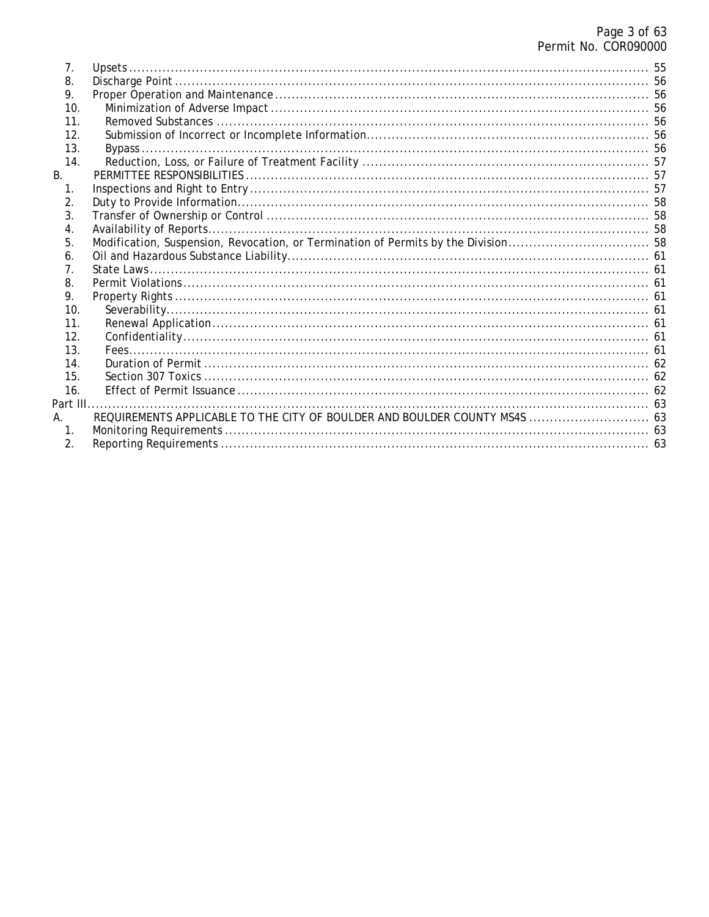| 7.             |                                                                            |  |
|----------------|----------------------------------------------------------------------------|--|
| 8.             |                                                                            |  |
| 9.             |                                                                            |  |
| 10.            |                                                                            |  |
| 11.            |                                                                            |  |
| 12.            |                                                                            |  |
| 13.            |                                                                            |  |
| 14.            |                                                                            |  |
| Β.             |                                                                            |  |
| 1.             |                                                                            |  |
| 2.             |                                                                            |  |
| 3.             |                                                                            |  |
| 4.             |                                                                            |  |
| 5.             |                                                                            |  |
| 6.             |                                                                            |  |
| 7.             |                                                                            |  |
| 8.             |                                                                            |  |
| 9.             |                                                                            |  |
| 10.            |                                                                            |  |
| 11.            |                                                                            |  |
| 12.            |                                                                            |  |
| 13.            |                                                                            |  |
| 14.            |                                                                            |  |
| 15.            |                                                                            |  |
| 16.            |                                                                            |  |
| Part III       |                                                                            |  |
| А.             | REQUIREMENTS APPLICABLE TO THE CITY OF BOULDER AND BOULDER COUNTY MS4S  63 |  |
| $\mathbf{1}$ . |                                                                            |  |
| 2.             |                                                                            |  |
|                |                                                                            |  |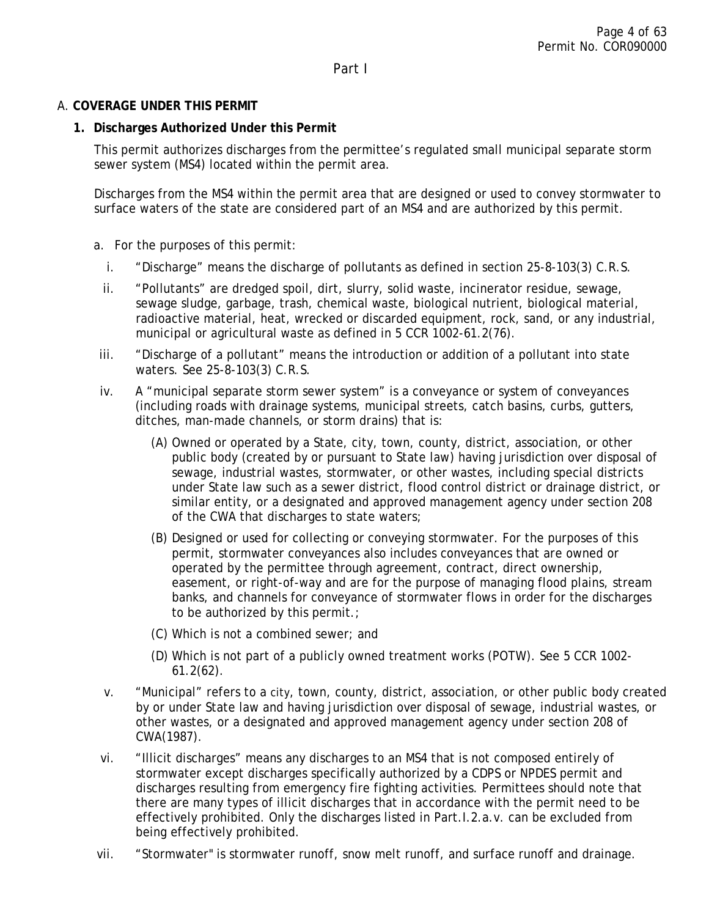## <span id="page-3-2"></span><span id="page-3-1"></span><span id="page-3-0"></span>A. **COVERAGE UNDER THIS PERMIT**

### **1. Discharges Authorized Under this Permit**

This permit authorizes discharges from the permittee's regulated small municipal separate storm sewer system (MS4) located within the permit area.

Discharges from the MS4 within the permit area that are designed or used to convey stormwater to surface waters of the state are considered part of an MS4 and are authorized by this permit.

- a. For the purposes of this permit:
	- i. "Discharge" means the discharge of pollutants as defined in section 25-8-103(3) C.R.S.
	- ii. "Pollutants" are dredged spoil, dirt, slurry, solid waste, incinerator residue, sewage, sewage sludge, garbage, trash, chemical waste, biological nutrient, biological material, radioactive material, heat, wrecked or discarded equipment, rock, sand, or any industrial, municipal or agricultural waste as defined in 5 CCR 1002-61.2(76).
- iii. "Discharge of a pollutant" means the introduction or addition of a pollutant into state waters. See 25-8-103(3) C.R.S.
- iv. A "municipal separate storm sewer system" is a conveyance or system of conveyances (including roads with drainage systems, municipal streets, catch basins, curbs, gutters, ditches, man-made channels, or storm drains) that is:
	- (A) Owned or operated by a State, city, town, county, district, association, or other public body (created by or pursuant to State law) having jurisdiction over disposal of sewage, industrial wastes, stormwater, or other wastes, including special districts under State law such as a sewer district, flood control district or drainage district, or similar entity, or a designated and approved management agency under section 208 of the CWA that discharges to state waters;
	- (B) Designed or used for collecting or conveying stormwater. For the purposes of this permit, stormwater conveyances also includes conveyances that are owned or operated by the permittee through agreement, contract, direct ownership, easement, or right-of-way and are for the purpose of managing flood plains, stream banks, and channels for conveyance of stormwater flows in order for the discharges to be authorized by this permit.;
	- (C) Which is not a combined sewer; and
	- (D) Which is not part of a publicly owned treatment works (POTW). See 5 CCR 1002- 61.2(62).
- v. "Municipal" refers to a city, town, county, district, association, or other public body created by or under State law and having jurisdiction over disposal of sewage, industrial wastes, or other wastes, or a designated and approved management agency under section 208 of CWA(1987).
- vi. "Illicit discharges" means any discharges to an MS4 that is not composed entirely of stormwater except discharges specifically authorized by a CDPS or NPDES permit and discharges resulting from emergency fire fighting activities. Permittees should note that there are many types of illicit discharges that in accordance with the permit need to be effectively prohibited. Only the discharges listed in Part.I.2.a.v. can be excluded from being effectively prohibited.
- vii. "Stormwater" is stormwater runoff, snow melt runoff, and surface runoff and drainage.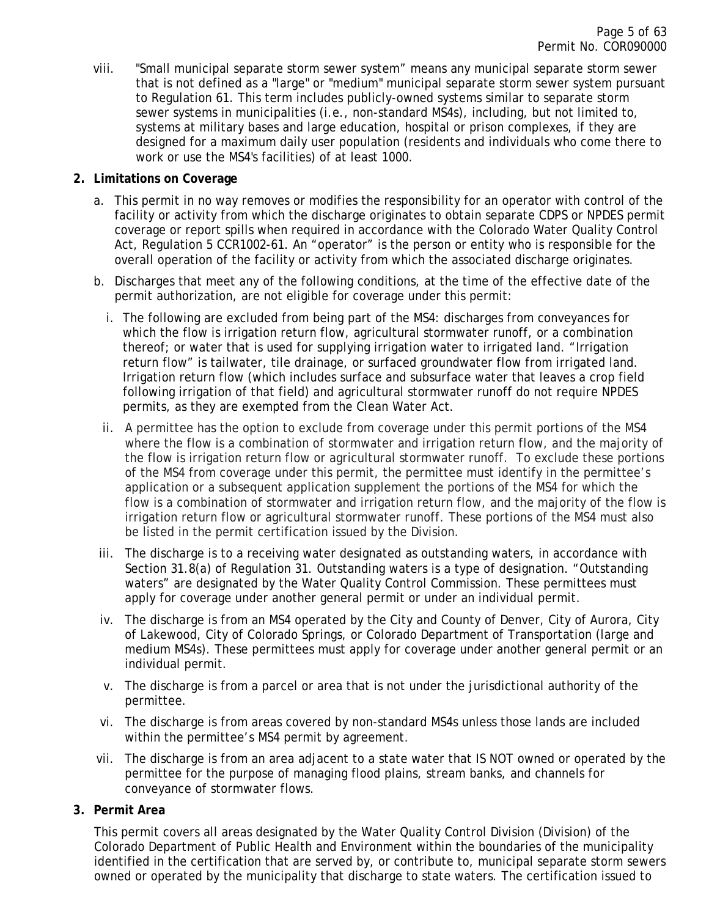viii. "Small municipal separate storm sewer system" means any municipal separate storm sewer that is not defined as a "large" or "medium" municipal separate storm sewer system pursuant to Regulation 61. This term includes publicly-owned systems similar to separate storm sewer systems in municipalities (i.e., non-standard MS4s), including, but not limited to, systems at military bases and large education, hospital or prison complexes, if they are designed for a maximum daily user population (residents and individuals who come there to work or use the MS4's facilities) of at least 1000.

### <span id="page-4-0"></span>**2. Limitations on Coverage**

- a. This permit in no way removes or modifies the responsibility for an operator with control of the facility or activity from which the discharge originates to obtain separate CDPS or NPDES permit coverage or report spills when required in accordance with the Colorado Water Quality Control Act, Regulation 5 CCR1002-61. An "operator" is the person or entity who is responsible for the overall operation of the facility or activity from which the associated discharge originates.
- b. Discharges that meet any of the following conditions, at the time of the effective date of the permit authorization, are not eligible for coverage under this permit:
	- i. The following are excluded from being part of the MS4: discharges from conveyances for which the flow is irrigation return flow, agricultural stormwater runoff, or a combination thereof; or water that is used for supplying irrigation water to irrigated land. "Irrigation return flow" is tailwater, tile drainage, or surfaced groundwater flow from irrigated land. Irrigation return flow (which includes surface and subsurface water that leaves a crop field following irrigation of that field) and agricultural stormwater runoff do not require NPDES permits, as they are exempted from the Clean Water Act.
	- ii. A permittee has the option to exclude from coverage under this permit portions of the MS4 where the flow is a combination of stormwater and irrigation return flow, and the majority of the flow is irrigation return flow or agricultural stormwater runoff. To exclude these portions of the MS4 from coverage under this permit, the permittee must identify in the permittee's application or a subsequent application supplement the portions of the MS4 for which the flow is a combination of stormwater and irrigation return flow, and the majority of the flow is irrigation return flow or agricultural stormwater runoff. These portions of the MS4 must also be listed in the permit certification issued by the Division.
- iii. The discharge is to a receiving water designated as outstanding waters, in accordance with Section 31.8(a) of Regulation 31. Outstanding waters is a type of designation. "Outstanding waters" are designated by the Water Quality Control Commission. These permittees must apply for coverage under another general permit or under an individual permit.
- iv. The discharge is from an MS4 operated by the City and County of Denver, City of Aurora, City of Lakewood, City of Colorado Springs, or Colorado Department of Transportation (large and medium MS4s). These permittees must apply for coverage under another general permit or an individual permit.
- v. The discharge is from a parcel or area that is not under the jurisdictional authority of the permittee.
- vi. The discharge is from areas covered by non-standard MS4s unless those lands are included within the permittee's MS4 permit by agreement.
- vii. The discharge is from an area adjacent to a state water that IS NOT owned or operated by the permittee for the purpose of managing flood plains, stream banks, and channels for conveyance of stormwater flows.

### <span id="page-4-1"></span>**3. Permit Area**

This permit covers all areas designated by the Water Quality Control Division (Division) of the Colorado Department of Public Health and Environment within the boundaries of the municipality identified in the certification that are served by, or contribute to, municipal separate storm sewers owned or operated by the municipality that discharge to state waters. The certification issued to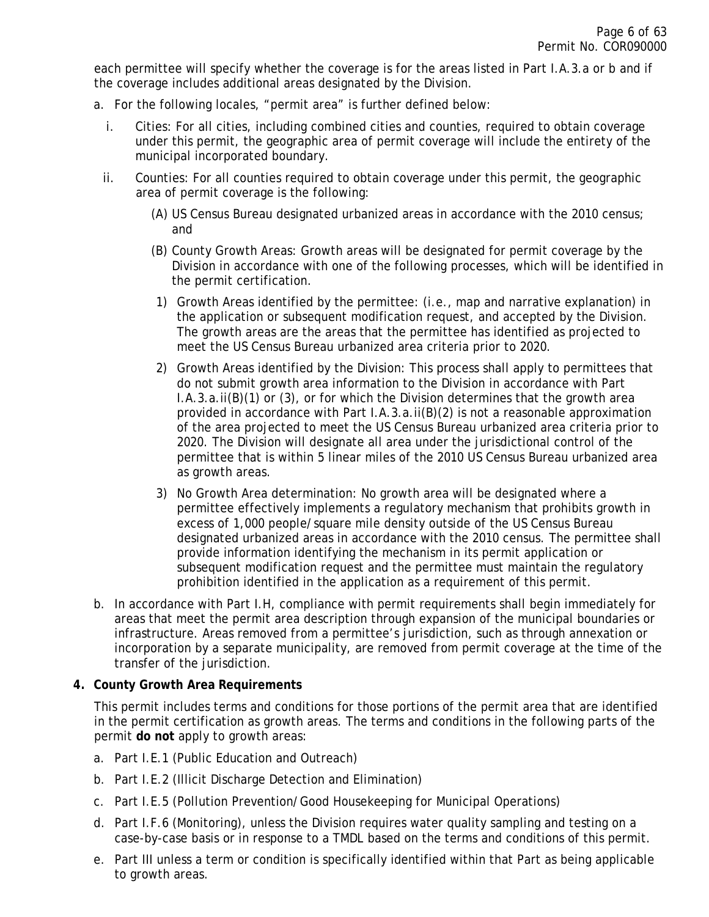each permittee will specify whether the coverage is for the areas listed in Part I.A.3.a or b and if the coverage includes additional areas designated by the Division.

- a. For the following locales, "permit area" is further defined below:
	- i. Cities: For all cities, including combined cities and counties, required to obtain coverage under this permit, the geographic area of permit coverage will include the entirety of the municipal incorporated boundary.
	- ii. Counties: For all counties required to obtain coverage under this permit, the geographic area of permit coverage is the following:
		- (A) US Census Bureau designated urbanized areas in accordance with the 2010 census; and
		- (B) County Growth Areas: Growth areas will be designated for permit coverage by the Division in accordance with one of the following processes, which will be identified in the permit certification.
		- 1) Growth Areas identified by the permittee: (i.e., map and narrative explanation) in the application or subsequent modification request, and accepted by the Division. The growth areas are the areas that the permittee has identified as projected to meet the US Census Bureau urbanized area criteria prior to 2020.
		- 2) Growth Areas identified by the Division: This process shall apply to permittees that do not submit growth area information to the Division in accordance with Part I.A.3.a.ii(B)(1) or (3), or for which the Division determines that the growth area provided in accordance with Part I.A.3.a.ii(B)(2) is not a reasonable approximation of the area projected to meet the US Census Bureau urbanized area criteria prior to 2020. The Division will designate all area under the jurisdictional control of the permittee that is within 5 linear miles of the 2010 US Census Bureau urbanized area as growth areas.
		- 3) No Growth Area determination: No growth area will be designated where a permittee effectively implements a regulatory mechanism that prohibits growth in excess of 1,000 people/square mile density outside of the US Census Bureau designated urbanized areas in accordance with the 2010 census. The permittee shall provide information identifying the mechanism in its permit application or subsequent modification request and the permittee must maintain the regulatory prohibition identified in the application as a requirement of this permit.
- b. In accordance with Part I.H, compliance with permit requirements shall begin immediately for areas that meet the permit area description through expansion of the municipal boundaries or infrastructure. Areas removed from a permittee's jurisdiction, such as through annexation or incorporation by a separate municipality, are removed from permit coverage at the time of the transfer of the jurisdiction.

### <span id="page-5-0"></span>**4. County Growth Area Requirements**

This permit includes terms and conditions for those portions of the permit area that are identified in the permit certification as growth areas. The terms and conditions in the following parts of the permit **do not** apply to growth areas:

- a. Part I.E.1 (Public Education and Outreach)
- b. Part I.E.2 (Illicit Discharge Detection and Elimination)
- c. Part I.E.5 (Pollution Prevention/Good Housekeeping for Municipal Operations)
- d. Part I.F.6 (Monitoring), unless the Division requires water quality sampling and testing on a case-by-case basis or in response to a TMDL based on the terms and conditions of this permit.
- e. Part III unless a term or condition is specifically identified within that Part as being applicable to growth areas.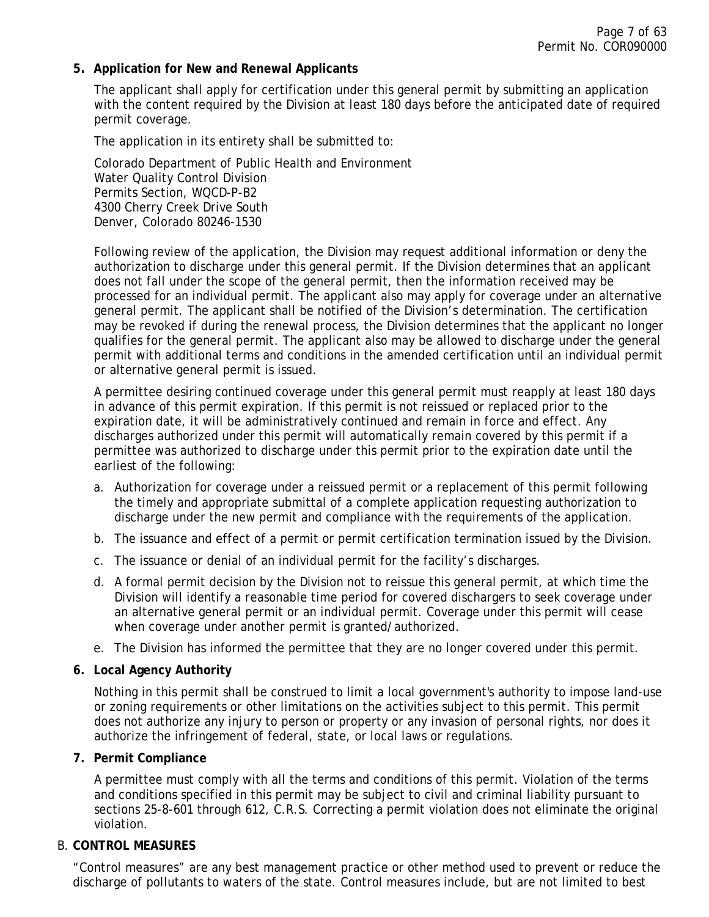### <span id="page-6-0"></span>**5. Application for New and Renewal Applicants**

The applicant shall apply for certification under this general permit by submitting an application with the content required by the Division at least 180 days before the anticipated date of required permit coverage.

The application in its entirety shall be submitted to:

Colorado Department of Public Health and Environment Water Quality Control Division Permits Section, WQCD-P-B2 4300 Cherry Creek Drive South Denver, Colorado 80246-1530

Following review of the application, the Division may request additional information or deny the authorization to discharge under this general permit. If the Division determines that an applicant does not fall under the scope of the general permit, then the information received may be processed for an individual permit. The applicant also may apply for coverage under an alternative general permit. The applicant shall be notified of the Division's determination. The certification may be revoked if during the renewal process, the Division determines that the applicant no longer qualifies for the general permit. The applicant also may be allowed to discharge under the general permit with additional terms and conditions in the amended certification until an individual permit or alternative general permit is issued.

A permittee desiring continued coverage under this general permit must reapply at least 180 days in advance of this permit expiration. If this permit is not reissued or replaced prior to the expiration date, it will be administratively continued and remain in force and effect. Any discharges authorized under this permit will automatically remain covered by this permit if a permittee was authorized to discharge under this permit prior to the expiration date until the earliest of the following:

- a. Authorization for coverage under a reissued permit or a replacement of this permit following the timely and appropriate submittal of a complete application requesting authorization to discharge under the new permit and compliance with the requirements of the application.
- b. The issuance and effect of a permit or permit certification termination issued by the Division.
- c. The issuance or denial of an individual permit for the facility's discharges.
- d. A formal permit decision by the Division not to reissue this general permit, at which time the Division will identify a reasonable time period for covered dischargers to seek coverage under an alternative general permit or an individual permit. Coverage under this permit will cease when coverage under another permit is granted/authorized.
- e. The Division has informed the permittee that they are no longer covered under this permit.

#### <span id="page-6-1"></span>**6. Local Agency Authority**

Nothing in this permit shall be construed to limit a local government's authority to impose land-use or zoning requirements or other limitations on the activities subject to this permit. This permit does not authorize any injury to person or property or any invasion of personal rights, nor does it authorize the infringement of federal, state, or local laws or regulations.

#### <span id="page-6-2"></span>**7. Permit Compliance**

A permittee must comply with all the terms and conditions of this permit. Violation of the terms and conditions specified in this permit may be subject to civil and criminal liability pursuant to sections 25-8-601 through 612, C.R.S. Correcting a permit violation does not eliminate the original violation.

#### <span id="page-6-3"></span>B. **CONTROL MEASURES**

"Control measures" are any best management practice or other method used to prevent or reduce the discharge of pollutants to waters of the state. Control measures include, but are not limited to best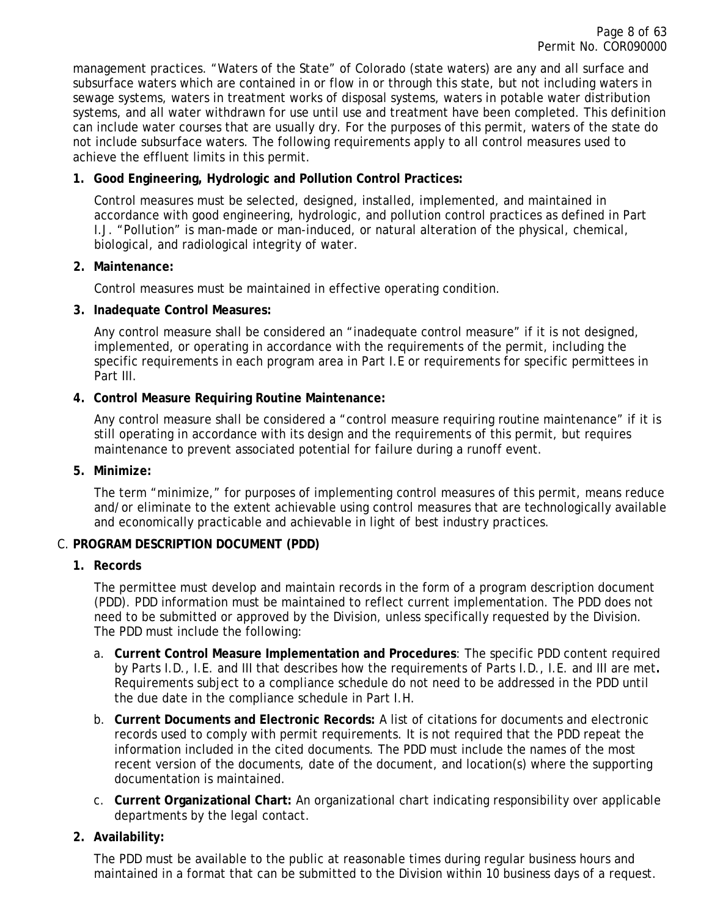management practices. "Waters of the State" of Colorado (state waters) are any and all surface and subsurface waters which are contained in or flow in or through this state, but not including waters in sewage systems, waters in treatment works of disposal systems, waters in potable water distribution systems, and all water withdrawn for use until use and treatment have been completed. This definition can include water courses that are usually dry. For the purposes of this permit, waters of the state do not include subsurface waters. The following requirements apply to all control measures used to achieve the effluent limits in this permit.

# <span id="page-7-0"></span>**1. Good Engineering, Hydrologic and Pollution Control Practices:**

Control measures must be selected, designed, installed, implemented, and maintained in accordance with good engineering, hydrologic, and pollution control practices as defined in Part I.J. "Pollution" is man-made or man-induced, or natural alteration of the physical, chemical, biological, and radiological integrity of water.

### <span id="page-7-1"></span>**2. Maintenance:**

Control measures must be maintained in effective operating condition.

### <span id="page-7-2"></span>**3. Inadequate Control Measures:**

Any control measure shall be considered an "inadequate control measure" if it is not designed, implemented, or operating in accordance with the requirements of the permit, including the specific requirements in each program area in Part I.E or requirements for specific permittees in Part III.

### <span id="page-7-3"></span>**4. Control Measure Requiring Routine Maintenance:**

Any control measure shall be considered a "control measure requiring routine maintenance" if it is still operating in accordance with its design and the requirements of this permit, but requires maintenance to prevent associated potential for failure during a runoff event.

### <span id="page-7-4"></span>**5. Minimize:**

The term "minimize," for purposes of implementing control measures of this permit, means reduce and/or eliminate to the extent achievable using control measures that are technologically available and economically practicable and achievable in light of best industry practices.

### <span id="page-7-6"></span><span id="page-7-5"></span>C. **PROGRAM DESCRIPTION DOCUMENT (PDD)**

### **1. Records**

The permittee must develop and maintain records in the form of a program description document (PDD). PDD information must be maintained to reflect current implementation. The PDD does not need to be submitted or approved by the Division, unless specifically requested by the Division. The PDD must include the following:

- a. **Current Control Measure Implementation and Procedures**: The specific PDD content required by Parts I.D., I.E. and III that describes how the requirements of Parts I.D., I.E. and III are met**.** Requirements subject to a compliance schedule do not need to be addressed in the PDD until the due date in the compliance schedule in Part I.H.
- b. **Current Documents and Electronic Records:** A list of citations for documents and electronic records used to comply with permit requirements. It is not required that the PDD repeat the information included in the cited documents. The PDD must include the names of the most recent version of the documents, date of the document, and location(s) where the supporting documentation is maintained.
- c. **Current Organizational Chart:** An organizational chart indicating responsibility over applicable departments by the legal contact.

### <span id="page-7-7"></span>**2. Availability:**

The PDD must be available to the public at reasonable times during regular business hours and maintained in a format that can be submitted to the Division within 10 business days of a request.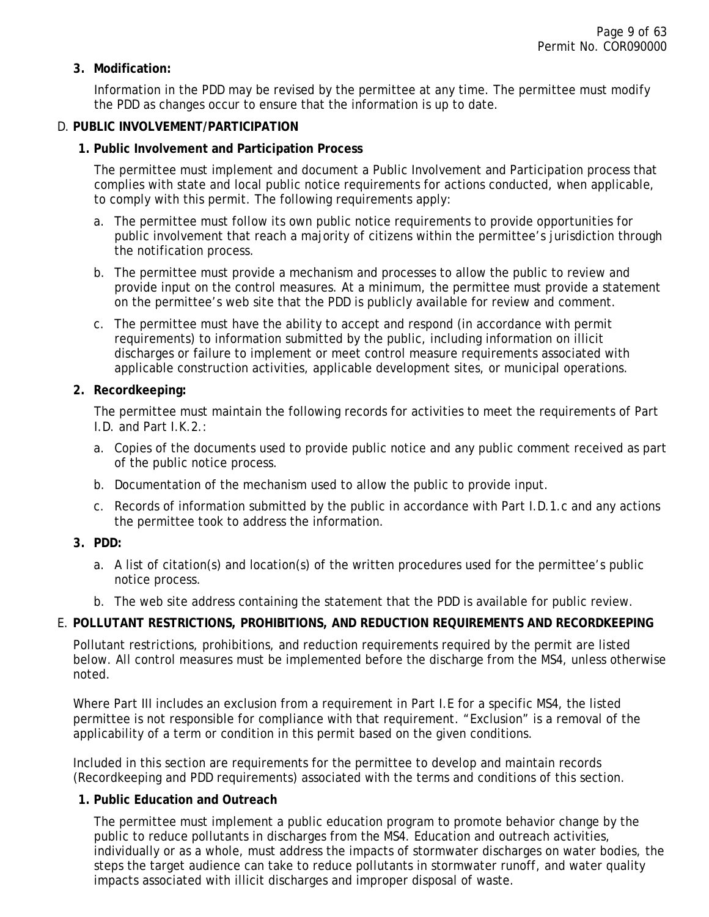### <span id="page-8-0"></span>**3. Modification:**

Information in the PDD may be revised by the permittee at any time. The permittee must modify the PDD as changes occur to ensure that the information is up to date.

#### <span id="page-8-2"></span><span id="page-8-1"></span>D. **PUBLIC INVOLVEMENT/PARTICIPATION**

#### **1. Public Involvement and Participation Process**

The permittee must implement and document a Public Involvement and Participation process that complies with state and local public notice requirements for actions conducted, when applicable, to comply with this permit. The following requirements apply:

- a. The permittee must follow its own public notice requirements to provide opportunities for public involvement that reach a majority of citizens within the permittee's jurisdiction through the notification process.
- b. The permittee must provide a mechanism and processes to allow the public to review and provide input on the control measures. At a minimum, the permittee must provide a statement on the permittee's web site that the PDD is publicly available for review and comment.
- c. The permittee must have the ability to accept and respond (in accordance with permit requirements) to information submitted by the public, including information on illicit discharges or failure to implement or meet control measure requirements associated with applicable construction activities, applicable development sites, or municipal operations.

### <span id="page-8-3"></span>**2. Recordkeeping:**

The permittee must maintain the following records for activities to meet the requirements of Part I.D. and Part I.K.2.:

- a. Copies of the documents used to provide public notice and any public comment received as part of the public notice process.
- b. Documentation of the mechanism used to allow the public to provide input.
- c. Records of information submitted by the public in accordance with Part I.D.1.c and any actions the permittee took to address the information.

### <span id="page-8-4"></span>**3. PDD:**

- a. A list of citation(s) and location(s) of the written procedures used for the permittee's public notice process.
- b. The web site address containing the statement that the PDD is available for public review.

### <span id="page-8-5"></span>E. **POLLUTANT RESTRICTIONS, PROHIBITIONS, AND REDUCTION REQUIREMENTS AND RECORDKEEPING**

Pollutant restrictions, prohibitions, and reduction requirements required by the permit are listed below. All control measures must be implemented before the discharge from the MS4, unless otherwise noted.

Where Part III includes an exclusion from a requirement in Part I.E for a specific MS4, the listed permittee is not responsible for compliance with that requirement. "Exclusion" is a removal of the applicability of a term or condition in this permit based on the given conditions.

Included in this section are requirements for the permittee to develop and maintain records (Recordkeeping and PDD requirements) associated with the terms and conditions of this section.

#### <span id="page-8-6"></span>**1. Public Education and Outreach**

The permittee must implement a public education program to promote behavior change by the public to reduce pollutants in discharges from the MS4. Education and outreach activities, individually or as a whole, must address the impacts of stormwater discharges on water bodies, the steps the target audience can take to reduce pollutants in stormwater runoff, and water quality impacts associated with illicit discharges and improper disposal of waste.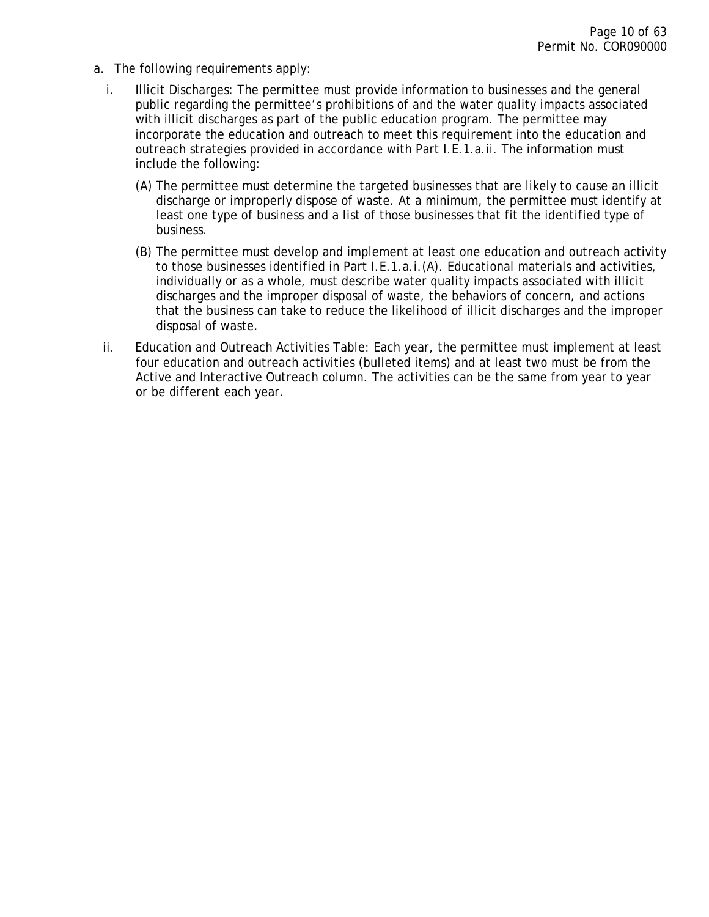- a. The following requirements apply:
	- i. Illicit Discharges: The permittee must provide information to businesses and the general public regarding the permittee's prohibitions of and the water quality impacts associated with illicit discharges as part of the public education program. The permittee may incorporate the education and outreach to meet this requirement into the education and outreach strategies provided in accordance with Part I.E.1.a.ii. The information must include the following:
		- (A) The permittee must determine the targeted businesses that are likely to cause an illicit discharge or improperly dispose of waste. At a minimum, the permittee must identify at least one type of business and a list of those businesses that fit the identified type of business.
		- (B) The permittee must develop and implement at least one education and outreach activity to those businesses identified in Part I.E.1.a.i.(A). Educational materials and activities, individually or as a whole, must describe water quality impacts associated with illicit discharges and the improper disposal of waste, the behaviors of concern, and actions that the business can take to reduce the likelihood of illicit discharges and the improper disposal of waste.
	- ii. Education and Outreach Activities Table: Each year, the permittee must implement at least four education and outreach activities (bulleted items) and at least two must be from the Active and Interactive Outreach column. The activities can be the same from year to year or be different each year.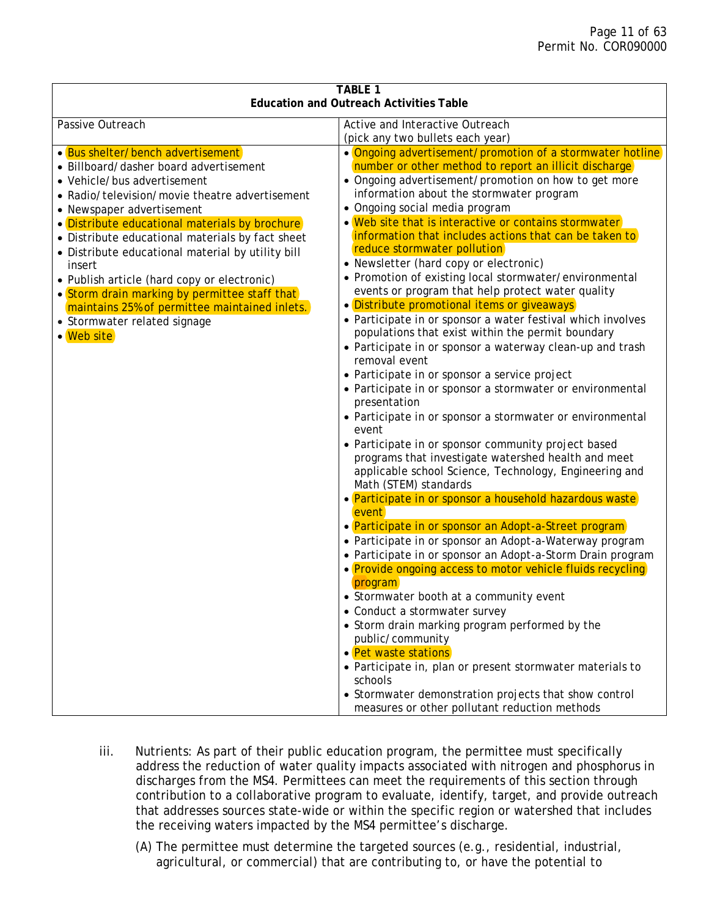| <b>TABLE 1</b><br><b>Education and Outreach Activities Table</b>                                                                                                                                                                                                                                                                                                                                                                                                                                                                                              |                                                                                                                                                                                                                                                                                                                                                                                                                                                                                                                                                                                                                                                                                                                                                                                                                                                                                                                                                                                                                                                                                                                                                                                                                                                                                                                                                                                                                                                                                                                                                                                                                                                                                                                                                                                                                                                                                                                      |  |  |  |
|---------------------------------------------------------------------------------------------------------------------------------------------------------------------------------------------------------------------------------------------------------------------------------------------------------------------------------------------------------------------------------------------------------------------------------------------------------------------------------------------------------------------------------------------------------------|----------------------------------------------------------------------------------------------------------------------------------------------------------------------------------------------------------------------------------------------------------------------------------------------------------------------------------------------------------------------------------------------------------------------------------------------------------------------------------------------------------------------------------------------------------------------------------------------------------------------------------------------------------------------------------------------------------------------------------------------------------------------------------------------------------------------------------------------------------------------------------------------------------------------------------------------------------------------------------------------------------------------------------------------------------------------------------------------------------------------------------------------------------------------------------------------------------------------------------------------------------------------------------------------------------------------------------------------------------------------------------------------------------------------------------------------------------------------------------------------------------------------------------------------------------------------------------------------------------------------------------------------------------------------------------------------------------------------------------------------------------------------------------------------------------------------------------------------------------------------------------------------------------------------|--|--|--|
| Passive Outreach                                                                                                                                                                                                                                                                                                                                                                                                                                                                                                                                              | Active and Interactive Outreach<br>(pick any two bullets each year)                                                                                                                                                                                                                                                                                                                                                                                                                                                                                                                                                                                                                                                                                                                                                                                                                                                                                                                                                                                                                                                                                                                                                                                                                                                                                                                                                                                                                                                                                                                                                                                                                                                                                                                                                                                                                                                  |  |  |  |
| • Bus shelter/bench advertisement<br>• Billboard/dasher board advertisement<br>• Vehicle/bus advertisement<br>• Radio/television/movie theatre advertisement<br>• Newspaper advertisement<br>• Distribute educational materials by brochure<br>• Distribute educational materials by fact sheet<br>• Distribute educational material by utility bill<br>insert<br>• Publish article (hard copy or electronic)<br>• Storm drain marking by permittee staff that<br>maintains 25% of permittee maintained inlets.<br>• Stormwater related signage<br>• Web site | • Ongoing advertisement/promotion of a stormwater hotline<br>number or other method to report an illicit discharge<br>• Ongoing advertisement/promotion on how to get more<br>information about the stormwater program<br>• Ongoing social media program<br>• Web site that is interactive or contains stormwater<br>information that includes actions that can be taken to<br>reduce stormwater pollution<br>• Newsletter (hard copy or electronic)<br>• Promotion of existing local stormwater/environmental<br>events or program that help protect water quality<br>• Distribute promotional items or giveaways<br>• Participate in or sponsor a water festival which involves<br>populations that exist within the permit boundary<br>• Participate in or sponsor a waterway clean-up and trash<br>removal event<br>• Participate in or sponsor a service project<br>• Participate in or sponsor a stormwater or environmental<br>presentation<br>• Participate in or sponsor a stormwater or environmental<br>event<br>• Participate in or sponsor community project based<br>programs that investigate watershed health and meet<br>applicable school Science, Technology, Engineering and<br>Math (STEM) standards<br>• Participate in or sponsor a household hazardous waste<br>event<br>• Participate in or sponsor an Adopt-a-Street program<br>• Participate in or sponsor an Adopt-a-Waterway program<br>• Participate in or sponsor an Adopt-a-Storm Drain program<br>• Provide ongoing access to motor vehicle fluids recycling<br>program<br>• Stormwater booth at a community event<br>• Conduct a stormwater survey<br>• Storm drain marking program performed by the<br>public/community<br>• Pet waste stations<br>· Participate in, plan or present stormwater materials to<br>schools<br>• Stormwater demonstration projects that show control<br>measures or other pollutant reduction methods |  |  |  |

- iii. Nutrients: As part of their public education program, the permittee must specifically address the reduction of water quality impacts associated with nitrogen and phosphorus in discharges from the MS4. Permittees can meet the requirements of this section through contribution to a collaborative program to evaluate, identify, target, and provide outreach that addresses sources state-wide or within the specific region or watershed that includes the receiving waters impacted by the MS4 permittee's discharge.
	- (A) The permittee must determine the targeted sources (e.g., residential, industrial, agricultural, or commercial) that are contributing to, or have the potential to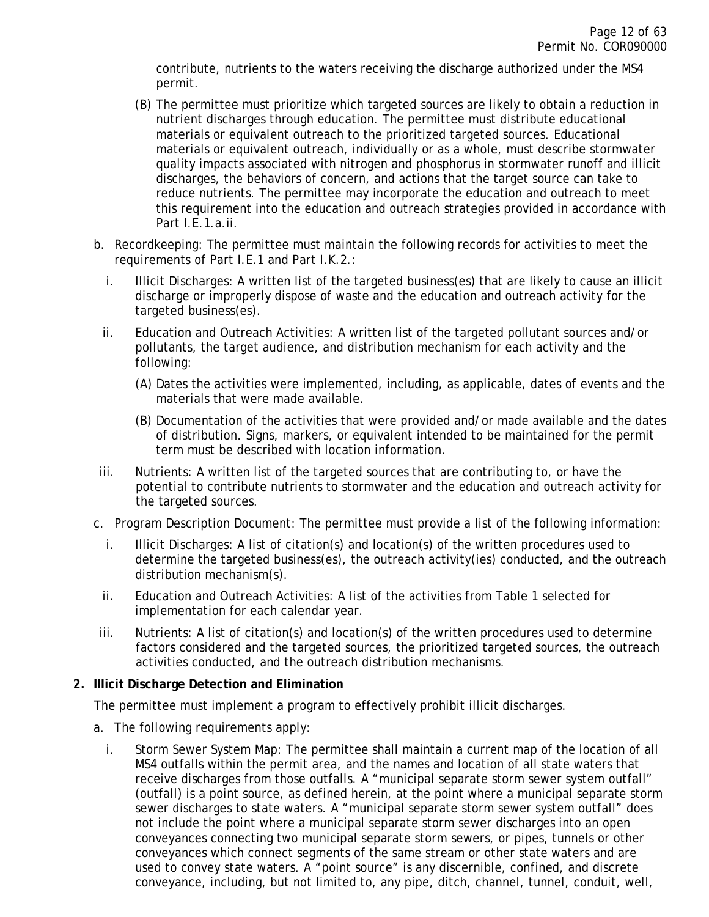contribute, nutrients to the waters receiving the discharge authorized under the MS4 permit.

- (B) The permittee must prioritize which targeted sources are likely to obtain a reduction in nutrient discharges through education. The permittee must distribute educational materials or equivalent outreach to the prioritized targeted sources. Educational materials or equivalent outreach, individually or as a whole, must describe stormwater quality impacts associated with nitrogen and phosphorus in stormwater runoff and illicit discharges, the behaviors of concern, and actions that the target source can take to reduce nutrients. The permittee may incorporate the education and outreach to meet this requirement into the education and outreach strategies provided in accordance with Part I.E.1.a.ii.
- b. Recordkeeping: The permittee must maintain the following records for activities to meet the requirements of Part I.E.1 and Part I.K.2.:
	- i. Illicit Discharges: A written list of the targeted business(es) that are likely to cause an illicit discharge or improperly dispose of waste and the education and outreach activity for the targeted business(es).
	- ii. Education and Outreach Activities: A written list of the targeted pollutant sources and/or pollutants, the target audience, and distribution mechanism for each activity and the following:
		- (A) Dates the activities were implemented, including, as applicable, dates of events and the materials that were made available.
		- (B) Documentation of the activities that were provided and/or made available and the dates of distribution. Signs, markers, or equivalent intended to be maintained for the permit term must be described with location information.
- iii. Nutrients: A written list of the targeted sources that are contributing to, or have the potential to contribute nutrients to stormwater and the education and outreach activity for the targeted sources.
- c. Program Description Document: The permittee must provide a list of the following information:
	- i. Illicit Discharges: A list of citation(s) and location(s) of the written procedures used to determine the targeted business(es), the outreach activity(ies) conducted, and the outreach distribution mechanism(s).
	- ii. Education and Outreach Activities: A list of the activities from Table 1 selected for implementation for each calendar year.
- iii. Nutrients: A list of citation(s) and location(s) of the written procedures used to determine factors considered and the targeted sources, the prioritized targeted sources, the outreach activities conducted, and the outreach distribution mechanisms.

### <span id="page-11-0"></span>**2. Illicit Discharge Detection and Elimination**

The permittee must implement a program to effectively prohibit illicit discharges.

- a. The following requirements apply:
	- i. Storm Sewer System Map: The permittee shall maintain a current map of the location of all MS4 outfalls within the permit area, and the names and location of all state waters that receive discharges from those outfalls. A "municipal separate storm sewer system outfall" (outfall) is a point source, as defined herein, at the point where a municipal separate storm sewer discharges to state waters. A "municipal separate storm sewer system outfall" does not include the point where a municipal separate storm sewer discharges into an open conveyances connecting two municipal separate storm sewers, or pipes, tunnels or other conveyances which connect segments of the same stream or other state waters and are used to convey state waters. A "point source" is any discernible, confined, and discrete conveyance, including, but not limited to, any pipe, ditch, channel, tunnel, conduit, well,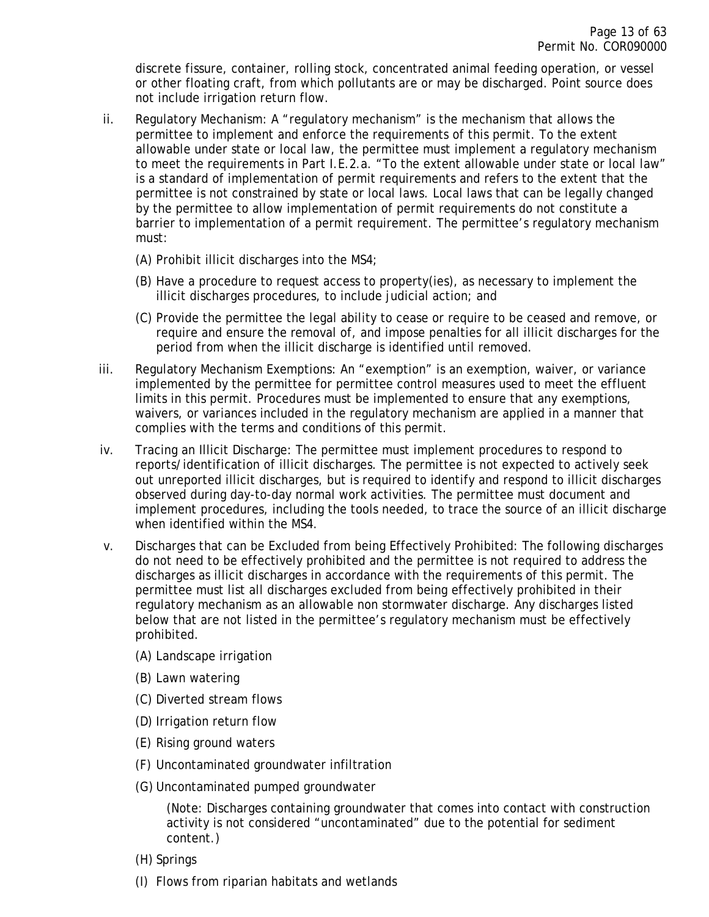discrete fissure, container, rolling stock, concentrated animal feeding operation, or vessel or other floating craft, from which pollutants are or may be discharged. Point source does not include irrigation return flow.

- ii. Regulatory Mechanism: A "regulatory mechanism" is the mechanism that allows the permittee to implement and enforce the requirements of this permit. To the extent allowable under state or local law, the permittee must implement a regulatory mechanism to meet the requirements in Part I.E.2.a. "To the extent allowable under state or local law" is a standard of implementation of permit requirements and refers to the extent that the permittee is not constrained by state or local laws. Local laws that can be legally changed by the permittee to allow implementation of permit requirements do not constitute a barrier to implementation of a permit requirement. The permittee's regulatory mechanism must:
	- (A) Prohibit illicit discharges into the MS4;
	- (B) Have a procedure to request access to property(ies), as necessary to implement the illicit discharges procedures, to include judicial action; and
	- (C) Provide the permittee the legal ability to cease or require to be ceased and remove, or require and ensure the removal of, and impose penalties for all illicit discharges for the period from when the illicit discharge is identified until removed.
- iii. Regulatory Mechanism Exemptions: An "exemption" is an exemption, waiver, or variance implemented by the permittee for permittee control measures used to meet the effluent limits in this permit. Procedures must be implemented to ensure that any exemptions, waivers, or variances included in the regulatory mechanism are applied in a manner that complies with the terms and conditions of this permit.
- iv. Tracing an Illicit Discharge: The permittee must implement procedures to respond to reports/identification of illicit discharges. The permittee is not expected to actively seek out unreported illicit discharges, but is required to identify and respond to illicit discharges observed during day-to-day normal work activities. The permittee must document and implement procedures, including the tools needed, to trace the source of an illicit discharge when identified within the MS4.
- v. Discharges that can be Excluded from being Effectively Prohibited: The following discharges do not need to be effectively prohibited and the permittee is not required to address the discharges as illicit discharges in accordance with the requirements of this permit. The permittee must list all discharges excluded from being effectively prohibited in their regulatory mechanism as an allowable non stormwater discharge. Any discharges listed below that are not listed in the permittee's regulatory mechanism must be effectively prohibited.
	- (A) Landscape irrigation
	- (B) Lawn watering
	- (C) Diverted stream flows
	- (D) Irrigation return flow
	- (E) Rising ground waters
	- (F) Uncontaminated groundwater infiltration
	- (G) Uncontaminated pumped groundwater

(Note: Discharges containing groundwater that comes into contact with construction activity is not considered "uncontaminated" due to the potential for sediment content.)

- (H) Springs
- (I) Flows from riparian habitats and wetlands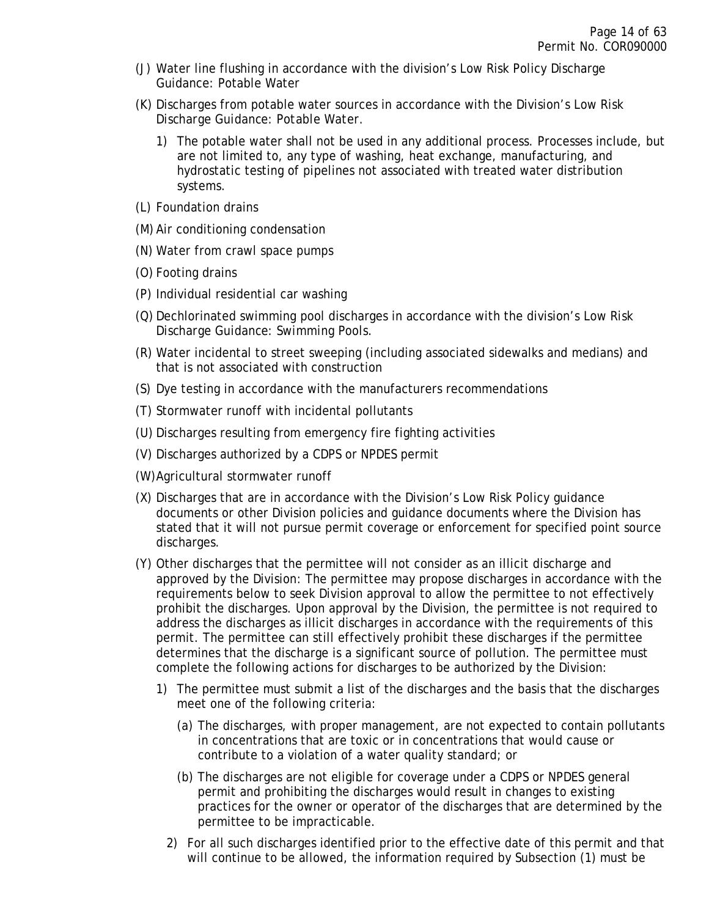- (J) Water line flushing in accordance with the division's Low Risk Policy Discharge Guidance: Potable Water
- (K) Discharges from potable water sources in accordance with the Division's *Low Risk Discharge Guidance: Potable Water*.
	- 1) The potable water shall not be used in any additional process. Processes include, but are not limited to, any type of washing, heat exchange, manufacturing, and hydrostatic testing of pipelines not associated with treated water distribution systems.
- (L) Foundation drains
- (M) Air conditioning condensation
- (N) Water from crawl space pumps
- (O) Footing drains
- (P) Individual residential car washing
- (Q) Dechlorinated swimming pool discharges in accordance with the division's *Low Risk Discharge Guidance: Swimming Pools*.
- (R) Water incidental to street sweeping (including associated sidewalks and medians) and that is not associated with construction
- (S) Dye testing in accordance with the manufacturers recommendations
- (T) Stormwater runoff with incidental pollutants
- (U) Discharges resulting from emergency fire fighting activities
- (V) Discharges authorized by a CDPS or NPDES permit
- (W)Agricultural stormwater runoff
- (X) Discharges that are in accordance with the Division's Low Risk Policy guidance documents or other Division policies and guidance documents where the Division has stated that it will not pursue permit coverage or enforcement for specified point source discharges.
- (Y) Other discharges that the permittee will not consider as an illicit discharge and approved by the Division: The permittee may propose discharges in accordance with the requirements below to seek Division approval to allow the permittee to not effectively prohibit the discharges. Upon approval by the Division, the permittee is not required to address the discharges as illicit discharges in accordance with the requirements of this permit. The permittee can still effectively prohibit these discharges if the permittee determines that the discharge is a significant source of pollution. The permittee must complete the following actions for discharges to be authorized by the Division:
	- 1) The permittee must submit a list of the discharges and the basis that the discharges meet one of the following criteria:
		- (a) The discharges, with proper management, are not expected to contain pollutants in concentrations that are toxic or in concentrations that would cause or contribute to a violation of a water quality standard; or
		- (b) The discharges are not eligible for coverage under a CDPS or NPDES general permit and prohibiting the discharges would result in changes to existing practices for the owner or operator of the discharges that are determined by the permittee to be impracticable.
		- 2) For all such discharges identified prior to the effective date of this permit and that will continue to be allowed, the information required by Subsection (1) must be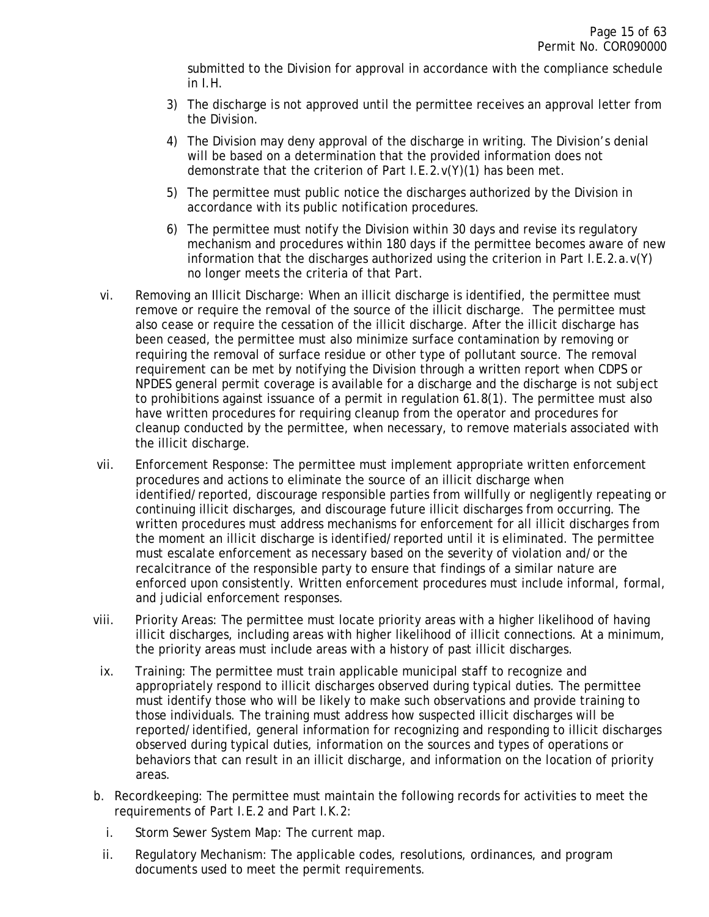submitted to the Division for approval in accordance with the compliance schedule in I.H.

- 3) The discharge is not approved until the permittee receives an approval letter from the Division.
- 4) The Division may deny approval of the discharge in writing. The Division's denial will be based on a determination that the provided information does not demonstrate that the criterion of Part I.E.2.v(Y)(1) has been met.
- 5) The permittee must public notice the discharges authorized by the Division in accordance with its public notification procedures.
- 6) The permittee must notify the Division within 30 days and revise its regulatory mechanism and procedures within 180 days if the permittee becomes aware of new information that the discharges authorized using the criterion in Part I.E.2.a.v(Y) no longer meets the criteria of that Part.
- vi. Removing an Illicit Discharge: When an illicit discharge is identified, the permittee must remove or require the removal of the source of the illicit discharge. The permittee must also cease or require the cessation of the illicit discharge. After the illicit discharge has been ceased, the permittee must also minimize surface contamination by removing or requiring the removal of surface residue or other type of pollutant source. The removal requirement can be met by notifying the Division through a written report when CDPS or NPDES general permit coverage is available for a discharge and the discharge is not subject to prohibitions against issuance of a permit in regulation 61.8(1). The permittee must also have written procedures for requiring cleanup from the operator and procedures for cleanup conducted by the permittee, when necessary, to remove materials associated with the illicit discharge.
- vii. Enforcement Response: The permittee must implement appropriate written enforcement procedures and actions to eliminate the source of an illicit discharge when identified/reported, discourage responsible parties from willfully or negligently repeating or continuing illicit discharges, and discourage future illicit discharges from occurring. The written procedures must address mechanisms for enforcement for all illicit discharges from the moment an illicit discharge is identified/reported until it is eliminated. The permittee must escalate enforcement as necessary based on the severity of violation and/or the recalcitrance of the responsible party to ensure that findings of a similar nature are enforced upon consistently. Written enforcement procedures must include informal, formal, and judicial enforcement responses.
- viii. Priority Areas: The permittee must locate priority areas with a higher likelihood of having illicit discharges, including areas with higher likelihood of illicit connections. At a minimum, the priority areas must include areas with a history of past illicit discharges.
- ix. Training: The permittee must train applicable municipal staff to recognize and appropriately respond to illicit discharges observed during typical duties. The permittee must identify those who will be likely to make such observations and provide training to those individuals. The training must address how suspected illicit discharges will be reported/identified, general information for recognizing and responding to illicit discharges observed during typical duties, information on the sources and types of operations or behaviors that can result in an illicit discharge, and information on the location of priority areas.
- b. Recordkeeping: The permittee must maintain the following records for activities to meet the requirements of Part I.E.2 and Part I.K.2:
	- i. Storm Sewer System Map: The current map.
	- ii. Regulatory Mechanism: The applicable codes, resolutions, ordinances, and program documents used to meet the permit requirements.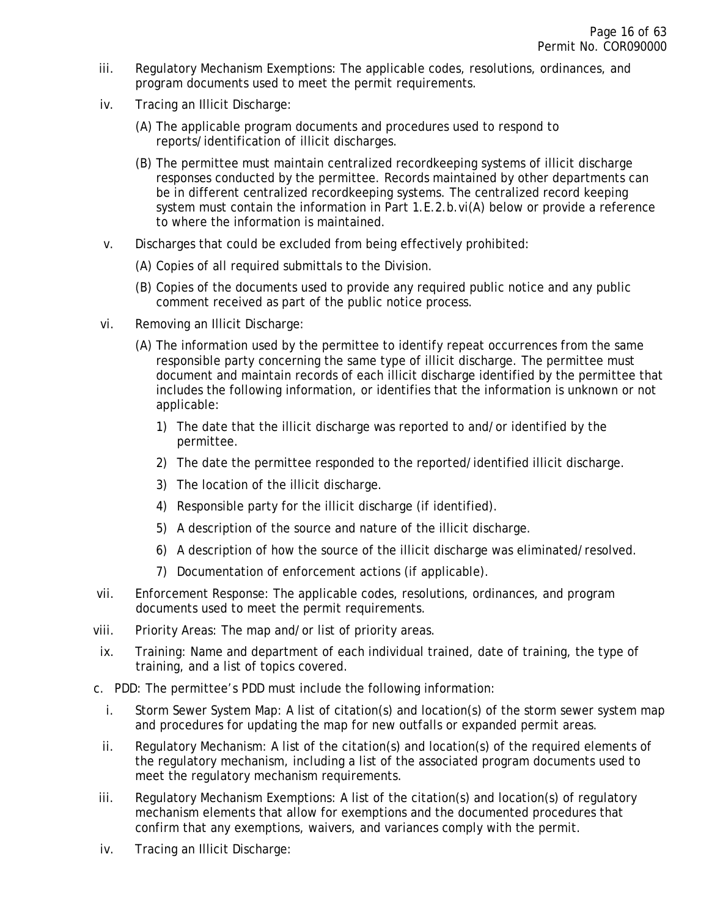- iii. Regulatory Mechanism Exemptions: The applicable codes, resolutions, ordinances, and program documents used to meet the permit requirements.
- iv. Tracing an Illicit Discharge:
	- (A) The applicable program documents and procedures used to respond to reports/identification of illicit discharges.
	- (B) The permittee must maintain centralized recordkeeping systems of illicit discharge responses conducted by the permittee. Records maintained by other departments can be in different centralized recordkeeping systems. The centralized record keeping system must contain the information in Part 1.E.2.b.vi(A) below or provide a reference to where the information is maintained.
- v. Discharges that could be excluded from being effectively prohibited:
	- (A) Copies of all required submittals to the Division.
	- (B) Copies of the documents used to provide any required public notice and any public comment received as part of the public notice process.
- vi. Removing an Illicit Discharge:
	- (A) The information used by the permittee to identify repeat occurrences from the same responsible party concerning the same type of illicit discharge. The permittee must document and maintain records of each illicit discharge identified by the permittee that includes the following information, or identifies that the information is unknown or not applicable:
		- 1) The date that the illicit discharge was reported to and/or identified by the permittee.
		- 2) The date the permittee responded to the reported/identified illicit discharge.
		- 3) The location of the illicit discharge.
		- 4) Responsible party for the illicit discharge (if identified).
		- 5) A description of the source and nature of the illicit discharge.
		- 6) A description of how the source of the illicit discharge was eliminated/resolved.
		- 7) Documentation of enforcement actions (if applicable).
- vii. Enforcement Response: The applicable codes, resolutions, ordinances, and program documents used to meet the permit requirements.
- viii. Priority Areas: The map and/or list of priority areas.
- ix. Training: Name and department of each individual trained, date of training, the type of training, and a list of topics covered.
- c. PDD: The permittee's PDD must include the following information:
	- i. Storm Sewer System Map: A list of citation(s) and location(s) of the storm sewer system map and procedures for updating the map for new outfalls or expanded permit areas.
	- ii. Regulatory Mechanism: A list of the citation(s) and location(s) of the required elements of the regulatory mechanism, including a list of the associated program documents used to meet the regulatory mechanism requirements.
- iii. Regulatory Mechanism Exemptions: A list of the citation(s) and location(s) of regulatory mechanism elements that allow for exemptions and the documented procedures that confirm that any exemptions, waivers, and variances comply with the permit.
- iv. Tracing an Illicit Discharge: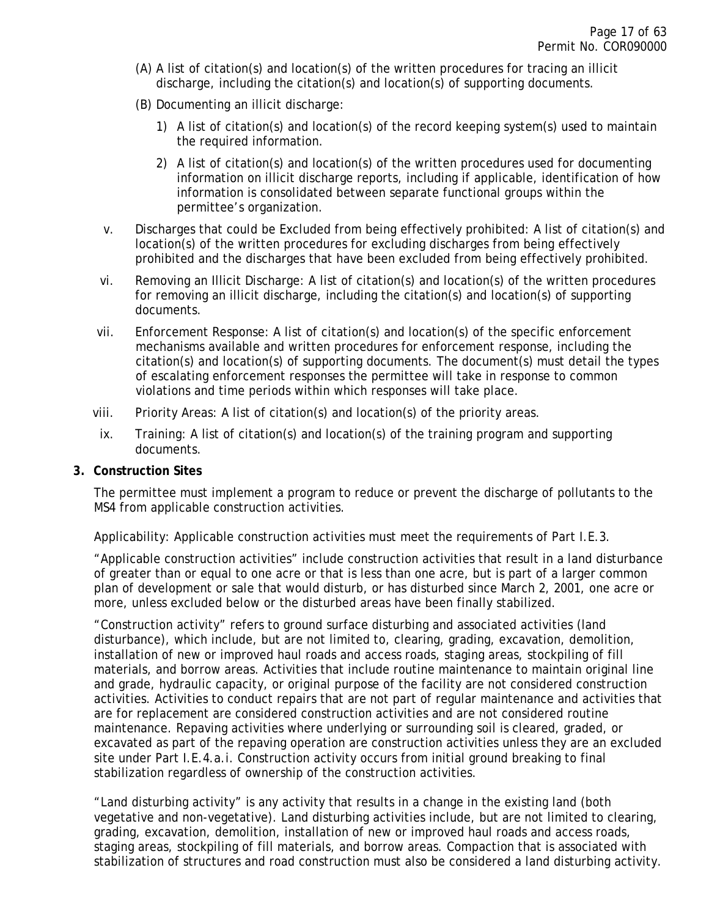- (A) A list of citation(s) and location(s) of the written procedures for tracing an illicit discharge, including the citation(s) and location(s) of supporting documents.
- (B) Documenting an illicit discharge:
	- 1) A list of citation(s) and location(s) of the record keeping system(s) used to maintain the required information.
	- 2) A list of citation(s) and location(s) of the written procedures used for documenting information on illicit discharge reports, including if applicable, identification of how information is consolidated between separate functional groups within the permittee's organization.
- v. Discharges that could be Excluded from being effectively prohibited: A list of citation(s) and location(s) of the written procedures for excluding discharges from being effectively prohibited and the discharges that have been excluded from being effectively prohibited.
- vi. Removing an Illicit Discharge: A list of citation(s) and location(s) of the written procedures for removing an illicit discharge, including the citation(s) and location(s) of supporting documents.
- vii. Enforcement Response: A list of citation(s) and location(s) of the specific enforcement mechanisms available and written procedures for enforcement response, including the citation(s) and location(s) of supporting documents. The document(s) must detail the types of escalating enforcement responses the permittee will take in response to common violations and time periods within which responses will take place.
- viii. Priority Areas: A list of citation(s) and location(s) of the priority areas.
- ix. Training: A list of citation(s) and location(s) of the training program and supporting documents.

#### <span id="page-16-0"></span>**3. Construction Sites**

The permittee must implement a program to reduce or prevent the discharge of pollutants to the MS4 from applicable construction activities.

Applicability: Applicable construction activities must meet the requirements of Part I.E.3.

"Applicable construction activities" include construction activities that result in a land disturbance of greater than or equal to one acre or that is less than one acre, but is part of a larger common plan of development or sale that would disturb, or has disturbed since March 2, 2001, one acre or more, unless excluded below or the disturbed areas have been finally stabilized.

"Construction activity" refers to ground surface disturbing and associated activities (land disturbance), which include, but are not limited to, clearing, grading, excavation, demolition, installation of new or improved haul roads and access roads, staging areas, stockpiling of fill materials, and borrow areas. Activities that include routine maintenance to maintain original line and grade, hydraulic capacity, or original purpose of the facility are not considered construction activities. Activities to conduct repairs that are not part of regular maintenance and activities that are for replacement are considered construction activities and are not considered routine maintenance. Repaving activities where underlying or surrounding soil is cleared, graded, or excavated as part of the repaving operation are construction activities unless they are an excluded site under Part I.E.4.a.i. Construction activity occurs from initial ground breaking to final stabilization regardless of ownership of the construction activities.

"Land disturbing activity" is any activity that results in a change in the existing land (both vegetative and non-vegetative). Land disturbing activities include, but are not limited to clearing, grading, excavation, demolition, installation of new or improved haul roads and access roads, staging areas, stockpiling of fill materials, and borrow areas. Compaction that is associated with stabilization of structures and road construction must also be considered a land disturbing activity.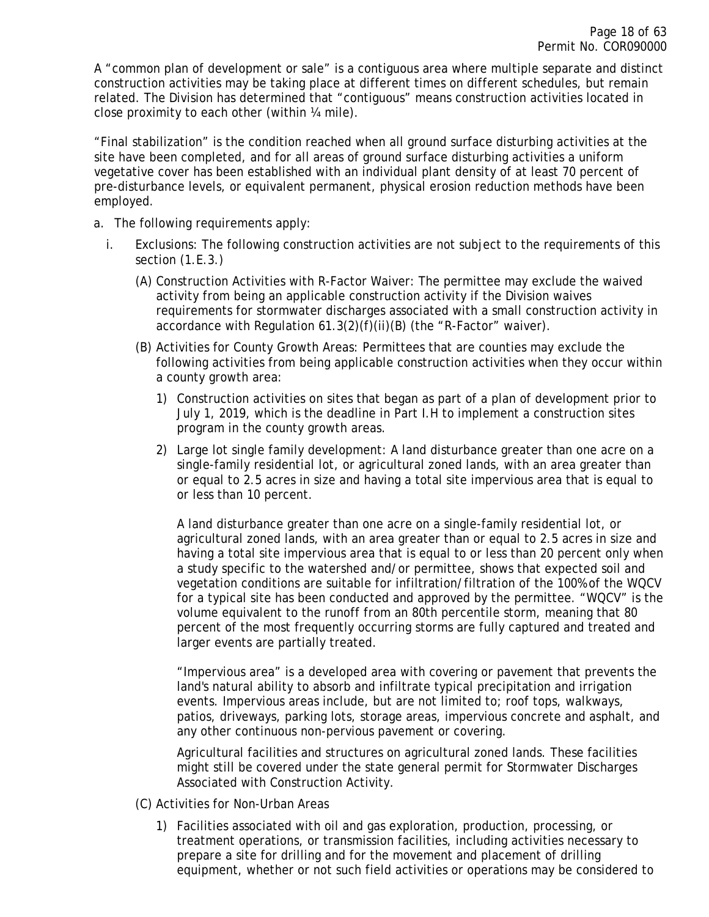A "common plan of development or sale" is a contiguous area where multiple separate and distinct construction activities may be taking place at different times on different schedules, but remain related. The Division has determined that "contiguous" means construction activities located in close proximity to each other (within ¼ mile).

"Final stabilization" is the condition reached when all ground surface disturbing activities at the site have been completed, and for all areas of ground surface disturbing activities a uniform vegetative cover has been established with an individual plant density of at least 70 percent of pre-disturbance levels, or equivalent permanent, physical erosion reduction methods have been employed.

- a. The following requirements apply:
	- i. Exclusions: The following construction activities are not subject to the requirements of this section (1.E.3.)
		- (A) Construction Activities with R-Factor Waiver: The permittee may exclude the waived activity from being an applicable construction activity if the Division waives requirements for stormwater discharges associated with a small construction activity in accordance with Regulation 61.3(2)(f)(ii)(B) (the "R-Factor" waiver).
		- (B) Activities for County Growth Areas: Permittees that are counties may exclude the following activities from being applicable construction activities when they occur within a county growth area:
			- 1) Construction activities on sites that began as part of a plan of development prior to July 1, 2019, which is the deadline in Part I.H to implement a construction sites program in the county growth areas.
			- 2) Large lot single family development: A land disturbance greater than one acre on a single-family residential lot, or agricultural zoned lands, with an area greater than or equal to 2.5 acres in size and having a total site impervious area that is equal to or less than 10 percent.

A land disturbance greater than one acre on a single-family residential lot, or agricultural zoned lands, with an area greater than or equal to 2.5 acres in size and having a total site impervious area that is equal to or less than 20 percent only when a study specific to the watershed and/or permittee, shows that expected soil and vegetation conditions are suitable for infiltration/filtration of the 100% of the WQCV for a typical site has been conducted and approved by the permittee. "WQCV" is the volume equivalent to the runoff from an 80th percentile storm, meaning that 80 percent of the most frequently occurring storms are fully captured and treated and larger events are partially treated.

"Impervious area" is a developed area with covering or pavement that prevents the land's natural ability to absorb and infiltrate typical precipitation and irrigation events. Impervious areas include, but are not limited to; roof tops, walkways, patios, driveways, parking lots, storage areas, impervious concrete and asphalt, and any other continuous non-pervious pavement or covering.

Agricultural facilities and structures on agricultural zoned lands. These facilities might still be covered under the state general permit for Stormwater Discharges Associated with Construction Activity.

- (C) Activities for Non-Urban Areas
	- 1) Facilities associated with oil and gas exploration, production, processing, or treatment operations, or transmission facilities, including activities necessary to prepare a site for drilling and for the movement and placement of drilling equipment, whether or not such field activities or operations may be considered to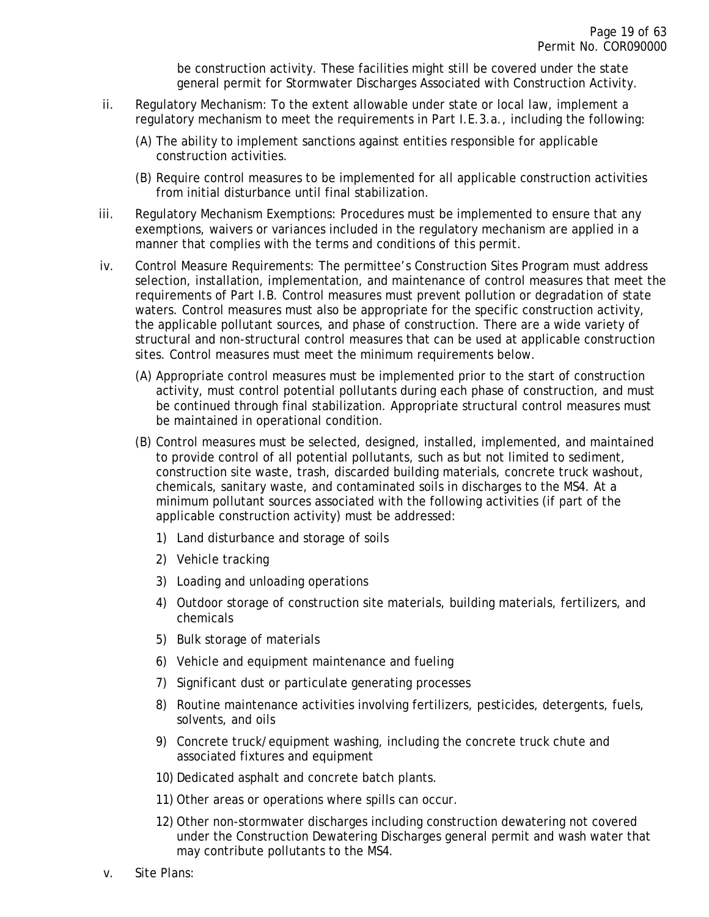be construction activity. These facilities might still be covered under the state general permit for Stormwater Discharges Associated with Construction Activity.

- ii. Regulatory Mechanism: To the extent allowable under state or local law, implement a regulatory mechanism to meet the requirements in Part I.E.3.a., including the following:
	- (A) The ability to implement sanctions against entities responsible for applicable construction activities.
	- (B) Require control measures to be implemented for all applicable construction activities from initial disturbance until final stabilization.
- iii. Regulatory Mechanism Exemptions: Procedures must be implemented to ensure that any exemptions, waivers or variances included in the regulatory mechanism are applied in a manner that complies with the terms and conditions of this permit.
- iv. Control Measure Requirements: The permittee's Construction Sites Program must address selection, installation, implementation, and maintenance of control measures that meet the requirements of Part I.B. Control measures must prevent pollution or degradation of state waters. Control measures must also be appropriate for the specific construction activity, the applicable pollutant sources, and phase of construction. There are a wide variety of structural and non-structural control measures that can be used at applicable construction sites. Control measures must meet the minimum requirements below.
	- (A) Appropriate control measures must be implemented prior to the start of construction activity, must control potential pollutants during each phase of construction, and must be continued through final stabilization. Appropriate structural control measures must be maintained in operational condition.
	- (B) Control measures must be selected, designed, installed, implemented, and maintained to provide control of all potential pollutants, such as but not limited to sediment, construction site waste, trash, discarded building materials, concrete truck washout, chemicals, sanitary waste, and contaminated soils in discharges to the MS4. At a minimum pollutant sources associated with the following activities (if part of the applicable construction activity) must be addressed:
		- 1) Land disturbance and storage of soils
		- 2) Vehicle tracking
		- 3) Loading and unloading operations
		- 4) Outdoor storage of construction site materials, building materials, fertilizers, and chemicals
		- 5) Bulk storage of materials
		- 6) Vehicle and equipment maintenance and fueling
		- 7) Significant dust or particulate generating processes
		- 8) Routine maintenance activities involving fertilizers, pesticides, detergents, fuels, solvents, and oils
		- 9) Concrete truck/equipment washing, including the concrete truck chute and associated fixtures and equipment
		- 10) Dedicated asphalt and concrete batch plants.
		- 11) Other areas or operations where spills can occur.
		- 12) Other non-stormwater discharges including construction dewatering not covered under the Construction Dewatering Discharges general permit and wash water that may contribute pollutants to the MS4.
- v. Site Plans: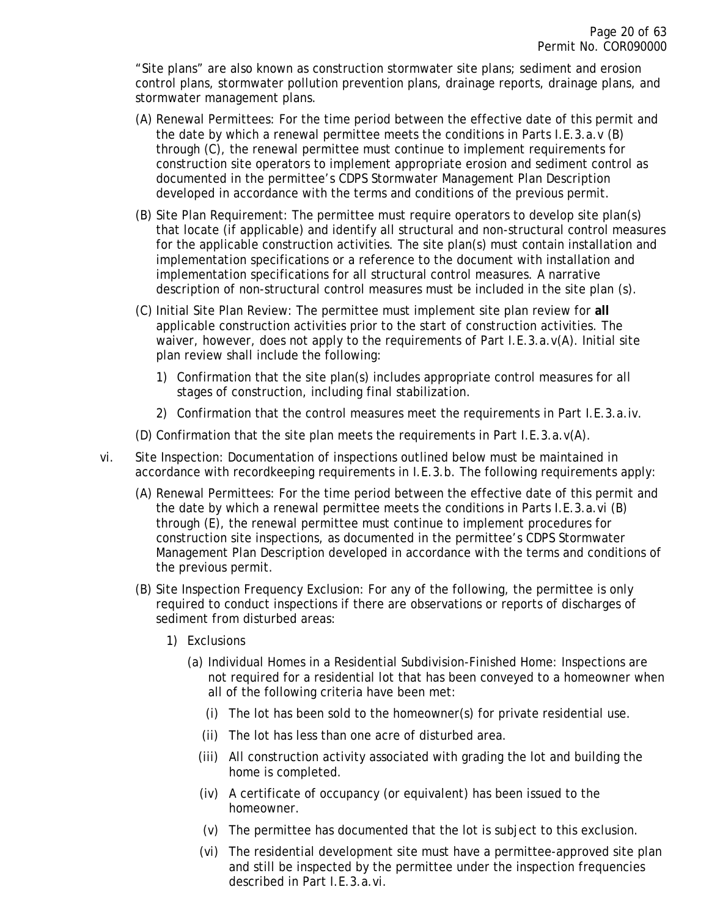"Site plans" are also known as construction stormwater site plans; sediment and erosion control plans, stormwater pollution prevention plans, drainage reports, drainage plans, and stormwater management plans.

- (A) Renewal Permittees: For the time period between the effective date of this permit and the date by which a renewal permittee meets the conditions in Parts I.E.3.a.v (B) through (C), the renewal permittee must continue to implement requirements for construction site operators to implement appropriate erosion and sediment control as documented in the permittee's CDPS Stormwater Management Plan Description developed in accordance with the terms and conditions of the previous permit.
- (B) Site Plan Requirement: The permittee must require operators to develop site plan(s) that locate (if applicable) and identify all structural and non-structural control measures for the applicable construction activities. The site plan(s) must contain installation and implementation specifications or a reference to the document with installation and implementation specifications for all structural control measures. A narrative description of non-structural control measures must be included in the site plan (s).
- (C) Initial Site Plan Review: The permittee must implement site plan review for **all** applicable construction activities prior to the start of construction activities. The waiver, however, does not apply to the requirements of Part I.E.3.a.v(A). Initial site plan review shall include the following:
	- 1) Confirmation that the site plan(s) includes appropriate control measures for all stages of construction, including final stabilization.
	- 2) Confirmation that the control measures meet the requirements in Part I.E.3.a.iv.
- (D) Confirmation that the site plan meets the requirements in Part I.E.3.a. $v(A)$ .
- vi. Site Inspection: Documentation of inspections outlined below must be maintained in accordance with recordkeeping requirements in I.E.3.b. The following requirements apply:
	- (A) Renewal Permittees: For the time period between the effective date of this permit and the date by which a renewal permittee meets the conditions in Parts I.E.3.a.vi (B) through (E), the renewal permittee must continue to implement procedures for construction site inspections, as documented in the permittee's CDPS Stormwater Management Plan Description developed in accordance with the terms and conditions of the previous permit.
	- (B) Site Inspection Frequency Exclusion: For any of the following, the permittee is only required to conduct inspections if there are observations or reports of discharges of sediment from disturbed areas:
		- 1) Exclusions
			- (a) Individual Homes in a Residential Subdivision-Finished Home: Inspections are not required for a residential lot that has been conveyed to a homeowner when all of the following criteria have been met:
				- (i) The lot has been sold to the homeowner(s) for private residential use.
				- (ii) The lot has less than one acre of disturbed area.
				- (iii) All construction activity associated with grading the lot and building the home is completed.
				- (iv) A certificate of occupancy (or equivalent) has been issued to the homeowner.
				- (v) The permittee has documented that the lot is subject to this exclusion.
				- (vi) The residential development site must have a permittee-approved site plan and still be inspected by the permittee under the inspection frequencies described in Part I.E.3.a.vi.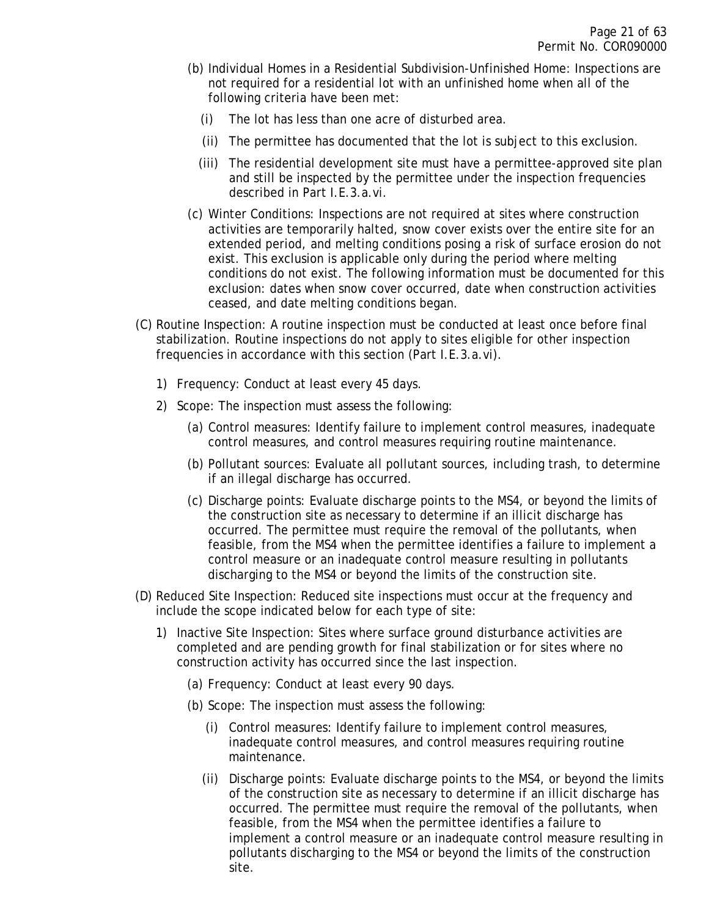- (b) Individual Homes in a Residential Subdivision-Unfinished Home: Inspections are not required for a residential lot with an unfinished home when all of the following criteria have been met:
	- (i) The lot has less than one acre of disturbed area.
	- (ii) The permittee has documented that the lot is subject to this exclusion.
	- (iii) The residential development site must have a permittee-approved site plan and still be inspected by the permittee under the inspection frequencies described in Part I.E.3.a.vi.
- (c) Winter Conditions: Inspections are not required at sites where construction activities are temporarily halted, snow cover exists over the entire site for an extended period, and melting conditions posing a risk of surface erosion do not exist. This exclusion is applicable only during the period where melting conditions do not exist. The following information must be documented for this exclusion: dates when snow cover occurred, date when construction activities ceased, and date melting conditions began.
- (C) Routine Inspection: A routine inspection must be conducted at least once before final stabilization. Routine inspections do not apply to sites eligible for other inspection frequencies in accordance with this section (Part I.E.3.a.vi).
	- 1) Frequency: Conduct at least every 45 days.
	- 2) Scope: The inspection must assess the following:
		- (a) Control measures: Identify failure to implement control measures, inadequate control measures, and control measures requiring routine maintenance.
		- (b) Pollutant sources: Evaluate all pollutant sources, including trash, to determine if an illegal discharge has occurred.
		- (c) Discharge points: Evaluate discharge points to the MS4, or beyond the limits of the construction site as necessary to determine if an illicit discharge has occurred. The permittee must require the removal of the pollutants, when feasible, from the MS4 when the permittee identifies a failure to implement a control measure or an inadequate control measure resulting in pollutants discharging to the MS4 or beyond the limits of the construction site.
- (D) Reduced Site Inspection: Reduced site inspections must occur at the frequency and include the scope indicated below for each type of site:
	- 1) Inactive Site Inspection: Sites where surface ground disturbance activities are completed and are pending growth for final stabilization or for sites where no construction activity has occurred since the last inspection.
		- (a) Frequency: Conduct at least every 90 days.
		- (b) Scope: The inspection must assess the following:
			- (i) Control measures: Identify failure to implement control measures, inadequate control measures, and control measures requiring routine maintenance.
			- (ii) Discharge points: Evaluate discharge points to the MS4, or beyond the limits of the construction site as necessary to determine if an illicit discharge has occurred. The permittee must require the removal of the pollutants, when feasible, from the MS4 when the permittee identifies a failure to implement a control measure or an inadequate control measure resulting in pollutants discharging to the MS4 or beyond the limits of the construction site.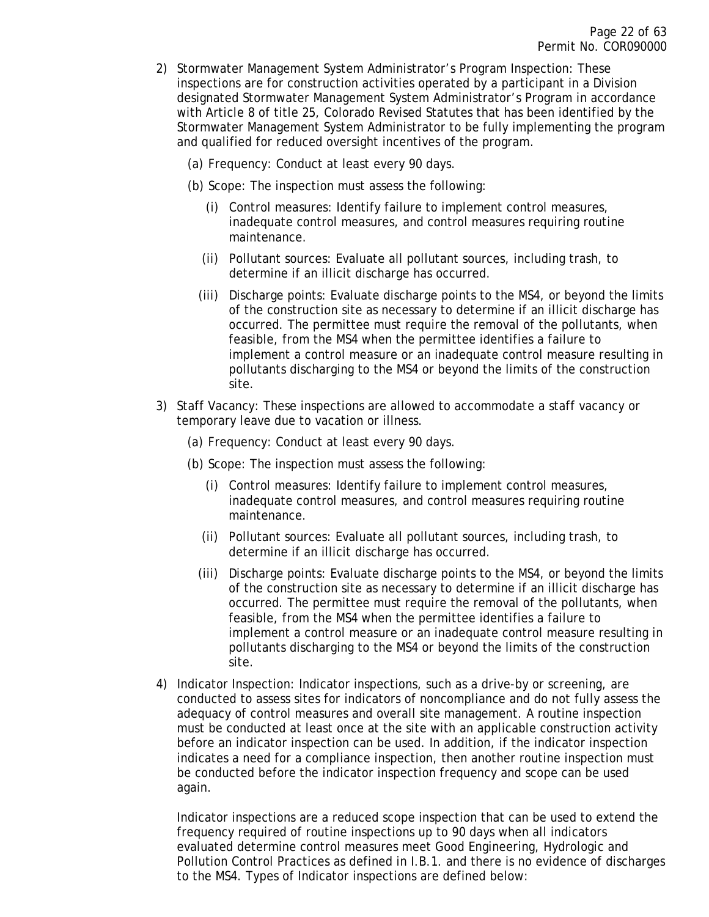- 2) Stormwater Management System Administrator's Program Inspection: These inspections are for construction activities operated by a participant in a Division designated Stormwater Management System Administrator's Program in accordance with Article 8 of title 25, Colorado Revised Statutes that has been identified by the Stormwater Management System Administrator to be fully implementing the program and qualified for reduced oversight incentives of the program.
	- (a) Frequency: Conduct at least every 90 days.
	- (b) Scope: The inspection must assess the following:
		- (i) Control measures: Identify failure to implement control measures, inadequate control measures, and control measures requiring routine maintenance.
		- (ii) Pollutant sources: Evaluate all pollutant sources, including trash, to determine if an illicit discharge has occurred.
		- (iii) Discharge points: Evaluate discharge points to the MS4, or beyond the limits of the construction site as necessary to determine if an illicit discharge has occurred. The permittee must require the removal of the pollutants, when feasible, from the MS4 when the permittee identifies a failure to implement a control measure or an inadequate control measure resulting in pollutants discharging to the MS4 or beyond the limits of the construction site.
- 3) Staff Vacancy: These inspections are allowed to accommodate a staff vacancy or temporary leave due to vacation or illness.
	- (a) Frequency: Conduct at least every 90 days.
	- (b) Scope: The inspection must assess the following:
		- (i) Control measures: Identify failure to implement control measures, inadequate control measures, and control measures requiring routine maintenance.
		- (ii) Pollutant sources: Evaluate all pollutant sources, including trash, to determine if an illicit discharge has occurred.
		- (iii) Discharge points: Evaluate discharge points to the MS4, or beyond the limits of the construction site as necessary to determine if an illicit discharge has occurred. The permittee must require the removal of the pollutants, when feasible, from the MS4 when the permittee identifies a failure to implement a control measure or an inadequate control measure resulting in pollutants discharging to the MS4 or beyond the limits of the construction site.
- 4) Indicator Inspection: Indicator inspections, such as a drive-by or screening, are conducted to assess sites for indicators of noncompliance and do not fully assess the adequacy of control measures and overall site management. A routine inspection must be conducted at least once at the site with an applicable construction activity before an indicator inspection can be used. In addition, if the indicator inspection indicates a need for a compliance inspection, then another routine inspection must be conducted before the indicator inspection frequency and scope can be used again.

Indicator inspections are a reduced scope inspection that can be used to extend the frequency required of routine inspections up to 90 days when all indicators evaluated determine control measures meet Good Engineering, Hydrologic and Pollution Control Practices as defined in I.B.1. and there is no evidence of discharges to the MS4. Types of Indicator inspections are defined below: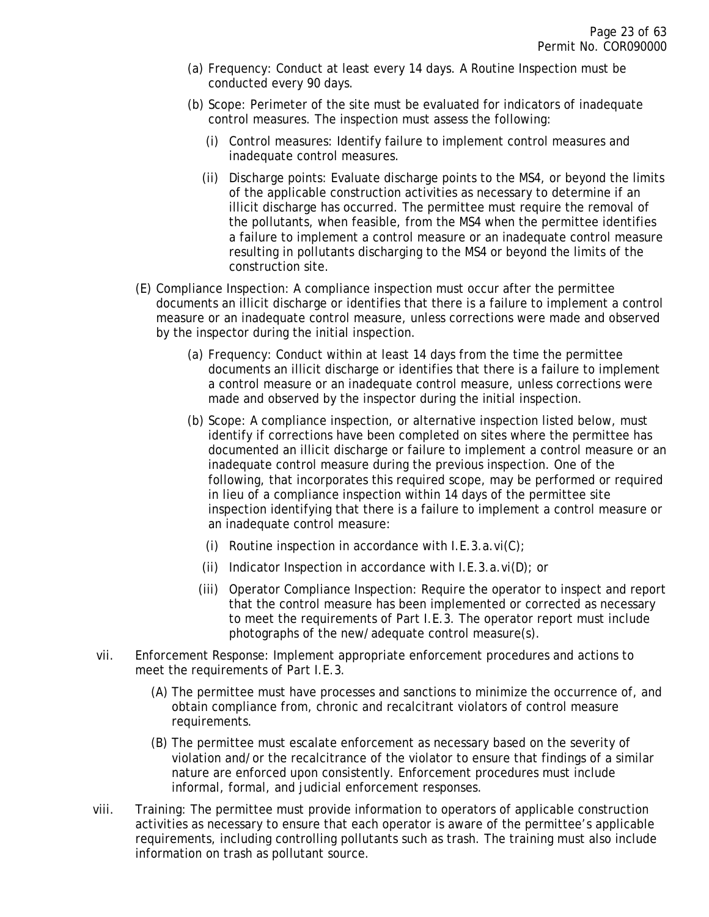- (a) Frequency: Conduct at least every 14 days. A Routine Inspection must be conducted every 90 days.
- (b) Scope: Perimeter of the site must be evaluated for indicators of inadequate control measures. The inspection must assess the following:
	- (i) Control measures: Identify failure to implement control measures and inadequate control measures.
	- (ii) Discharge points: Evaluate discharge points to the MS4, or beyond the limits of the applicable construction activities as necessary to determine if an illicit discharge has occurred. The permittee must require the removal of the pollutants, when feasible, from the MS4 when the permittee identifies a failure to implement a control measure or an inadequate control measure resulting in pollutants discharging to the MS4 or beyond the limits of the construction site.
- (E) Compliance Inspection: A compliance inspection must occur after the permittee documents an illicit discharge or identifies that there is a failure to implement a control measure or an inadequate control measure, unless corrections were made and observed by the inspector during the initial inspection.
	- (a) Frequency: Conduct within at least 14 days from the time the permittee documents an illicit discharge or identifies that there is a failure to implement a control measure or an inadequate control measure, unless corrections were made and observed by the inspector during the initial inspection.
	- (b) Scope: A compliance inspection, or alternative inspection listed below, must identify if corrections have been completed on sites where the permittee has documented an illicit discharge or failure to implement a control measure or an inadequate control measure during the previous inspection. One of the following, that incorporates this required scope, may be performed or required in lieu of a compliance inspection within 14 days of the permittee site inspection identifying that there is a failure to implement a control measure or an inadequate control measure:
		- (i) Routine inspection in accordance with  $I.E.3.a.vi(C)$ ;
		- (ii) Indicator Inspection in accordance with  $I.E.3.a.vi(D)$ ; or
		- (iii) Operator Compliance Inspection: Require the operator to inspect and report that the control measure has been implemented or corrected as necessary to meet the requirements of Part I.E.3. The operator report must include photographs of the new/adequate control measure(s).
- vii. Enforcement Response: Implement appropriate enforcement procedures and actions to meet the requirements of Part I.E.3.
	- (A) The permittee must have processes and sanctions to minimize the occurrence of, and obtain compliance from, chronic and recalcitrant violators of control measure requirements.
	- (B) The permittee must escalate enforcement as necessary based on the severity of violation and/or the recalcitrance of the violator to ensure that findings of a similar nature are enforced upon consistently. Enforcement procedures must include informal, formal, and judicial enforcement responses.
- viii. Training: The permittee must provide information to operators of applicable construction activities as necessary to ensure that each operator is aware of the permittee's applicable requirements, including controlling pollutants such as trash. The training must also include information on trash as pollutant source.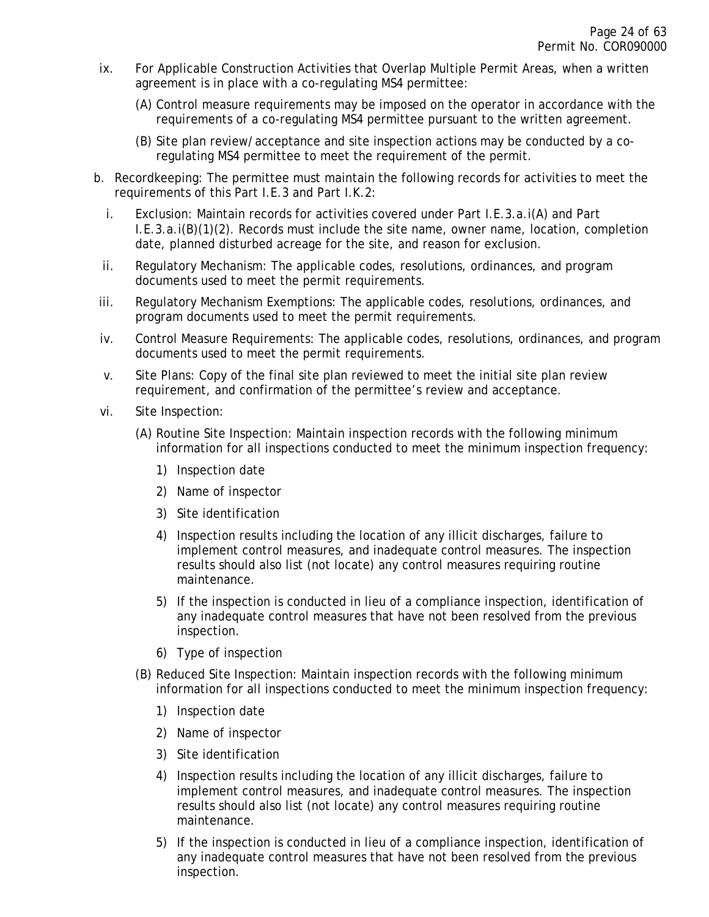- ix. For Applicable Construction Activities that Overlap Multiple Permit Areas, when a written agreement is in place with a co-regulating MS4 permittee:
	- (A) Control measure requirements may be imposed on the operator in accordance with the requirements of a co-regulating MS4 permittee pursuant to the written agreement.
	- (B) Site plan review/acceptance and site inspection actions may be conducted by a coregulating MS4 permittee to meet the requirement of the permit.
- b. Recordkeeping: The permittee must maintain the following records for activities to meet the requirements of this Part I.E.3 and Part I.K.2:
	- i. Exclusion: Maintain records for activities covered under Part I.E.3.a.i(A) and Part I.E.3.a.i(B)(1)(2). Records must include the site name, owner name, location, completion date, planned disturbed acreage for the site, and reason for exclusion.
	- ii. Regulatory Mechanism: The applicable codes, resolutions, ordinances, and program documents used to meet the permit requirements.
- iii. Regulatory Mechanism Exemptions: The applicable codes, resolutions, ordinances, and program documents used to meet the permit requirements.
- iv. Control Measure Requirements: The applicable codes, resolutions, ordinances, and program documents used to meet the permit requirements.
- v. Site Plans: Copy of the final site plan reviewed to meet the initial site plan review requirement, and confirmation of the permittee's review and acceptance.
- vi. Site Inspection:
	- (A) Routine Site Inspection: Maintain inspection records with the following minimum information for all inspections conducted to meet the minimum inspection frequency:
		- 1) Inspection date
		- 2) Name of inspector
		- 3) Site identification
		- 4) Inspection results including the location of any illicit discharges, failure to implement control measures, and inadequate control measures. The inspection results should also list (not locate) any control measures requiring routine maintenance.
		- 5) If the inspection is conducted in lieu of a compliance inspection, identification of any inadequate control measures that have not been resolved from the previous inspection.
		- 6) Type of inspection
	- (B) Reduced Site Inspection: Maintain inspection records with the following minimum information for all inspections conducted to meet the minimum inspection frequency:
		- 1) Inspection date
		- 2) Name of inspector
		- 3) Site identification
		- 4) Inspection results including the location of any illicit discharges, failure to implement control measures, and inadequate control measures. The inspection results should also list (not locate) any control measures requiring routine maintenance.
		- 5) If the inspection is conducted in lieu of a compliance inspection, identification of any inadequate control measures that have not been resolved from the previous inspection.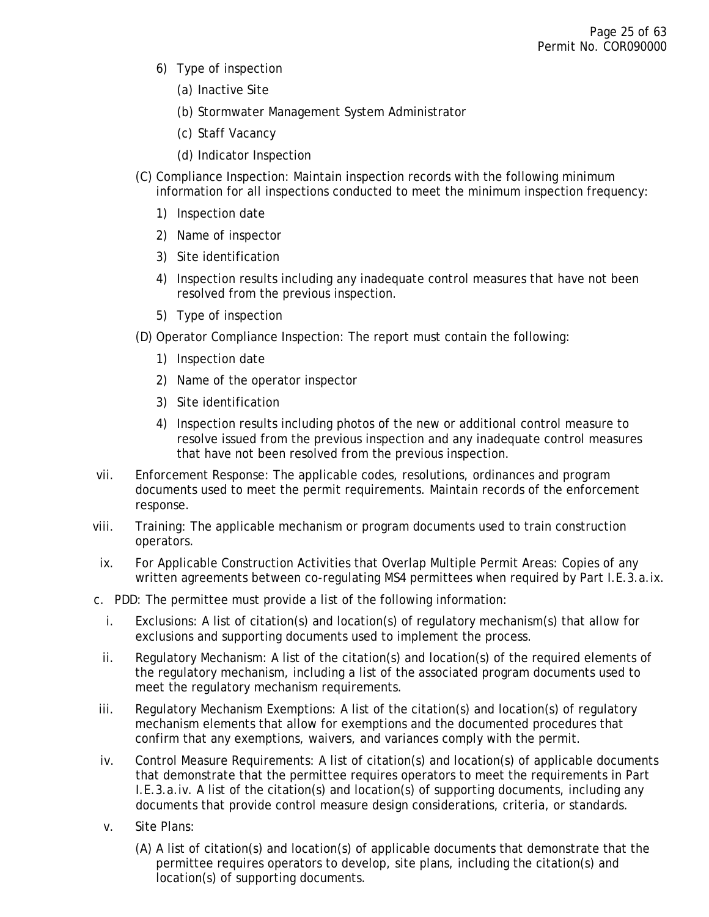- 6) Type of inspection
	- (a) Inactive Site
	- (b) Stormwater Management System Administrator
	- (c) Staff Vacancy
	- (d) Indicator Inspection
- (C) Compliance Inspection: Maintain inspection records with the following minimum information for all inspections conducted to meet the minimum inspection frequency:
	- 1) Inspection date
	- 2) Name of inspector
	- 3) Site identification
	- 4) Inspection results including any inadequate control measures that have not been resolved from the previous inspection.
	- 5) Type of inspection
- (D) Operator Compliance Inspection: The report must contain the following:
	- 1) Inspection date
	- 2) Name of the operator inspector
	- 3) Site identification
	- 4) Inspection results including photos of the new or additional control measure to resolve issued from the previous inspection and any inadequate control measures that have not been resolved from the previous inspection.
- vii. Enforcement Response: The applicable codes, resolutions, ordinances and program documents used to meet the permit requirements. Maintain records of the enforcement response.
- viii. Training: The applicable mechanism or program documents used to train construction operators.
- ix. For Applicable Construction Activities that Overlap Multiple Permit Areas: Copies of any written agreements between co-regulating MS4 permittees when required by Part I.E.3.a.ix.
- c. PDD: The permittee must provide a list of the following information:
	- i. Exclusions: A list of citation(s) and location(s) of regulatory mechanism(s) that allow for exclusions and supporting documents used to implement the process.
	- ii. Regulatory Mechanism: A list of the citation(s) and location(s) of the required elements of the regulatory mechanism, including a list of the associated program documents used to meet the regulatory mechanism requirements.
- iii. Regulatory Mechanism Exemptions: A list of the citation(s) and location(s) of regulatory mechanism elements that allow for exemptions and the documented procedures that confirm that any exemptions, waivers, and variances comply with the permit.
- iv. Control Measure Requirements: A list of citation(s) and location(s) of applicable documents that demonstrate that the permittee requires operators to meet the requirements in Part I.E.3.a.iv. A list of the citation(s) and location(s) of supporting documents, including any documents that provide control measure design considerations, criteria, or standards.
- v. Site Plans:
	- (A) A list of citation(s) and location(s) of applicable documents that demonstrate that the permittee requires operators to develop, site plans, including the citation(s) and location(s) of supporting documents.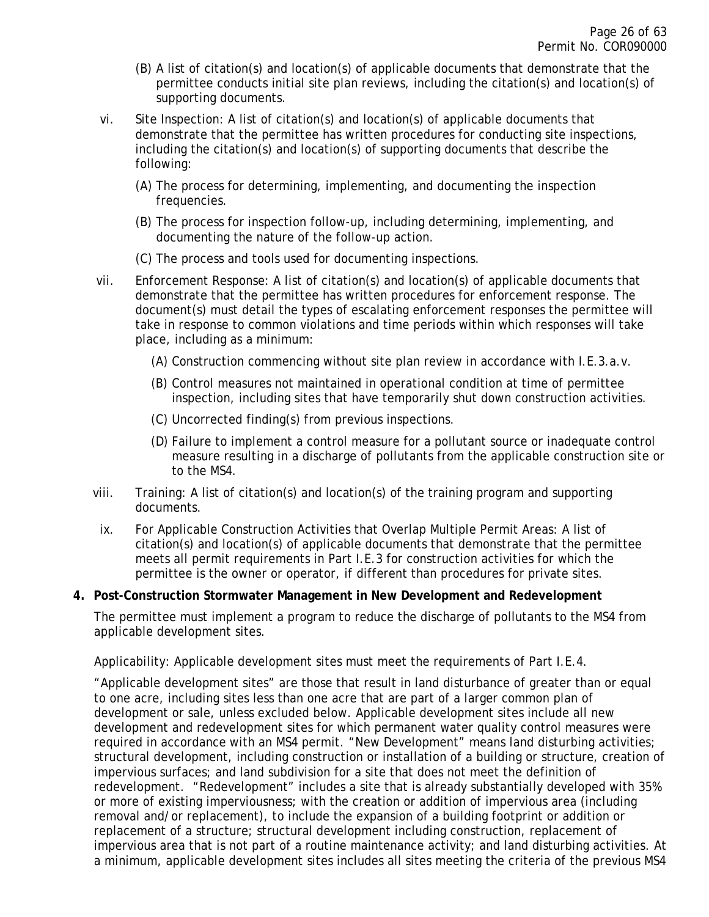- (B) A list of citation(s) and location(s) of applicable documents that demonstrate that the permittee conducts initial site plan reviews, including the citation(s) and location(s) of supporting documents.
- vi. Site Inspection: A list of citation(s) and location(s) of applicable documents that demonstrate that the permittee has written procedures for conducting site inspections, including the citation(s) and location(s) of supporting documents that describe the following:
	- (A) The process for determining, implementing, and documenting the inspection frequencies.
	- (B) The process for inspection follow-up, including determining, implementing, and documenting the nature of the follow-up action.
	- (C) The process and tools used for documenting inspections.
- vii. Enforcement Response: A list of citation(s) and location(s) of applicable documents that demonstrate that the permittee has written procedures for enforcement response. The document(s) must detail the types of escalating enforcement responses the permittee will take in response to common violations and time periods within which responses will take place, including as a minimum:
	- (A) Construction commencing without site plan review in accordance with I.E.3.a.v.
	- (B) Control measures not maintained in operational condition at time of permittee inspection, including sites that have temporarily shut down construction activities.
	- (C) Uncorrected finding(s) from previous inspections.
	- (D) Failure to implement a control measure for a pollutant source or inadequate control measure resulting in a discharge of pollutants from the applicable construction site or to the MS4.
- viii. Training: A list of citation(s) and location(s) of the training program and supporting documents.
- ix. For Applicable Construction Activities that Overlap Multiple Permit Areas: A list of citation(s) and location(s) of applicable documents that demonstrate that the permittee meets all permit requirements in Part I.E.3 for construction activities for which the permittee is the owner or operator, if different than procedures for private sites.

#### <span id="page-25-0"></span>**4. Post-Construction Stormwater Management in New Development and Redevelopment**

The permittee must implement a program to reduce the discharge of pollutants to the MS4 from applicable development sites.

Applicability: Applicable development sites must meet the requirements of Part I.E.4.

"Applicable development sites" are those that result in land disturbance of greater than or equal to one acre, including sites less than one acre that are part of a larger common plan of development or sale, unless excluded below. Applicable development sites include all new development and redevelopment sites for which permanent water quality control measures were required in accordance with an MS4 permit. "New Development" means land disturbing activities; structural development, including construction or installation of a building or structure, creation of impervious surfaces; and land subdivision for a site that does not meet the definition of redevelopment. "Redevelopment" includes a site that is already substantially developed with 35% or more of existing imperviousness; with the creation or addition of impervious area (including removal and/or replacement), to include the expansion of a building footprint or addition or replacement of a structure; structural development including construction, replacement of impervious area that is not part of a routine maintenance activity; and land disturbing activities. At a minimum, applicable development sites includes all sites meeting the criteria of the previous MS4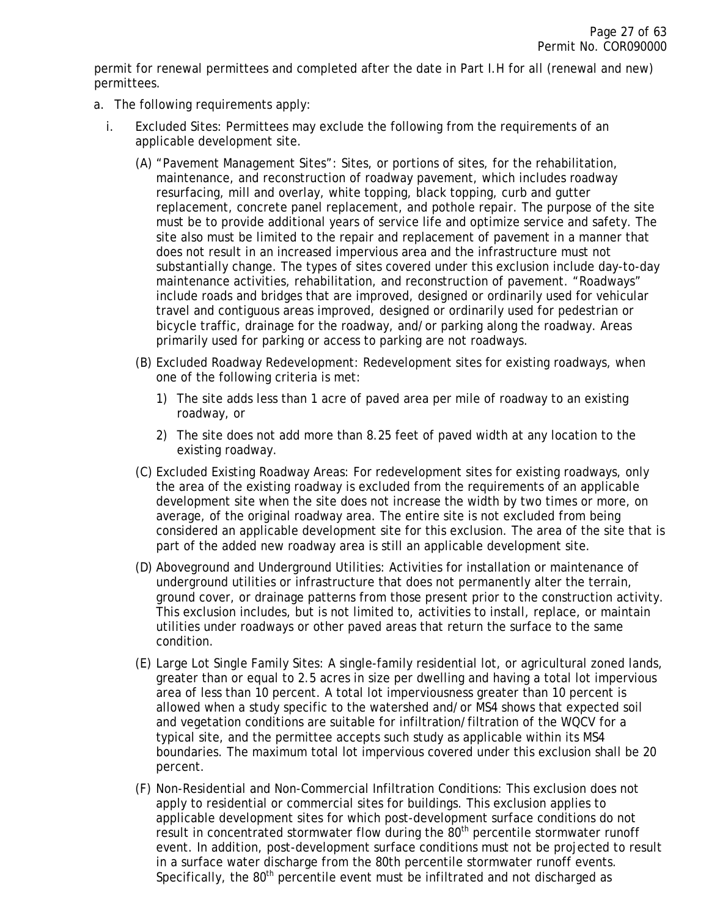permit for renewal permittees and completed after the date in Part I.H for all (renewal and new) permittees.

- a. The following requirements apply:
	- i. Excluded Sites: Permittees may exclude the following from the requirements of an applicable development site.
		- (A) "Pavement Management Sites": Sites, or portions of sites, for the rehabilitation, maintenance, and reconstruction of roadway pavement, which includes roadway resurfacing, mill and overlay, white topping, black topping, curb and gutter replacement, concrete panel replacement, and pothole repair. The purpose of the site must be to provide additional years of service life and optimize service and safety. The site also must be limited to the repair and replacement of pavement in a manner that does not result in an increased impervious area and the infrastructure must not substantially change. The types of sites covered under this exclusion include day-to-day maintenance activities, rehabilitation, and reconstruction of pavement. "Roadways" include roads and bridges that are improved, designed or ordinarily used for vehicular travel and contiguous areas improved, designed or ordinarily used for pedestrian or bicycle traffic, drainage for the roadway, and/or parking along the roadway. Areas primarily used for parking or access to parking are not roadways.
		- (B) Excluded Roadway Redevelopment: Redevelopment sites for existing roadways, when one of the following criteria is met:
			- 1) The site adds less than 1 acre of paved area per mile of roadway to an existing roadway, or
			- 2) The site does not add more than 8.25 feet of paved width at any location to the existing roadway.
		- (C) Excluded Existing Roadway Areas: For redevelopment sites for existing roadways, only the area of the existing roadway is excluded from the requirements of an applicable development site when the site does not increase the width by two times or more, on average, of the original roadway area. The entire site is not excluded from being considered an applicable development site for this exclusion. The area of the site that is part of the added new roadway area is still an applicable development site.
		- (D) Aboveground and Underground Utilities: Activities for installation or maintenance of underground utilities or infrastructure that does not permanently alter the terrain, ground cover, or drainage patterns from those present prior to the construction activity. This exclusion includes, but is not limited to, activities to install, replace, or maintain utilities under roadways or other paved areas that return the surface to the same condition.
		- (E) Large Lot Single Family Sites: A single-family residential lot, or agricultural zoned lands, greater than or equal to 2.5 acres in size per dwelling and having a total lot impervious area of less than 10 percent. A total lot imperviousness greater than 10 percent is allowed when a study specific to the watershed and/or MS4 shows that expected soil and vegetation conditions are suitable for infiltration/filtration of the WQCV for a typical site, and the permittee accepts such study as applicable within its MS4 boundaries. The maximum total lot impervious covered under this exclusion shall be 20 percent.
		- (F) Non-Residential and Non-Commercial Infiltration Conditions: This exclusion does not apply to residential or commercial sites for buildings. This exclusion applies to applicable development sites for which post-development surface conditions do not result in concentrated stormwater flow during the  $80<sup>th</sup>$  percentile stormwater runoff event. In addition, post-development surface conditions must not be projected to result in a surface water discharge from the 80th percentile stormwater runoff events. Specifically, the 80<sup>th</sup> percentile event must be infiltrated and not discharged as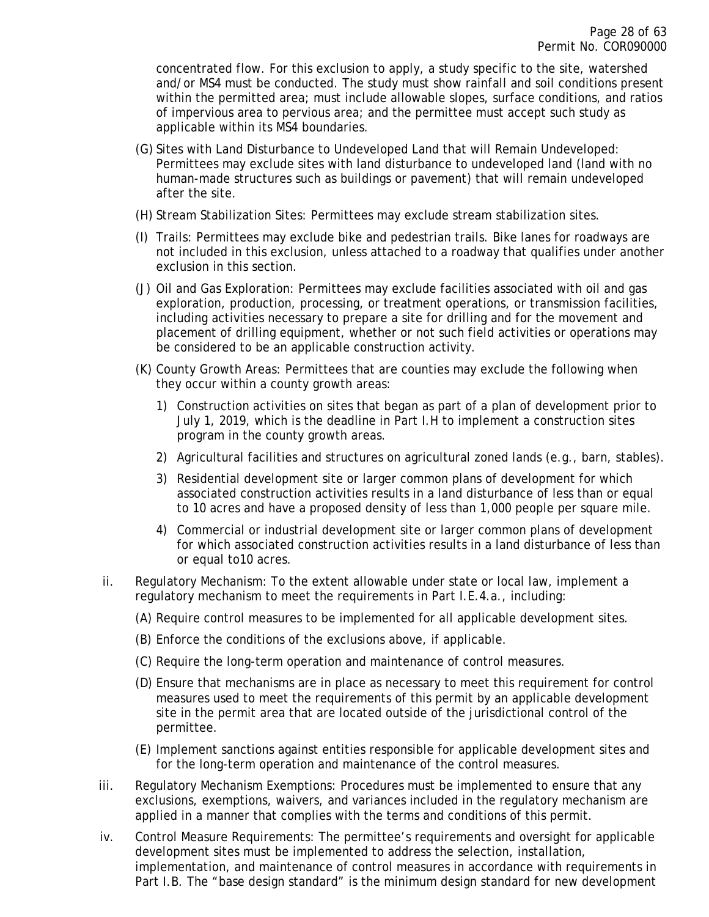concentrated flow. For this exclusion to apply, a study specific to the site, watershed and/or MS4 must be conducted. The study must show rainfall and soil conditions present within the permitted area; must include allowable slopes, surface conditions, and ratios of impervious area to pervious area; and the permittee must accept such study as applicable within its MS4 boundaries.

- (G) Sites with Land Disturbance to Undeveloped Land that will Remain Undeveloped: Permittees may exclude sites with land disturbance to undeveloped land (land with no human-made structures such as buildings or pavement) that will remain undeveloped after the site.
- (H) Stream Stabilization Sites: Permittees may exclude stream stabilization sites.
- (I) Trails: Permittees may exclude bike and pedestrian trails. Bike lanes for roadways are not included in this exclusion, unless attached to a roadway that qualifies under another exclusion in this section.
- (J) Oil and Gas Exploration: Permittees may exclude facilities associated with oil and gas exploration, production, processing, or treatment operations, or transmission facilities, including activities necessary to prepare a site for drilling and for the movement and placement of drilling equipment, whether or not such field activities or operations may be considered to be an applicable construction activity.
- (K) County Growth Areas: Permittees that are counties may exclude the following when they occur within a county growth areas:
	- 1) Construction activities on sites that began as part of a plan of development prior to July 1, 2019, which is the deadline in Part I.H to implement a construction sites program in the county growth areas.
	- 2) Agricultural facilities and structures on agricultural zoned lands (e.g., barn, stables).
	- 3) Residential development site or larger common plans of development for which associated construction activities results in a land disturbance of less than or equal to 10 acres and have a proposed density of less than 1,000 people per square mile.
	- 4) Commercial or industrial development site or larger common plans of development for which associated construction activities results in a land disturbance of less than or equal to10 acres.
- ii. Regulatory Mechanism: To the extent allowable under state or local law, implement a regulatory mechanism to meet the requirements in Part I.E.4.a., including:
	- (A) Require control measures to be implemented for all applicable development sites.
	- (B) Enforce the conditions of the exclusions above, if applicable.
	- (C) Require the long-term operation and maintenance of control measures.
	- (D) Ensure that mechanisms are in place as necessary to meet this requirement for control measures used to meet the requirements of this permit by an applicable development site in the permit area that are located outside of the jurisdictional control of the permittee.
	- (E) Implement sanctions against entities responsible for applicable development sites and for the long-term operation and maintenance of the control measures.
- iii. Regulatory Mechanism Exemptions: Procedures must be implemented to ensure that any exclusions, exemptions, waivers, and variances included in the regulatory mechanism are applied in a manner that complies with the terms and conditions of this permit.
- iv. Control Measure Requirements: The permittee's requirements and oversight for applicable development sites must be implemented to address the selection, installation, implementation, and maintenance of control measures in accordance with requirements in Part I.B. The "base design standard" is the minimum design standard for new development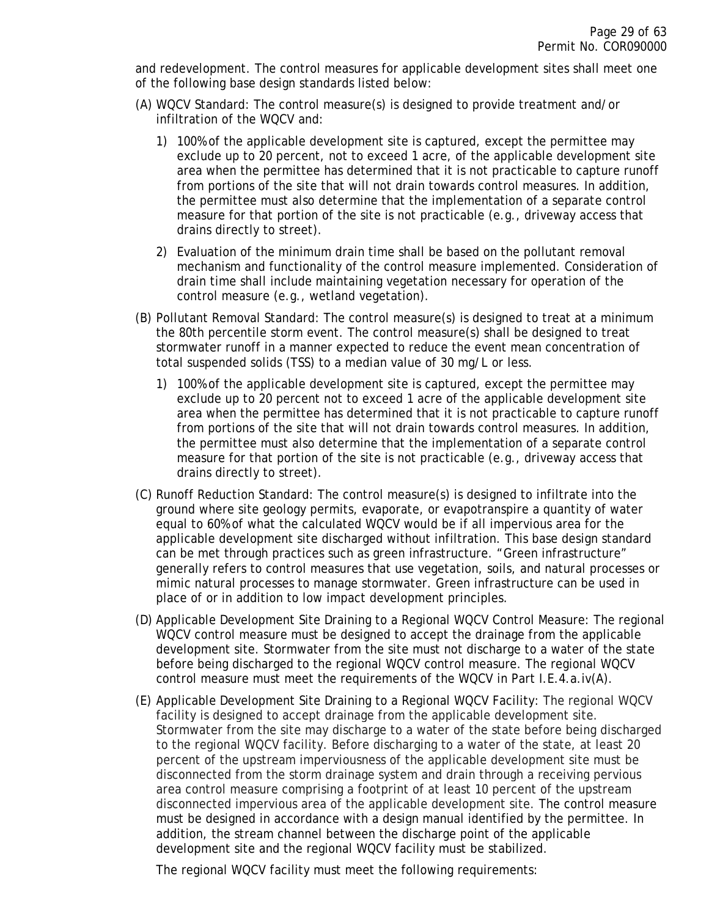and redevelopment. The control measures for applicable development sites shall meet one of the following base design standards listed below:

- (A) WQCV Standard: The control measure(s) is designed to provide treatment and/or infiltration of the WQCV and:
	- 1) 100% of the applicable development site is captured, except the permittee may exclude up to 20 percent, not to exceed 1 acre, of the applicable development site area when the permittee has determined that it is not practicable to capture runoff from portions of the site that will not drain towards control measures. In addition, the permittee must also determine that the implementation of a separate control measure for that portion of the site is not practicable (e.g., driveway access that drains directly to street).
	- 2) Evaluation of the minimum drain time shall be based on the pollutant removal mechanism and functionality of the control measure implemented. Consideration of drain time shall include maintaining vegetation necessary for operation of the control measure (e.g., wetland vegetation).
- (B) Pollutant Removal Standard: The control measure(s) is designed to treat at a minimum the 80th percentile storm event. The control measure(s) shall be designed to treat stormwater runoff in a manner expected to reduce the event mean concentration of total suspended solids (TSS) to a median value of 30 mg/L or less.
	- 1) 100% of the applicable development site is captured, except the permittee may exclude up to 20 percent not to exceed 1 acre of the applicable development site area when the permittee has determined that it is not practicable to capture runoff from portions of the site that will not drain towards control measures. In addition, the permittee must also determine that the implementation of a separate control measure for that portion of the site is not practicable (e.g., driveway access that drains directly to street).
- (C) Runoff Reduction Standard: The control measure(s) is designed to infiltrate into the ground where site geology permits, evaporate, or evapotranspire a quantity of water equal to 60% of what the calculated WQCV would be if all impervious area for the applicable development site discharged without infiltration. This base design standard can be met through practices such as green infrastructure. "Green infrastructure" generally refers to control measures that use vegetation, soils, and natural processes or mimic natural processes to manage stormwater. Green infrastructure can be used in place of or in addition to low impact development principles.
- (D) Applicable Development Site Draining to a Regional WQCV Control Measure: The regional WQCV control measure must be designed to accept the drainage from the applicable development site. Stormwater from the site must not discharge to a water of the state before being discharged to the regional WQCV control measure. The regional WQCV control measure must meet the requirements of the WQCV in Part I.E.4.a.iv(A).
- (E) Applicable Development Site Draining to a Regional WQCV Facility: The regional WQCV facility is designed to accept drainage from the applicable development site. Stormwater from the site may discharge to a water of the state before being discharged to the regional WQCV facility. Before discharging to a water of the state, at least 20 percent of the upstream imperviousness of the applicable development site must be disconnected from the storm drainage system and drain through a receiving pervious area control measure comprising a footprint of at least 10 percent of the upstream disconnected impervious area of the applicable development site. The control measure must be designed in accordance with a design manual identified by the permittee. In addition, the stream channel between the discharge point of the applicable development site and the regional WQCV facility must be stabilized.

The regional WQCV facility must meet the following requirements: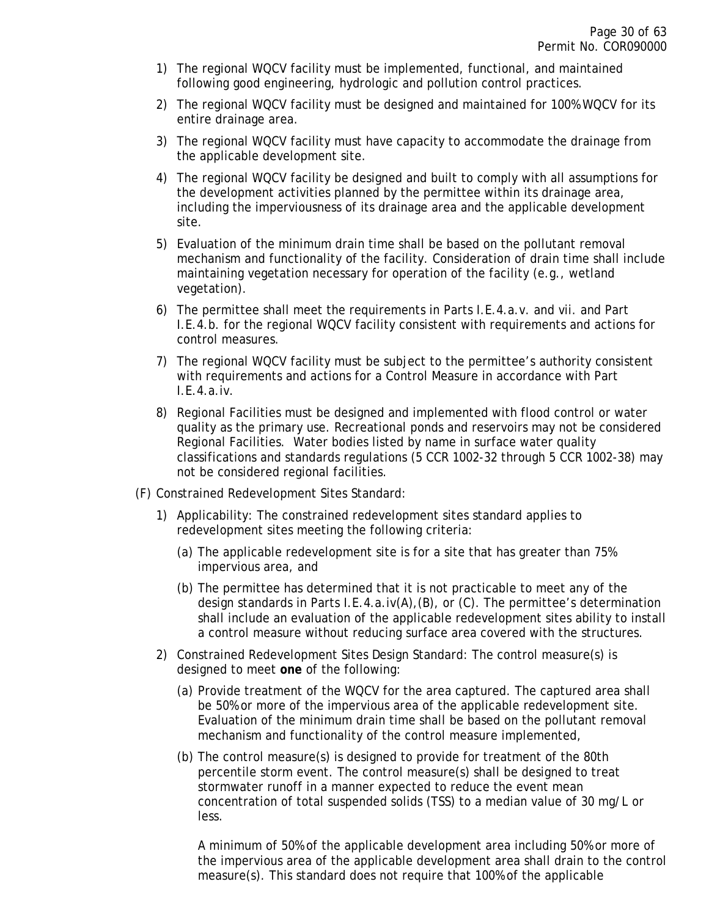- 1) The regional WQCV facility must be implemented, functional, and maintained following good engineering, hydrologic and pollution control practices.
- 2) The regional WQCV facility must be designed and maintained for 100% WQCV for its entire drainage area.
- 3) The regional WQCV facility must have capacity to accommodate the drainage from the applicable development site.
- 4) The regional WQCV facility be designed and built to comply with all assumptions for the development activities planned by the permittee within its drainage area, including the imperviousness of its drainage area and the applicable development site.
- 5) Evaluation of the minimum drain time shall be based on the pollutant removal mechanism and functionality of the facility. Consideration of drain time shall include maintaining vegetation necessary for operation of the facility (e.g., wetland vegetation).
- 6) The permittee shall meet the requirements in Parts I.E.4.a.v. and vii. and Part I.E.4.b. for the regional WQCV facility consistent with requirements and actions for control measures.
- 7) The regional WQCV facility must be subject to the permittee's authority consistent with requirements and actions for a Control Measure in accordance with Part I.E.4.a.iv.
- 8) Regional Facilities must be designed and implemented with flood control or water quality as the primary use. Recreational ponds and reservoirs may not be considered Regional Facilities. Water bodies listed by name in surface water quality classifications and standards regulations (5 CCR 1002-32 through 5 CCR 1002-38) may not be considered regional facilities.
- (F) Constrained Redevelopment Sites Standard:
	- 1) Applicability: The constrained redevelopment sites standard applies to redevelopment sites meeting the following criteria:
		- (a) The applicable redevelopment site is for a site that has greater than 75% impervious area, and
		- (b) The permittee has determined that it is not practicable to meet any of the design standards in Parts I.E.4.a.iv(A),(B), or (C). The permittee's determination shall include an evaluation of the applicable redevelopment sites ability to install a control measure without reducing surface area covered with the structures.
	- 2) Constrained Redevelopment Sites Design Standard: The control measure(s) is designed to meet **one** of the following:
		- (a) Provide treatment of the WQCV for the area captured. The captured area shall be 50% or more of the impervious area of the applicable redevelopment site. Evaluation of the minimum drain time shall be based on the pollutant removal mechanism and functionality of the control measure implemented,
		- (b) The control measure(s) is designed to provide for treatment of the 80th percentile storm event. The control measure(s) shall be designed to treat stormwater runoff in a manner expected to reduce the event mean concentration of total suspended solids (TSS) to a median value of 30 mg/L or less.

A minimum of 50% of the applicable development area including 50% or more of the impervious area of the applicable development area shall drain to the control measure(s). This standard does not require that 100% of the applicable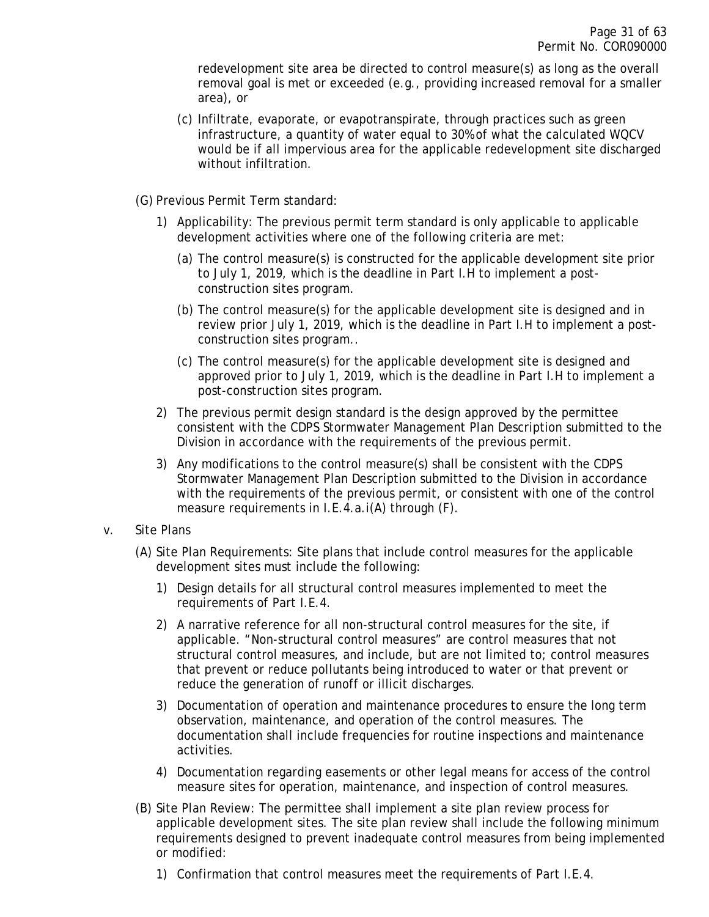redevelopment site area be directed to control measure(s) as long as the overall removal goal is met or exceeded (e.g., providing increased removal for a smaller area), or

- (c) Infiltrate, evaporate, or evapotranspirate, through practices such as green infrastructure, a quantity of water equal to 30% of what the calculated WQCV would be if all impervious area for the applicable redevelopment site discharged without infiltration.
- (G) Previous Permit Term standard:
	- 1) Applicability: The previous permit term standard is only applicable to applicable development activities where one of the following criteria are met:
		- (a) The control measure(s) is constructed for the applicable development site prior to July 1, 2019, which is the deadline in Part I.H to implement a postconstruction sites program.
		- (b) The control measure(s) for the applicable development site is designed and in review prior July 1, 2019, which is the deadline in Part I.H to implement a postconstruction sites program..
		- (c) The control measure(s) for the applicable development site is designed and approved prior to July 1, 2019, which is the deadline in Part I.H to implement a post-construction sites program.
	- 2) The previous permit design standard is the design approved by the permittee consistent with the CDPS Stormwater Management Plan Description submitted to the Division in accordance with the requirements of the previous permit.
	- 3) Any modifications to the control measure(s) shall be consistent with the CDPS Stormwater Management Plan Description submitted to the Division in accordance with the requirements of the previous permit, or consistent with one of the control measure requirements in I.E.4.a.i(A) through (F).
- v. Site Plans
	- (A) Site Plan Requirements: Site plans that include control measures for the applicable development sites must include the following:
		- 1) Design details for all structural control measures implemented to meet the requirements of Part I.E.4.
		- 2) A narrative reference for all non-structural control measures for the site, if applicable. "Non-structural control measures" are control measures that not structural control measures, and include, but are not limited to; control measures that prevent or reduce pollutants being introduced to water or that prevent or reduce the generation of runoff or illicit discharges.
		- 3) Documentation of operation and maintenance procedures to ensure the long term observation, maintenance, and operation of the control measures. The documentation shall include frequencies for routine inspections and maintenance activities.
		- 4) Documentation regarding easements or other legal means for access of the control measure sites for operation, maintenance, and inspection of control measures.
	- (B) Site Plan Review: The permittee shall implement a site plan review process for applicable development sites. The site plan review shall include the following minimum requirements designed to prevent inadequate control measures from being implemented or modified:
		- 1) Confirmation that control measures meet the requirements of Part I.E.4.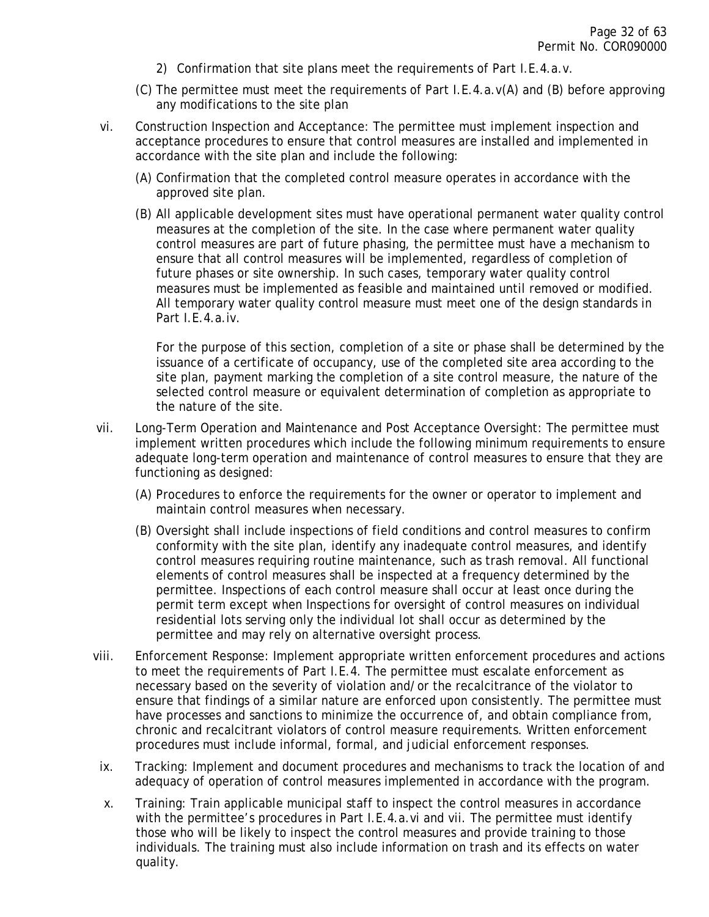- 2) Confirmation that site plans meet the requirements of Part I.E.4.a.v.
- (C) The permittee must meet the requirements of Part I.E.4.a.v(A) and (B) before approving any modifications to the site plan
- vi. Construction Inspection and Acceptance: The permittee must implement inspection and acceptance procedures to ensure that control measures are installed and implemented in accordance with the site plan and include the following:
	- (A) Confirmation that the completed control measure operates in accordance with the approved site plan.
	- (B) All applicable development sites must have operational permanent water quality control measures at the completion of the site. In the case where permanent water quality control measures are part of future phasing, the permittee must have a mechanism to ensure that all control measures will be implemented, regardless of completion of future phases or site ownership. In such cases, temporary water quality control measures must be implemented as feasible and maintained until removed or modified. All temporary water quality control measure must meet one of the design standards in Part I.E.4.a.iv.

For the purpose of this section, completion of a site or phase shall be determined by the issuance of a certificate of occupancy, use of the completed site area according to the site plan, payment marking the completion of a site control measure, the nature of the selected control measure or equivalent determination of completion as appropriate to the nature of the site.

- vii. Long-Term Operation and Maintenance and Post Acceptance Oversight: The permittee must implement written procedures which include the following minimum requirements to ensure adequate long-term operation and maintenance of control measures to ensure that they are functioning as designed:
	- (A) Procedures to enforce the requirements for the owner or operator to implement and maintain control measures when necessary.
	- (B) Oversight shall include inspections of field conditions and control measures to confirm conformity with the site plan, identify any inadequate control measures, and identify control measures requiring routine maintenance, such as trash removal. All functional elements of control measures shall be inspected at a frequency determined by the permittee. Inspections of each control measure shall occur at least once during the permit term except when Inspections for oversight of control measures on individual residential lots serving only the individual lot shall occur as determined by the permittee and may rely on alternative oversight process.
- viii. Enforcement Response: Implement appropriate written enforcement procedures and actions to meet the requirements of Part I.E.4. The permittee must escalate enforcement as necessary based on the severity of violation and/or the recalcitrance of the violator to ensure that findings of a similar nature are enforced upon consistently. The permittee must have processes and sanctions to minimize the occurrence of, and obtain compliance from, chronic and recalcitrant violators of control measure requirements. Written enforcement procedures must include informal, formal, and judicial enforcement responses.
- ix. Tracking: Implement and document procedures and mechanisms to track the location of and adequacy of operation of control measures implemented in accordance with the program.
- x. Training: Train applicable municipal staff to inspect the control measures in accordance with the permittee's procedures in Part I.E.4.a.vi and vii. The permittee must identify those who will be likely to inspect the control measures and provide training to those individuals. The training must also include information on trash and its effects on water quality.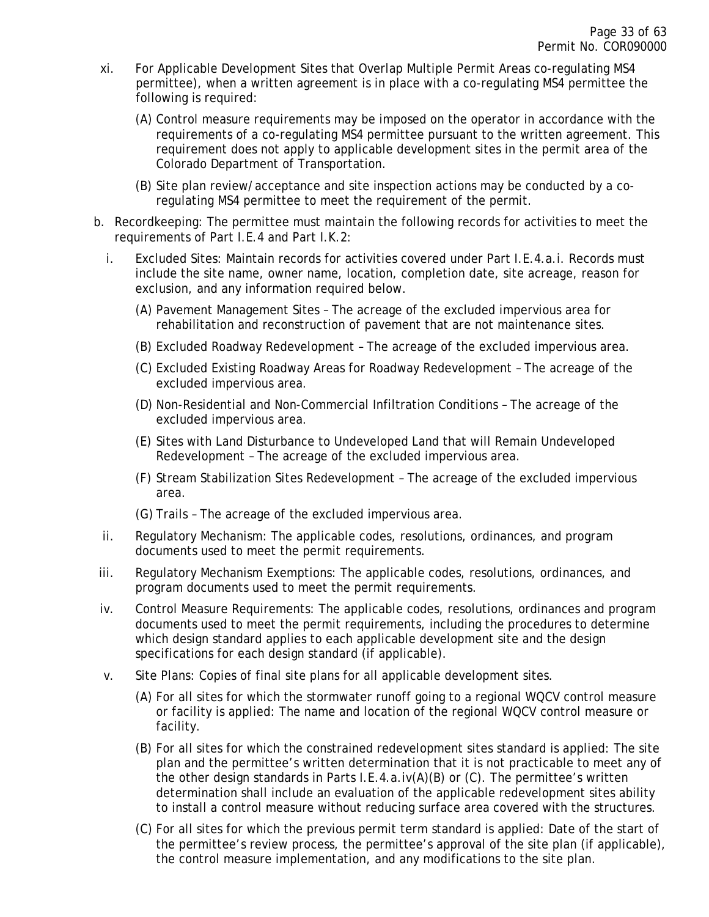- xi. For Applicable Development Sites that Overlap Multiple Permit Areas co-regulating MS4 permittee), when a written agreement is in place with a co-regulating MS4 permittee the following is required:
	- (A) Control measure requirements may be imposed on the operator in accordance with the requirements of a co-regulating MS4 permittee pursuant to the written agreement. This requirement does not apply to applicable development sites in the permit area of the Colorado Department of Transportation.
	- (B) Site plan review/acceptance and site inspection actions may be conducted by a coregulating MS4 permittee to meet the requirement of the permit.
- b. Recordkeeping: The permittee must maintain the following records for activities to meet the requirements of Part I.E.4 and Part I.K.2:
	- i. Excluded Sites: Maintain records for activities covered under Part I.E.4.a.i. Records must include the site name, owner name, location, completion date, site acreage, reason for exclusion, and any information required below.
		- (A) Pavement Management Sites The acreage of the excluded impervious area for rehabilitation and reconstruction of pavement that are not maintenance sites.
		- (B) Excluded Roadway Redevelopment The acreage of the excluded impervious area.
		- (C) Excluded Existing Roadway Areas for Roadway Redevelopment The acreage of the excluded impervious area.
		- (D) Non-Residential and Non-Commercial Infiltration Conditions The acreage of the excluded impervious area.
		- (E) Sites with Land Disturbance to Undeveloped Land that will Remain Undeveloped Redevelopment – The acreage of the excluded impervious area.
		- (F) Stream Stabilization Sites Redevelopment The acreage of the excluded impervious area.
		- (G) Trails The acreage of the excluded impervious area.
	- ii. Regulatory Mechanism: The applicable codes, resolutions, ordinances, and program documents used to meet the permit requirements.
- iii. Regulatory Mechanism Exemptions: The applicable codes, resolutions, ordinances, and program documents used to meet the permit requirements.
- iv. Control Measure Requirements: The applicable codes, resolutions, ordinances and program documents used to meet the permit requirements, including the procedures to determine which design standard applies to each applicable development site and the design specifications for each design standard (if applicable).
- v. Site Plans: Copies of final site plans for all applicable development sites.
	- (A) For all sites for which the stormwater runoff going to a regional WQCV control measure or facility is applied: The name and location of the regional WQCV control measure or facility.
	- (B) For all sites for which the constrained redevelopment sites standard is applied: The site plan and the permittee's written determination that it is not practicable to meet any of the other design standards in Parts I.E.4.a.iv(A)(B) or (C). The permittee's written determination shall include an evaluation of the applicable redevelopment sites ability to install a control measure without reducing surface area covered with the structures.
	- (C) For all sites for which the previous permit term standard is applied: Date of the start of the permittee's review process, the permittee's approval of the site plan (if applicable), the control measure implementation, and any modifications to the site plan.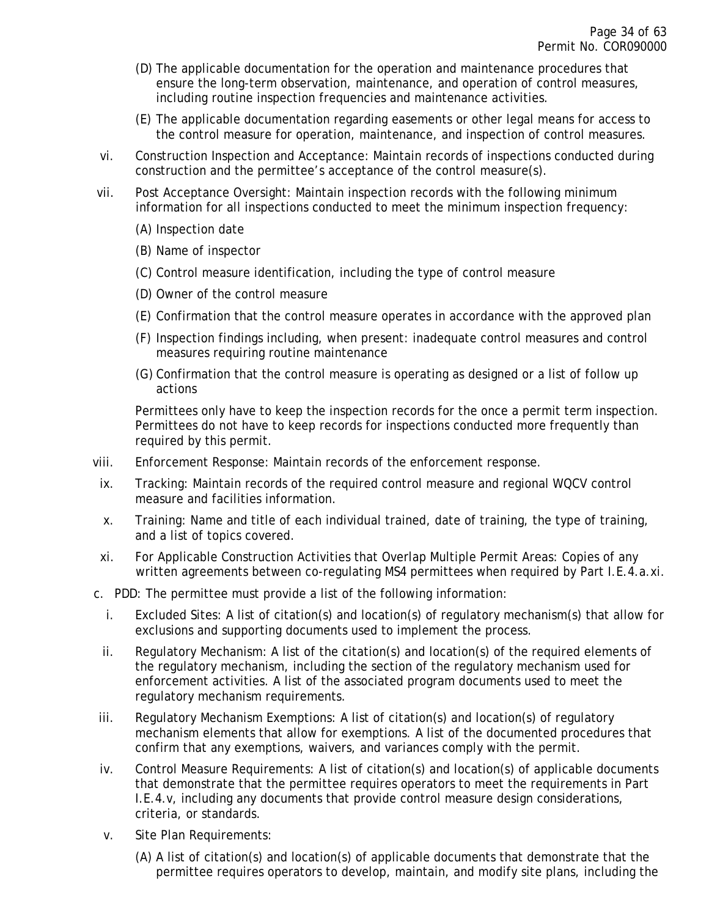- (D) The applicable documentation for the operation and maintenance procedures that ensure the long-term observation, maintenance, and operation of control measures, including routine inspection frequencies and maintenance activities.
- (E) The applicable documentation regarding easements or other legal means for access to the control measure for operation, maintenance, and inspection of control measures.
- vi. Construction Inspection and Acceptance: Maintain records of inspections conducted during construction and the permittee's acceptance of the control measure(s).
- vii. Post Acceptance Oversight: Maintain inspection records with the following minimum information for all inspections conducted to meet the minimum inspection frequency:
	- (A) Inspection date
	- (B) Name of inspector
	- (C) Control measure identification, including the type of control measure
	- (D) Owner of the control measure
	- (E) Confirmation that the control measure operates in accordance with the approved plan
	- (F) Inspection findings including, when present: inadequate control measures and control measures requiring routine maintenance
	- (G) Confirmation that the control measure is operating as designed or a list of follow up actions

Permittees only have to keep the inspection records for the once a permit term inspection. Permittees do not have to keep records for inspections conducted more frequently than required by this permit.

- viii. Enforcement Response: Maintain records of the enforcement response.
- ix. Tracking: Maintain records of the required control measure and regional WQCV control measure and facilities information.
- x. Training: Name and title of each individual trained, date of training, the type of training, and a list of topics covered.
- xi. For Applicable Construction Activities that Overlap Multiple Permit Areas: Copies of any written agreements between co-regulating MS4 permittees when required by Part I.E.4.a.xi.
- c. PDD: The permittee must provide a list of the following information:
	- i. Excluded Sites: A list of citation(s) and location(s) of regulatory mechanism(s) that allow for exclusions and supporting documents used to implement the process.
	- ii. Regulatory Mechanism: A list of the citation(s) and location(s) of the required elements of the regulatory mechanism, including the section of the regulatory mechanism used for enforcement activities. A list of the associated program documents used to meet the regulatory mechanism requirements.
- iii. Regulatory Mechanism Exemptions: A list of citation(s) and location(s) of regulatory mechanism elements that allow for exemptions. A list of the documented procedures that confirm that any exemptions, waivers, and variances comply with the permit.
- iv. Control Measure Requirements: A list of citation(s) and location(s) of applicable documents that demonstrate that the permittee requires operators to meet the requirements in Part I.E.4.v, including any documents that provide control measure design considerations, criteria, or standards.
- v. Site Plan Requirements:
	- (A) A list of citation(s) and location(s) of applicable documents that demonstrate that the permittee requires operators to develop, maintain, and modify site plans, including the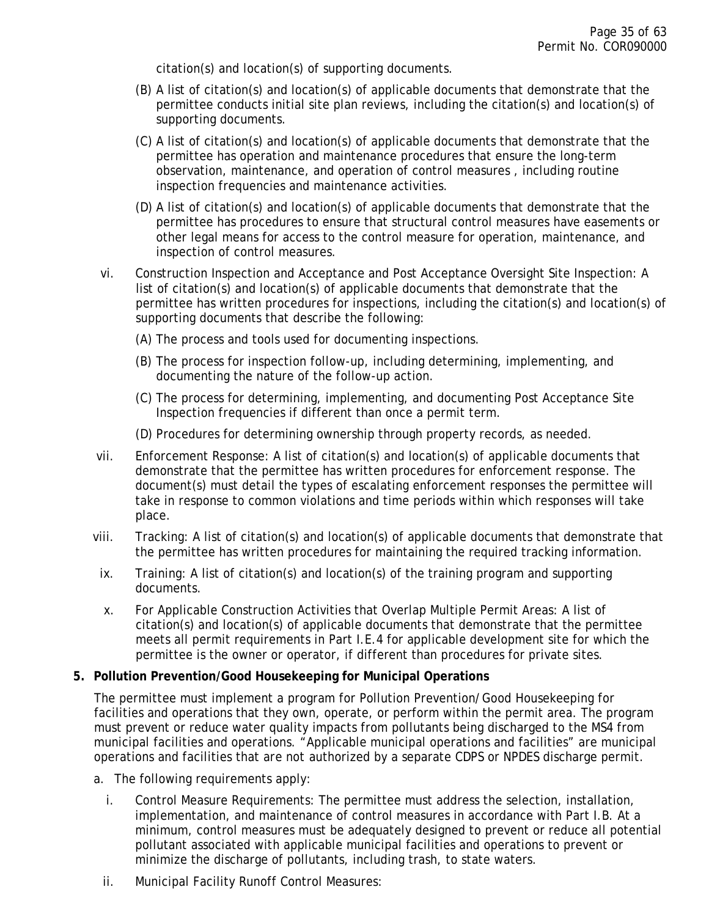citation(s) and location(s) of supporting documents.

- (B) A list of citation(s) and location(s) of applicable documents that demonstrate that the permittee conducts initial site plan reviews, including the citation(s) and location(s) of supporting documents.
- (C) A list of citation(s) and location(s) of applicable documents that demonstrate that the permittee has operation and maintenance procedures that ensure the long-term observation, maintenance, and operation of control measures , including routine inspection frequencies and maintenance activities.
- (D) A list of citation(s) and location(s) of applicable documents that demonstrate that the permittee has procedures to ensure that structural control measures have easements or other legal means for access to the control measure for operation, maintenance, and inspection of control measures.
- vi. Construction Inspection and Acceptance and Post Acceptance Oversight Site Inspection: A list of citation(s) and location(s) of applicable documents that demonstrate that the permittee has written procedures for inspections, including the citation(s) and location(s) of supporting documents that describe the following:
	- (A) The process and tools used for documenting inspections.
	- (B) The process for inspection follow-up, including determining, implementing, and documenting the nature of the follow-up action.
	- (C) The process for determining, implementing, and documenting Post Acceptance Site Inspection frequencies if different than once a permit term.
	- (D) Procedures for determining ownership through property records, as needed.
- vii. Enforcement Response: A list of citation(s) and location(s) of applicable documents that demonstrate that the permittee has written procedures for enforcement response. The document(s) must detail the types of escalating enforcement responses the permittee will take in response to common violations and time periods within which responses will take place.
- viii. Tracking: A list of citation(s) and location(s) of applicable documents that demonstrate that the permittee has written procedures for maintaining the required tracking information.
- ix. Training: A list of citation(s) and location(s) of the training program and supporting documents.
- x. For Applicable Construction Activities that Overlap Multiple Permit Areas: A list of citation(s) and location(s) of applicable documents that demonstrate that the permittee meets all permit requirements in Part I.E.4 for applicable development site for which the permittee is the owner or operator, if different than procedures for private sites.

#### <span id="page-34-0"></span>**5. Pollution Prevention/Good Housekeeping for Municipal Operations**

The permittee must implement a program for Pollution Prevention/Good Housekeeping for facilities and operations that they own, operate, or perform within the permit area. The program must prevent or reduce water quality impacts from pollutants being discharged to the MS4 from municipal facilities and operations. "Applicable municipal operations and facilities" are municipal operations and facilities that *are not* authorized by a separate CDPS or NPDES discharge permit.

- a. The following requirements apply:
	- i. Control Measure Requirements: The permittee must address the selection, installation, implementation, and maintenance of control measures in accordance with Part I.B. At a minimum, control measures must be adequately designed to prevent or reduce all potential pollutant associated with applicable municipal facilities and operations to prevent or minimize the discharge of pollutants, including trash, to state waters.
	- ii. Municipal Facility Runoff Control Measures: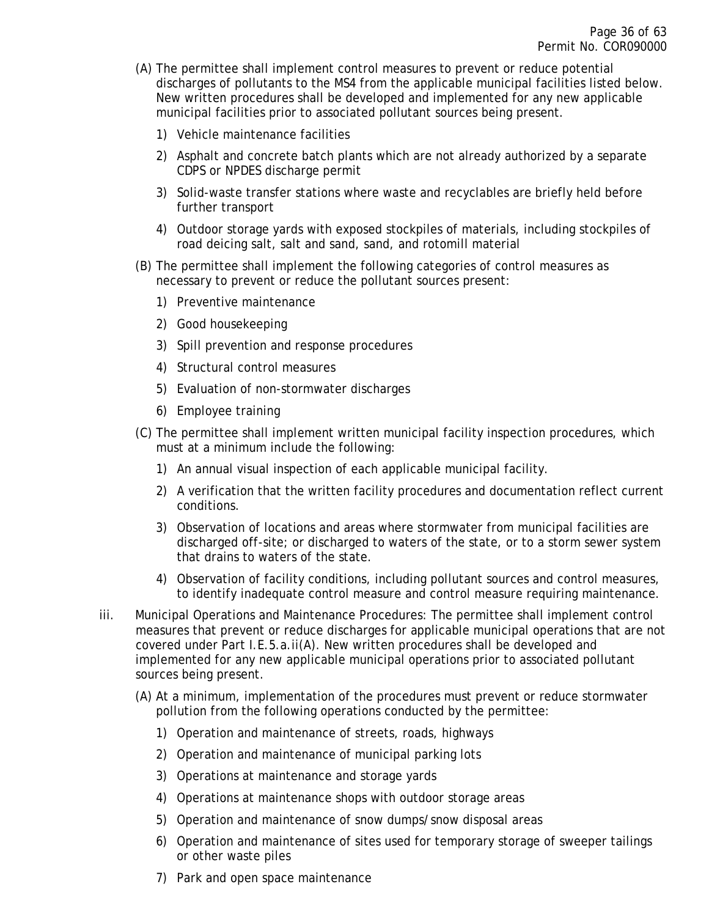- (A) The permittee shall implement control measures to prevent or reduce potential discharges of pollutants to the MS4 from the applicable municipal facilities listed below. New written procedures shall be developed and implemented for any new applicable municipal facilities prior to associated pollutant sources being present.
	- 1) Vehicle maintenance facilities
	- 2) Asphalt and concrete batch plants which are not already authorized by a separate CDPS or NPDES discharge permit
	- 3) Solid-waste transfer stations where waste and recyclables are briefly held before further transport
	- 4) Outdoor storage yards with exposed stockpiles of materials, including stockpiles of road deicing salt, salt and sand, sand, and rotomill material
- (B) The permittee shall implement the following categories of control measures as necessary to prevent or reduce the pollutant sources present:
	- 1) Preventive maintenance
	- 2) Good housekeeping
	- 3) Spill prevention and response procedures
	- 4) Structural control measures
	- 5) Evaluation of non-stormwater discharges
	- 6) Employee training
- (C) The permittee shall implement written municipal facility inspection procedures, which must at a minimum include the following:
	- 1) An annual visual inspection of each applicable municipal facility.
	- 2) A verification that the written facility procedures and documentation reflect current conditions.
	- 3) Observation of locations and areas where stormwater from municipal facilities are discharged off-site; or discharged to waters of the state, or to a storm sewer system that drains to waters of the state.
	- 4) Observation of facility conditions, including pollutant sources and control measures, to identify inadequate control measure and control measure requiring maintenance.
- iii. Municipal Operations and Maintenance Procedures: The permittee shall implement control measures that prevent or reduce discharges for applicable municipal operations that are not covered under Part I.E.5.a.ii(A). New written procedures shall be developed and implemented for any new applicable municipal operations prior to associated pollutant sources being present.
	- (A) At a minimum, implementation of the procedures must prevent or reduce stormwater pollution from the following operations conducted by the permittee:
		- 1) Operation and maintenance of streets, roads, highways
		- 2) Operation and maintenance of municipal parking lots
		- 3) Operations at maintenance and storage yards
		- 4) Operations at maintenance shops with outdoor storage areas
		- 5) Operation and maintenance of snow dumps/snow disposal areas
		- 6) Operation and maintenance of sites used for temporary storage of sweeper tailings or other waste piles
		- 7) Park and open space maintenance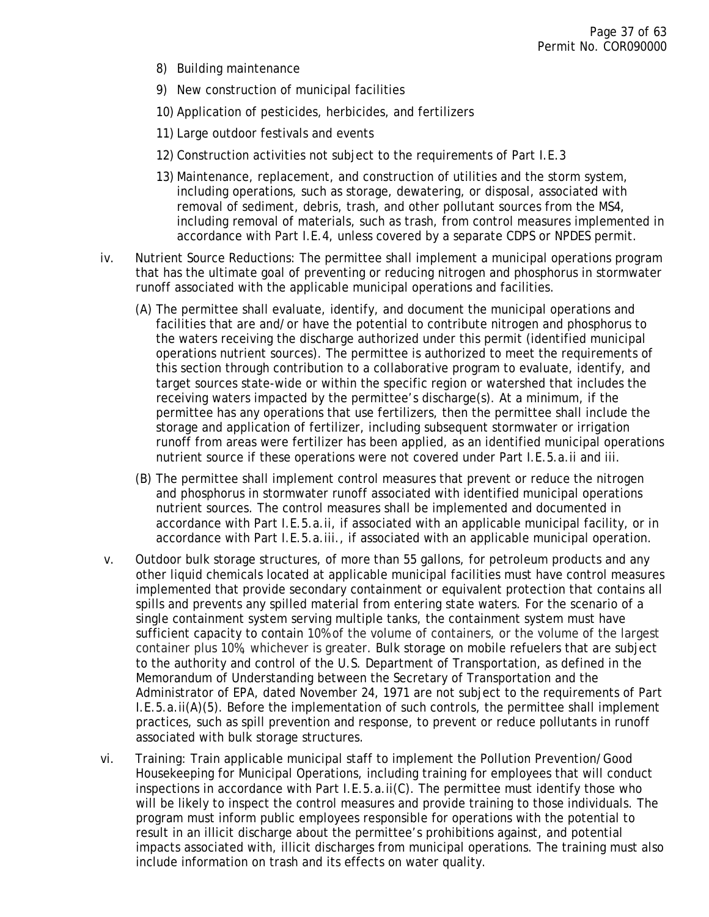- 8) Building maintenance
- 9) New construction of municipal facilities
- 10) Application of pesticides, herbicides, and fertilizers
- 11) Large outdoor festivals and events
- 12) Construction activities not subject to the requirements of Part I.E.3
- 13) Maintenance, replacement, and construction of utilities and the storm system, including operations, such as storage, dewatering, or disposal, associated with removal of sediment, debris, trash, and other pollutant sources from the MS4, including removal of materials, such as trash, from control measures implemented in accordance with Part I.E.4, unless covered by a separate CDPS or NPDES permit.
- iv. Nutrient Source Reductions: The permittee shall implement a municipal operations program that has the ultimate goal of preventing or reducing nitrogen and phosphorus in stormwater runoff associated with the applicable municipal operations and facilities.
	- (A) The permittee shall evaluate, identify, and document the municipal operations and facilities that are and/or have the potential to contribute nitrogen and phosphorus to the waters receiving the discharge authorized under this permit (identified municipal operations nutrient sources). The permittee is authorized to meet the requirements of this section through contribution to a collaborative program to evaluate, identify, and target sources state-wide or within the specific region or watershed that includes the receiving waters impacted by the permittee's discharge(s). At a minimum, if the permittee has any operations that use fertilizers, then the permittee shall include the storage and application of fertilizer, including subsequent stormwater or irrigation runoff from areas were fertilizer has been applied, as an identified municipal operations nutrient source if these operations were not covered under Part I.E.5.a.ii and iii.
	- (B) The permittee shall implement control measures that prevent or reduce the nitrogen and phosphorus in stormwater runoff associated with identified municipal operations nutrient sources. The control measures shall be implemented and documented in accordance with Part I.E.5.a.ii, if associated with an applicable municipal facility, or in accordance with Part I.E.5.a.iii., if associated with an applicable municipal operation.
- v. Outdoor bulk storage structures, of more than 55 gallons, for petroleum products and any other liquid chemicals located at applicable municipal facilities must have control measures implemented that provide secondary containment or equivalent protection that contains all spills and prevents any spilled material from entering state waters. For the scenario of a single containment system serving multiple tanks, the containment system must have sufficient capacity to contain 10% of the volume of containers, or the volume of the largest container plus 10%, whichever is greater. Bulk storage on mobile refuelers that are subject to the authority and control of the U.S. Department of Transportation, as defined in the Memorandum of Understanding between the Secretary of Transportation and the Administrator of EPA, dated November 24, 1971 are not subject to the requirements of Part I.E.5.a.ii(A)(5). Before the implementation of such controls, the permittee shall implement practices, such as spill prevention and response, to prevent or reduce pollutants in runoff associated with bulk storage structures.
- vi. Training: Train applicable municipal staff to implement the Pollution Prevention/Good Housekeeping for Municipal Operations, including training for employees that will conduct inspections in accordance with Part I.E.5.a.ii(C). The permittee must identify those who will be likely to inspect the control measures and provide training to those individuals. The program must inform public employees responsible for operations with the potential to result in an illicit discharge about the permittee's prohibitions against, and potential impacts associated with, illicit discharges from municipal operations. The training must also include information on trash and its effects on water quality.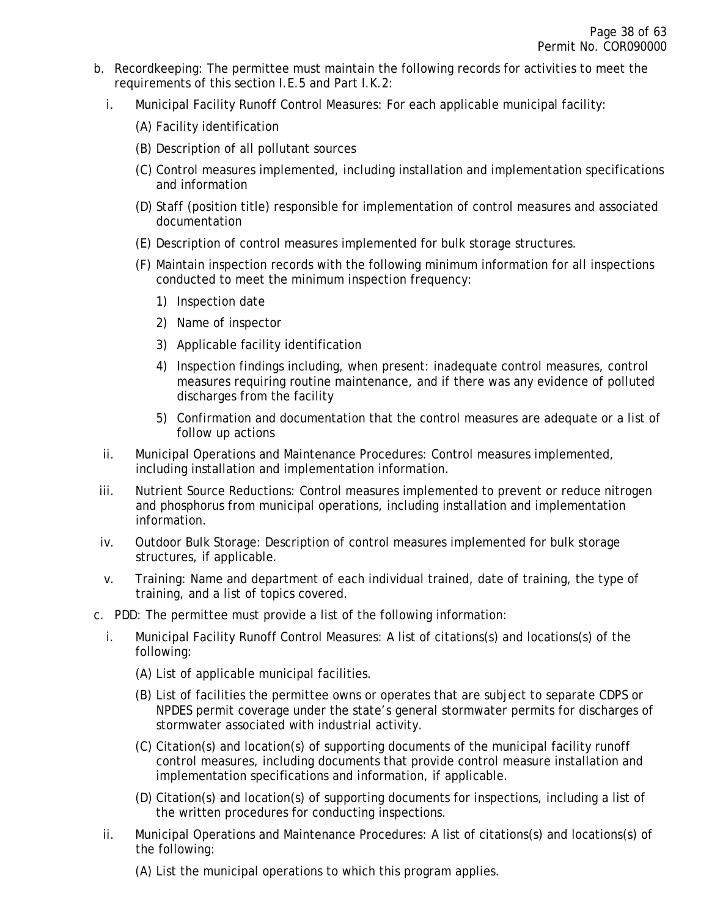- b. Recordkeeping: The permittee must maintain the following records for activities to meet the requirements of this section I.E.5 and Part I.K.2:
	- i. Municipal Facility Runoff Control Measures: For each applicable municipal facility:
		- (A) Facility identification
		- (B) Description of all pollutant sources
		- (C) Control measures implemented, including installation and implementation specifications and information
		- (D) Staff (position title) responsible for implementation of control measures and associated documentation
		- (E) Description of control measures implemented for bulk storage structures.
		- (F) Maintain inspection records with the following minimum information for all inspections conducted to meet the minimum inspection frequency:
			- 1) Inspection date
			- 2) Name of inspector
			- 3) Applicable facility identification
			- 4) Inspection findings including, when present: inadequate control measures, control measures requiring routine maintenance, and if there was any evidence of polluted discharges from the facility
			- 5) Confirmation and documentation that the control measures are adequate or a list of follow up actions
	- ii. Municipal Operations and Maintenance Procedures: Control measures implemented, including installation and implementation information.
- iii. Nutrient Source Reductions: Control measures implemented to prevent or reduce nitrogen and phosphorus from municipal operations, including installation and implementation information.
- iv. Outdoor Bulk Storage: Description of control measures implemented for bulk storage structures, if applicable.
- v. Training: Name and department of each individual trained, date of training, the type of training, and a list of topics covered.
- c. PDD: The permittee must provide a list of the following information:
	- i. Municipal Facility Runoff Control Measures: A list of citations(s) and locations(s) of the following:
		- (A) List of applicable municipal facilities.
		- (B) List of facilities the permittee owns or operates that are subject to separate CDPS or NPDES permit coverage under the state's general stormwater permits for discharges of stormwater associated with industrial activity.
		- (C) Citation(s) and location(s) of supporting documents of the municipal facility runoff control measures, including documents that provide control measure installation and implementation specifications and information, if applicable.
		- (D) Citation(s) and location(s) of supporting documents for inspections, including a list of the written procedures for conducting inspections.
	- ii. Municipal Operations and Maintenance Procedures: A list of citations(s) and locations(s) of the following:
		- (A) List the municipal operations to which this program applies.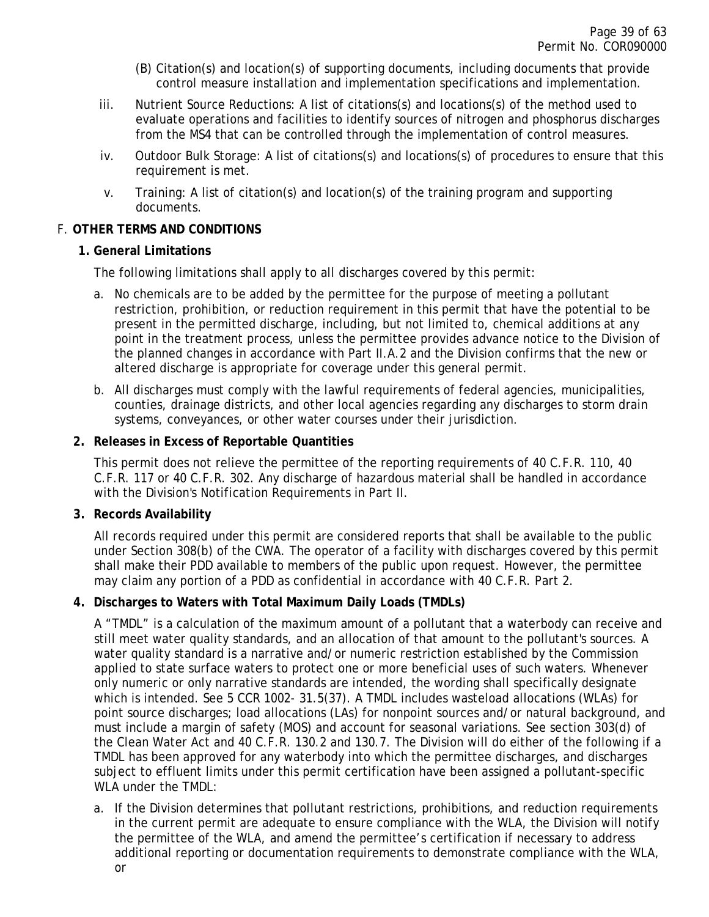- (B) Citation(s) and location(s) of supporting documents, including documents that provide control measure installation and implementation specifications and implementation.
- iii. Nutrient Source Reductions: A list of citations(s) and locations(s) of the method used to evaluate operations and facilities to identify sources of nitrogen and phosphorus discharges from the MS4 that can be controlled through the implementation of control measures.
- iv. Outdoor Bulk Storage: A list of citations(s) and locations(s) of procedures to ensure that this requirement is met.
- v. Training: A list of citation(s) and location(s) of the training program and supporting documents.

# <span id="page-38-1"></span><span id="page-38-0"></span>F. **OTHER TERMS AND CONDITIONS**

# **1. General Limitations**

The following limitations shall apply to all discharges covered by this permit:

- a. No chemicals are to be added by the permittee for the purpose of meeting a pollutant restriction, prohibition, or reduction requirement in this permit that have the potential to be present in the permitted discharge, including, but not limited to, chemical additions at any point in the treatment process, unless the permittee provides advance notice to the Division of the planned changes in accordance with Part II.A.2 and the Division confirms that the new or altered discharge is appropriate for coverage under this general permit.
- b. All discharges must comply with the lawful requirements of federal agencies, municipalities, counties, drainage districts, and other local agencies regarding any discharges to storm drain systems, conveyances, or other water courses under their jurisdiction.

# <span id="page-38-2"></span>**2. Releases in Excess of Reportable Quantities**

This permit does not relieve the permittee of the reporting requirements of 40 C.F.R. 110, 40 C.F.R. 117 or 40 C.F.R. 302. Any discharge of hazardous material shall be handled in accordance with the Division's Notification Requirements in Part II.

### <span id="page-38-3"></span>**3. Records Availability**

All records required under this permit are considered reports that shall be available to the public under Section 308(b) of the CWA. The operator of a facility with discharges covered by this permit shall make their PDD available to members of the public upon request. However, the permittee may claim any portion of a PDD as confidential in accordance with 40 C.F.R. Part 2.

# <span id="page-38-4"></span>**4. Discharges to Waters with Total Maximum Daily Loads (TMDLs)**

A "TMDL" is a calculation of the maximum amount of a pollutant that a waterbody can receive and still meet water quality standards, and an allocation of that amount to the pollutant's sources. A water quality standard is a narrative and/or numeric restriction established by the Commission applied to state surface waters to protect one or more beneficial uses of such waters. Whenever only numeric or only narrative standards are intended, the wording shall specifically designate which is intended. See 5 CCR 1002- 31.5(37). A TMDL includes wasteload allocations (WLAs) for point source discharges; load allocations (LAs) for nonpoint sources and/or natural background, and must include a margin of safety (MOS) and account for seasonal variations. See section 303(d) of the Clean Water Act and 40 C.F.R. 130.2 and 130.7. The Division will do either of the following if a TMDL has been approved for any waterbody into which the permittee discharges, and discharges subject to effluent limits under this permit certification have been assigned a pollutant-specific WLA under the TMDL:

a. If the Division determines that pollutant restrictions, prohibitions, and reduction requirements in the current permit are adequate to ensure compliance with the WLA, the Division will notify the permittee of the WLA, and amend the permittee's certification if necessary to address additional reporting or documentation requirements to demonstrate compliance with the WLA, or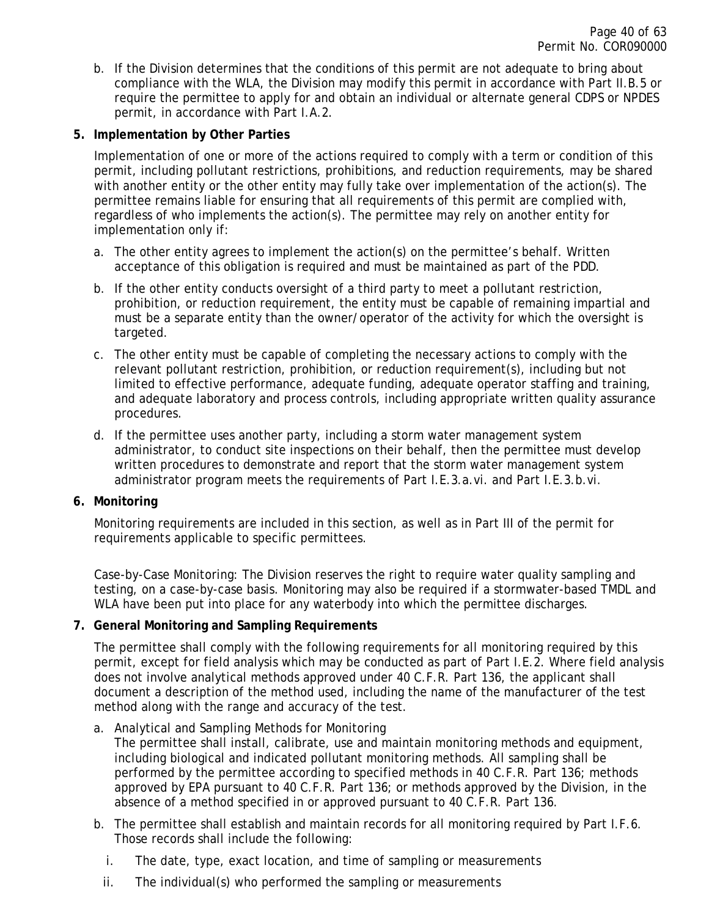b. If the Division determines that the conditions of this permit are not adequate to bring about compliance with the WLA, the Division may modify this permit in accordance with Part II.B.5 or require the permittee to apply for and obtain an individual or alternate general CDPS or NPDES permit, in accordance with Part I.A.2.

### <span id="page-39-0"></span>**5. Implementation by Other Parties**

Implementation of one or more of the actions required to comply with a term or condition of this permit, including pollutant restrictions, prohibitions, and reduction requirements, may be shared with another entity or the other entity may fully take over implementation of the action(s). The permittee remains liable for ensuring that all requirements of this permit are complied with, regardless of who implements the action(s). The permittee may rely on another entity for implementation only if:

- a. The other entity agrees to implement the action(s) on the permittee's behalf. Written acceptance of this obligation is required and must be maintained as part of the PDD.
- b. If the other entity conducts oversight of a third party to meet a pollutant restriction, prohibition, or reduction requirement, the entity must be capable of remaining impartial and must be a separate entity than the owner/operator of the activity for which the oversight is targeted.
- c. The other entity must be capable of completing the necessary actions to comply with the relevant pollutant restriction, prohibition, or reduction requirement(s), including but not limited to effective performance, adequate funding, adequate operator staffing and training, and adequate laboratory and process controls, including appropriate written quality assurance procedures.
- d. If the permittee uses another party, including a storm water management system administrator, to conduct site inspections on their behalf, then the permittee must develop written procedures to demonstrate and report that the storm water management system administrator program meets the requirements of Part I.E.3.a.vi. and Part I.E.3.b.vi.

### <span id="page-39-1"></span>**6. Monitoring**

Monitoring requirements are included in this section, as well as in Part III of the permit for requirements applicable to specific permittees.

Case-by-Case Monitoring: The Division reserves the right to require water quality sampling and testing, on a case-by-case basis. Monitoring may also be required if a stormwater-based TMDL and WLA have been put into place for any waterbody into which the permittee discharges.

# <span id="page-39-2"></span>**7. General Monitoring and Sampling Requirements**

The permittee shall comply with the following requirements for all monitoring required by this permit, except for field analysis which may be conducted as part of Part I.E.2. Where field analysis does not involve analytical methods approved under 40 C.F.R. Part 136, the applicant shall document a description of the method used, including the name of the manufacturer of the test method along with the range and accuracy of the test.

- a. Analytical and Sampling Methods for Monitoring
	- The permittee shall install, calibrate, use and maintain monitoring methods and equipment, including biological and indicated pollutant monitoring methods. All sampling shall be performed by the permittee according to specified methods in 40 C.F.R. Part 136; methods approved by EPA pursuant to 40 C.F.R. Part 136; or methods approved by the Division, in the absence of a method specified in or approved pursuant to 40 C.F.R. Part 136.
- b. The permittee shall establish and maintain records for all monitoring required by Part I.F.6. Those records shall include the following:
	- i. The date, type, exact location, and time of sampling or measurements
	- ii. The individual(s) who performed the sampling or measurements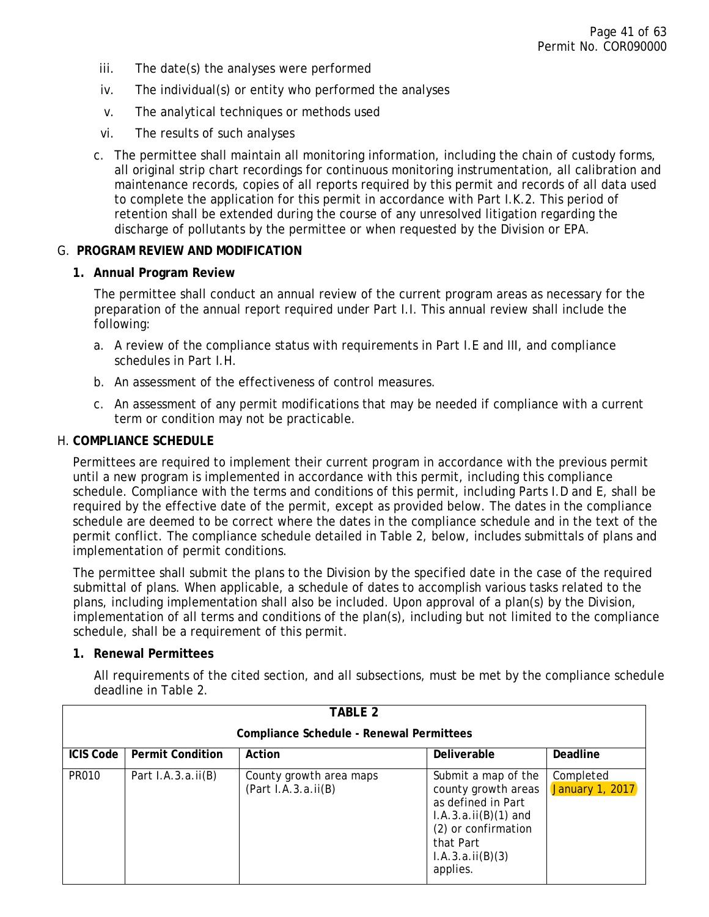- iii. The date(s) the analyses were performed
- iv. The individual(s) or entity who performed the analyses
- v. The analytical techniques or methods used
- vi. The results of such analyses
- c. The permittee shall maintain all monitoring information, including the chain of custody forms, all original strip chart recordings for continuous monitoring instrumentation, all calibration and maintenance records, copies of all reports required by this permit and records of all data used to complete the application for this permit in accordance with Part I.K.2. This period of retention shall be extended during the course of any unresolved litigation regarding the discharge of pollutants by the permittee or when requested by the Division or EPA.

#### <span id="page-40-1"></span><span id="page-40-0"></span>G. **PROGRAM REVIEW AND MODIFICATION**

#### **1. Annual Program Review**

The permittee shall conduct an annual review of the current program areas as necessary for the preparation of the annual report required under Part I.I. This annual review shall include the following:

- a. A review of the compliance status with requirements in Part I.E and III, and compliance schedules in Part I.H.
- b. An assessment of the effectiveness of control measures.
- c. An assessment of any permit modifications that may be needed if compliance with a current term or condition may not be practicable.

#### <span id="page-40-2"></span>H. **COMPLIANCE SCHEDULE**

Permittees are required to implement their current program in accordance with the previous permit until a new program is implemented in accordance with this permit, including this compliance schedule. Compliance with the terms and conditions of this permit, including Parts I.D and E, shall be required by the effective date of the permit, except as provided below. The dates in the compliance schedule are deemed to be correct where the dates in the compliance schedule and in the text of the permit conflict. The compliance schedule detailed in Table 2, below, includes submittals of plans and implementation of permit conditions.

The permittee shall submit the plans to the Division by the specified date in the case of the required submittal of plans. When applicable, a schedule of dates to accomplish various tasks related to the plans, including implementation shall also be included. Upon approval of a plan(s) by the Division, implementation of all terms and conditions of the plan(s), including but not limited to the compliance schedule, shall be a requirement of this permit.

#### <span id="page-40-3"></span>**1. Renewal Permittees**

All requirements of the cited section, and all subsections, must be met by the compliance schedule deadline in Table 2.

| TABLE 2                                  |                         |                                                 |                                                                                                                                                                |                              |
|------------------------------------------|-------------------------|-------------------------------------------------|----------------------------------------------------------------------------------------------------------------------------------------------------------------|------------------------------|
| Compliance Schedule - Renewal Permittees |                         |                                                 |                                                                                                                                                                |                              |
| ICIS Code                                | <b>Permit Condition</b> | Action                                          | Deliverable                                                                                                                                                    | Deadline                     |
| <b>PR010</b>                             | Part $I.A.3.a.ii(B)$    | County growth area maps<br>(Part I.A.3.a.ii(B)) | Submit a map of the<br>county growth areas<br>as defined in Part<br>$I.A.3.a.ii(B)(1)$ and<br>(2) or confirmation<br>that Part<br>I.A.3.a.ii(B)(3)<br>applies. | Completed<br>January 1, 2017 |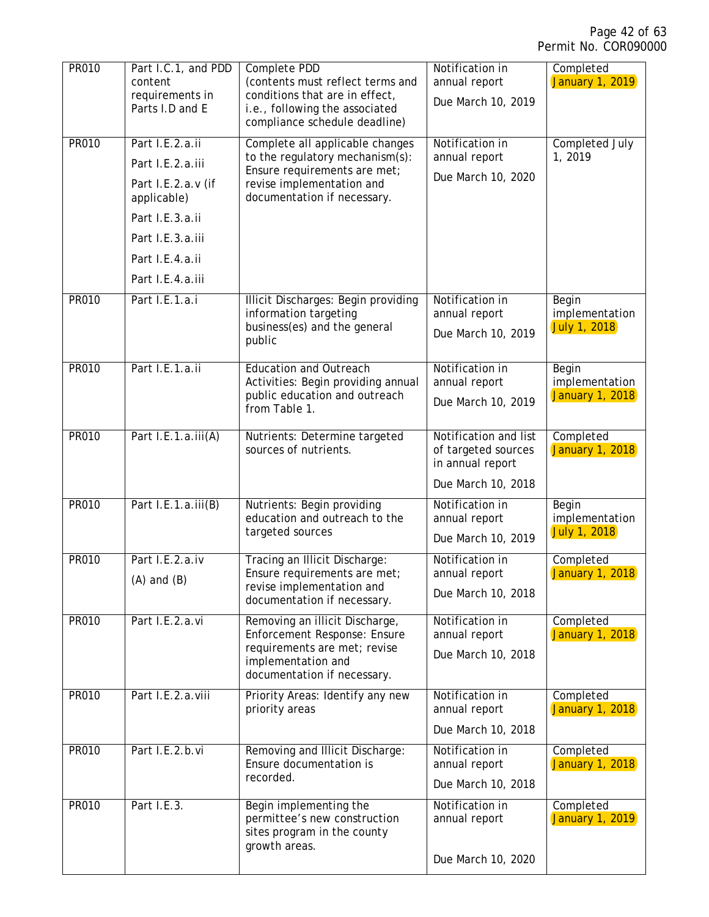| PR010        | Part I.C.1, and PDD<br>content<br>requirements in<br>Parts I.D and E       | Complete PDD<br>(contents must reflect terms and<br>conditions that are in effect,<br>i.e., following the associated<br>compliance schedule deadline)          | Notification in<br>annual report<br>Due March 10, 2019                                 | Completed<br><b>January 1, 2019</b>               |
|--------------|----------------------------------------------------------------------------|----------------------------------------------------------------------------------------------------------------------------------------------------------------|----------------------------------------------------------------------------------------|---------------------------------------------------|
| <b>PR010</b> | Part I.E.2.a.ii<br>Part I.E.2.a.iii<br>Part I.E.2.a.v (if<br>applicable)   | Complete all applicable changes<br>to the regulatory mechanism(s):<br>Ensure requirements are met;<br>revise implementation and<br>documentation if necessary. | Notification in<br>annual report<br>Due March 10, 2020                                 | Completed July<br>1,2019                          |
|              | Part I.E.3.a.ii<br>Part I.E.3.a.iii<br>Part I.E.4.a.ii<br>Part I.E.4.a.iii |                                                                                                                                                                |                                                                                        |                                                   |
| PR010        | Part I.E.1.a.i                                                             | Illicit Discharges: Begin providing<br>information targeting<br>business(es) and the general<br>public                                                         | Notification in<br>annual report<br>Due March 10, 2019                                 | Begin<br>implementation<br><b>July 1, 2018</b>    |
| <b>PR010</b> | Part I.E.1.a.ii                                                            | <b>Education and Outreach</b><br>Activities: Begin providing annual<br>public education and outreach<br>from Table 1.                                          | Notification in<br>annual report<br>Due March 10, 2019                                 | Begin<br>implementation<br><b>January 1, 2018</b> |
| PR010        | Part I.E.1.a.iii(A)                                                        | Nutrients: Determine targeted<br>sources of nutrients.                                                                                                         | Notification and list<br>of targeted sources<br>in annual report<br>Due March 10, 2018 | Completed<br>January 1, 2018                      |
| PR010        | Part I.E.1.a.iii(B)                                                        | Nutrients: Begin providing<br>education and outreach to the<br>targeted sources                                                                                | Notification in<br>annual report<br>Due March 10, 2019                                 | Begin<br>implementation<br>July 1, 2018           |
| PR010        | Part I.E.2.a.iv<br>$(A)$ and $(B)$                                         | Tracing an Illicit Discharge:<br>Ensure requirements are met;<br>revise implementation and<br>documentation if necessary.                                      | Notification in<br>annual report<br>Due March 10, 2018                                 | Completed<br><b>January 1, 2018</b>               |
| <b>PR010</b> | Part I.E.2.a.vi                                                            | Removing an illicit Discharge,<br>Enforcement Response: Ensure<br>requirements are met; revise<br>implementation and<br>documentation if necessary.            | Notification in<br>annual report<br>Due March 10, 2018                                 | Completed<br><b>January 1, 2018</b>               |
| PR010        | Part I.E.2.a.viii                                                          | Priority Areas: Identify any new<br>priority areas                                                                                                             | Notification in<br>annual report<br>Due March 10, 2018                                 | Completed<br><b>January 1, 2018</b>               |
| <b>PR010</b> | Part I.E.2.b.vi                                                            | Removing and Illicit Discharge:<br>Ensure documentation is<br>recorded.                                                                                        | Notification in<br>annual report<br>Due March 10, 2018                                 | Completed<br><b>January 1, 2018</b>               |
| PR010        | Part I.E.3.                                                                | Begin implementing the<br>permittee's new construction<br>sites program in the county<br>growth areas.                                                         | Notification in<br>annual report<br>Due March 10, 2020                                 | Completed<br><b>January 1, 2019</b>               |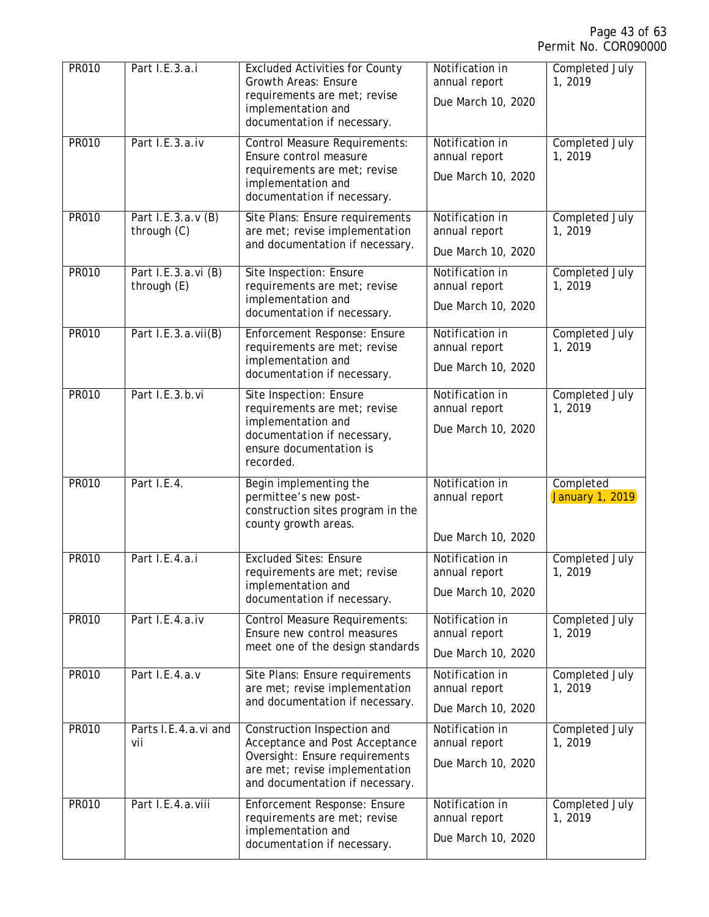| <b>PR010</b> | Part I.E.3.a.i                     | <b>Excluded Activities for County</b><br><b>Growth Areas: Ensure</b><br>requirements are met; revise<br>implementation and<br>documentation if necessary.            | Notification in<br>annual report<br>Due March 10, 2020 | Completed July<br>1,2019         |
|--------------|------------------------------------|----------------------------------------------------------------------------------------------------------------------------------------------------------------------|--------------------------------------------------------|----------------------------------|
| <b>PR010</b> | Part I.E.3.a.iv                    | <b>Control Measure Requirements:</b><br>Ensure control measure<br>requirements are met; revise<br>implementation and<br>documentation if necessary.                  | Notification in<br>annual report<br>Due March 10, 2020 | Completed July<br>1,2019         |
| <b>PR010</b> | Part I.E.3.a.v (B)<br>through (C)  | Site Plans: Ensure requirements<br>are met; revise implementation<br>and documentation if necessary.                                                                 | Notification in<br>annual report<br>Due March 10, 2020 | Completed July<br>1,2019         |
| <b>PR010</b> | Part I.E.3.a.vi (B)<br>through (E) | Site Inspection: Ensure<br>requirements are met; revise<br>implementation and<br>documentation if necessary.                                                         | Notification in<br>annual report<br>Due March 10, 2020 | <b>Completed July</b><br>1,2019  |
| <b>PR010</b> | Part I.E.3.a.vii(B)                | Enforcement Response: Ensure<br>requirements are met; revise<br>implementation and<br>documentation if necessary.                                                    | Notification in<br>annual report<br>Due March 10, 2020 | <b>Completed July</b><br>1,2019  |
| <b>PR010</b> | Part I.E.3.b.vi                    | Site Inspection: Ensure<br>requirements are met; revise<br>implementation and<br>documentation if necessary,<br>ensure documentation is<br>recorded.                 | Notification in<br>annual report<br>Due March 10, 2020 | <b>Completed July</b><br>1, 2019 |
| <b>PR010</b> | Part I.E.4.                        | Begin implementing the<br>permittee's new post-<br>construction sites program in the<br>county growth areas.                                                         | Notification in<br>annual report<br>Due March 10, 2020 | Completed<br>January 1, 2019     |
| <b>PR010</b> | Part I.E.4.a.i                     | <b>Excluded Sites: Ensure</b><br>requirements are met; revise<br>implementation and<br>documentation if necessary.                                                   | Notification in<br>annual report<br>Due March 10, 2020 | <b>Completed July</b><br>1,2019  |
| <b>PR010</b> | Part I.E.4.a.iv                    | <b>Control Measure Requirements:</b><br>Ensure new control measures<br>meet one of the design standards                                                              | Notification in<br>annual report<br>Due March 10, 2020 | Completed July<br>1,2019         |
| PR010        | Part I.E.4.a.v                     | Site Plans: Ensure requirements<br>are met; revise implementation<br>and documentation if necessary.                                                                 | Notification in<br>annual report<br>Due March 10, 2020 | <b>Completed July</b><br>1,2019  |
| PR010        | Parts I.E.4.a.vi and<br>vii        | Construction Inspection and<br>Acceptance and Post Acceptance<br>Oversight: Ensure requirements<br>are met; revise implementation<br>and documentation if necessary. | Notification in<br>annual report<br>Due March 10, 2020 | Completed July<br>1,2019         |
| PR010        | Part I.E.4.a.viii                  | Enforcement Response: Ensure<br>requirements are met; revise<br>implementation and<br>documentation if necessary.                                                    | Notification in<br>annual report<br>Due March 10, 2020 | Completed July<br>1,2019         |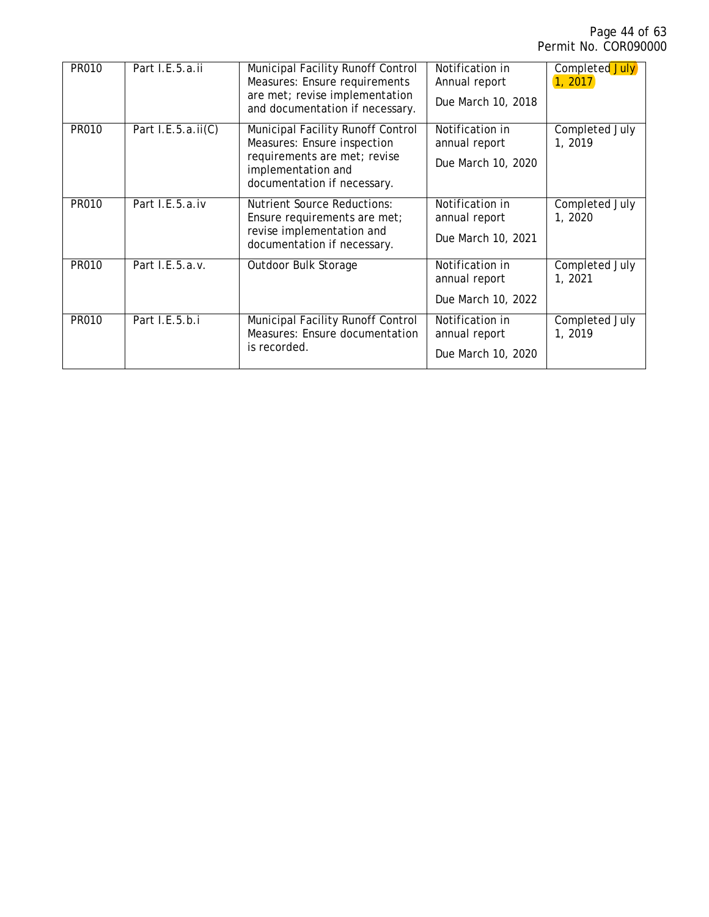| PR010 | Part I.E.5.a.ii       | Municipal Facility Runoff Control<br>Measures: Ensure requirements<br>are met; revise implementation<br>and documentation if necessary.               | Notification in<br>Annual report<br>Due March 10, 2018 | Completed July<br>1, 2017 |
|-------|-----------------------|-------------------------------------------------------------------------------------------------------------------------------------------------------|--------------------------------------------------------|---------------------------|
| PR010 | Part I.E.5.a.ii $(C)$ | Municipal Facility Runoff Control<br>Measures: Ensure inspection<br>requirements are met; revise<br>implementation and<br>documentation if necessary. | Notification in<br>annual report<br>Due March 10, 2020 | Completed July<br>1, 2019 |
| PR010 | Part I.E.5.a.iv       | <b>Nutrient Source Reductions:</b><br>Ensure requirements are met;<br>revise implementation and<br>documentation if necessary.                        | Notification in<br>annual report<br>Due March 10, 2021 | Completed July<br>1, 2020 |
| PR010 | Part I.E.5.a.v.       | Outdoor Bulk Storage                                                                                                                                  | Notification in<br>annual report<br>Due March 10, 2022 | Completed July<br>1, 2021 |
| PR010 | Part I.E.5.b.i        | Municipal Facility Runoff Control<br>Measures: Ensure documentation<br>is recorded.                                                                   | Notification in<br>annual report<br>Due March 10, 2020 | Completed July<br>1, 2019 |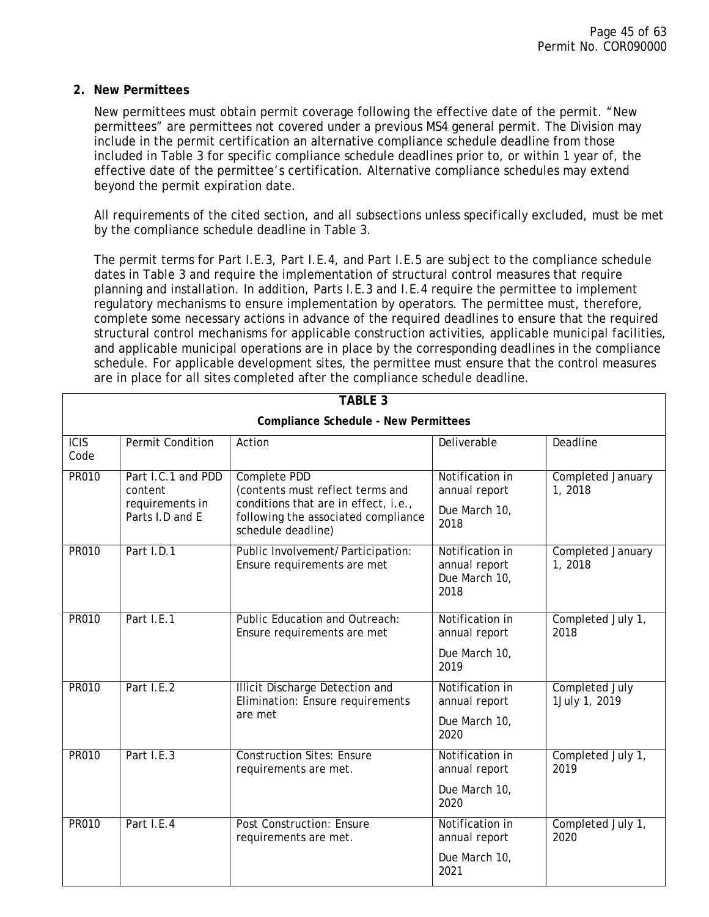### <span id="page-44-0"></span>**2. New Permittees**

New permittees must obtain permit coverage following the effective date of the permit. "New permittees" are permittees not covered under a previous MS4 general permit. The Division may include in the permit certification an alternative compliance schedule deadline from those included in Table 3 for specific compliance schedule deadlines prior to, or within 1 year of, the effective date of the permittee's certification. Alternative compliance schedules may extend beyond the permit expiration date.

All requirements of the cited section, and all subsections unless specifically excluded, must be met by the compliance schedule deadline in Table 3.

The permit terms for Part I.E.3, Part I.E.4, and Part I.E.5 are subject to the compliance schedule dates in Table 3 and require the implementation of structural control measures that require planning and installation. In addition, Parts I.E.3 and I.E.4 require the permittee to implement regulatory mechanisms to ensure implementation by operators. The permittee must, therefore, complete some necessary actions in advance of the required deadlines to ensure that the required structural control mechanisms for applicable construction activities, applicable municipal facilities, and applicable municipal operations are in place by the corresponding deadlines in the compliance schedule. For applicable development sites, the permittee must ensure that the control measures are in place for all sites completed after the compliance schedule deadline.

| <b>TABLE 3</b>                              |                                                                     |                                                                                                                                                       |                                                           |                                        |  |
|---------------------------------------------|---------------------------------------------------------------------|-------------------------------------------------------------------------------------------------------------------------------------------------------|-----------------------------------------------------------|----------------------------------------|--|
| <b>Compliance Schedule - New Permittees</b> |                                                                     |                                                                                                                                                       |                                                           |                                        |  |
| ICIS<br>Code                                | <b>Permit Condition</b>                                             | Action                                                                                                                                                | <b>Deliverable</b>                                        | Deadline                               |  |
| <b>PR010</b>                                | Part I.C.1 and PDD<br>content<br>requirements in<br>Parts I.D and E | Complete PDD<br>(contents must reflect terms and<br>conditions that are in effect, i.e.,<br>following the associated compliance<br>schedule deadline) | Notification in<br>annual report<br>Due March 10,<br>2018 | Completed January<br>1,2018            |  |
| <b>PR010</b>                                | Part I.D.1                                                          | Public Involvement/Participation:<br>Ensure requirements are met                                                                                      | Notification in<br>annual report<br>Due March 10,<br>2018 | <b>Completed January</b><br>1,2018     |  |
| PR010                                       | Part I.E.1                                                          | Public Education and Outreach:<br>Ensure requirements are met                                                                                         | Notification in<br>annual report<br>Due March 10,<br>2019 | Completed July 1,<br>2018              |  |
| <b>PR010</b>                                | Part I.E.2                                                          | <b>Illicit Discharge Detection and</b><br>Elimination: Ensure requirements<br>are met                                                                 | Notification in<br>annual report<br>Due March 10,<br>2020 | <b>Completed July</b><br>1July 1, 2019 |  |
| <b>PR010</b>                                | Part I.E.3                                                          | <b>Construction Sites: Ensure</b><br>requirements are met.                                                                                            | Notification in<br>annual report<br>Due March 10,<br>2020 | Completed July 1,<br>2019              |  |
| <b>PR010</b>                                | Part I.E.4                                                          | <b>Post Construction: Ensure</b><br>requirements are met.                                                                                             | Notification in<br>annual report<br>Due March 10,<br>2021 | Completed July 1,<br>2020              |  |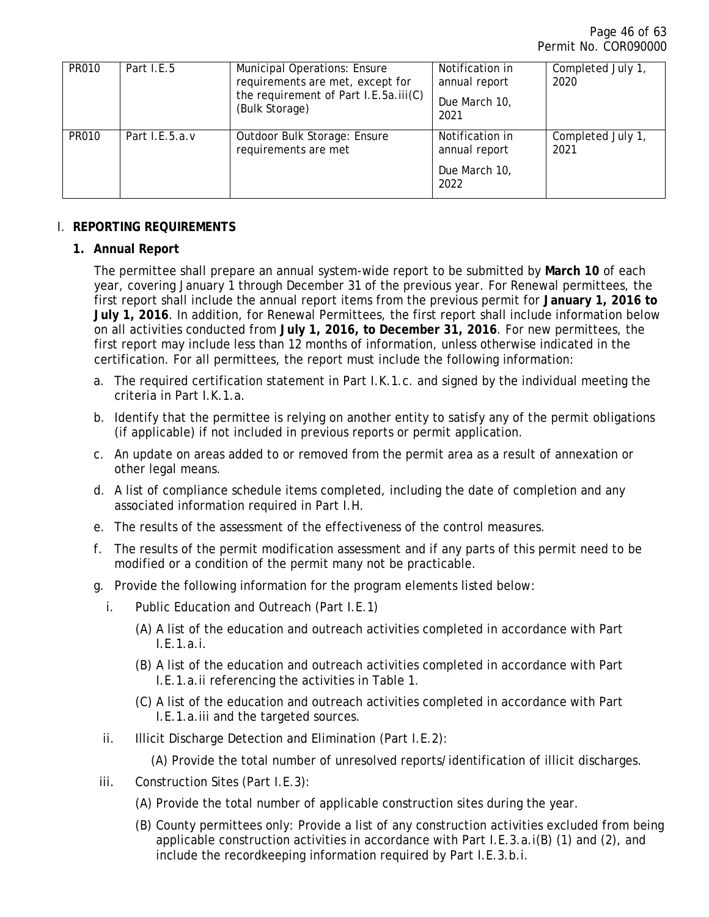| <b>PR010</b> | Part I.E.5     | <b>Municipal Operations: Ensure</b><br>requirements are met, except for<br>the requirement of Part I.E.5a.iii(C)<br>(Bulk Storage) | Notification in<br>annual report<br>Due March 10,<br>2021 | Completed July 1,<br>2020 |
|--------------|----------------|------------------------------------------------------------------------------------------------------------------------------------|-----------------------------------------------------------|---------------------------|
| <b>PR010</b> | Part I.E.5.a.v | Outdoor Bulk Storage: Ensure<br>requirements are met                                                                               | Notification in<br>annual report<br>Due March 10,<br>2022 | Completed July 1,<br>2021 |

## <span id="page-45-1"></span><span id="page-45-0"></span>I. **REPORTING REQUIREMENTS**

# **1. Annual Report**

The permittee shall prepare an annual system-wide report to be submitted by **March 10** of each year, covering January 1 through December 31 of the previous year. For Renewal permittees, the first report shall include the annual report items from the previous permit for **January 1, 2016 to July 1, 2016**. In addition, for Renewal Permittees, the first report shall include information below on all activities conducted from **July 1, 2016, to December 31, 2016**. For new permittees, the first report may include less than 12 months of information, unless otherwise indicated in the certification. For all permittees, the report must include the following information:

- a. The required certification statement in Part I.K.1.c. and signed by the individual meeting the criteria in Part I.K.1.a.
- b. Identify that the permittee is relying on another entity to satisfy any of the permit obligations (if applicable) if not included in previous reports or permit application.
- c. An update on areas added to or removed from the permit area as a result of annexation or other legal means.
- d. A list of compliance schedule items completed, including the date of completion and any associated information required in Part I.H.
- e. The results of the assessment of the effectiveness of the control measures.
- f. The results of the permit modification assessment and if any parts of this permit need to be modified or a condition of the permit many not be practicable.
- g. Provide the following information for the program elements listed below:
	- i. Public Education and Outreach (Part I.E.1)
		- (A) A list of the education and outreach activities completed in accordance with Part I.E.1.a.i.
		- (B) A list of the education and outreach activities completed in accordance with Part I.E.1.a.ii referencing the activities in Table 1.
		- (C) A list of the education and outreach activities completed in accordance with Part I.E.1.a.iii and the targeted sources.
	- ii. Illicit Discharge Detection and Elimination (Part I.E.2):

(A) Provide the total number of unresolved reports/identification of illicit discharges.

- iii. Construction Sites (Part I.E.3):
	- (A) Provide the total number of applicable construction sites during the year.
	- (B) County permittees only: Provide a list of any construction activities excluded from being applicable construction activities in accordance with Part I.E.3.a.i(B) (1) and (2), and include the recordkeeping information required by Part I.E.3.b.i.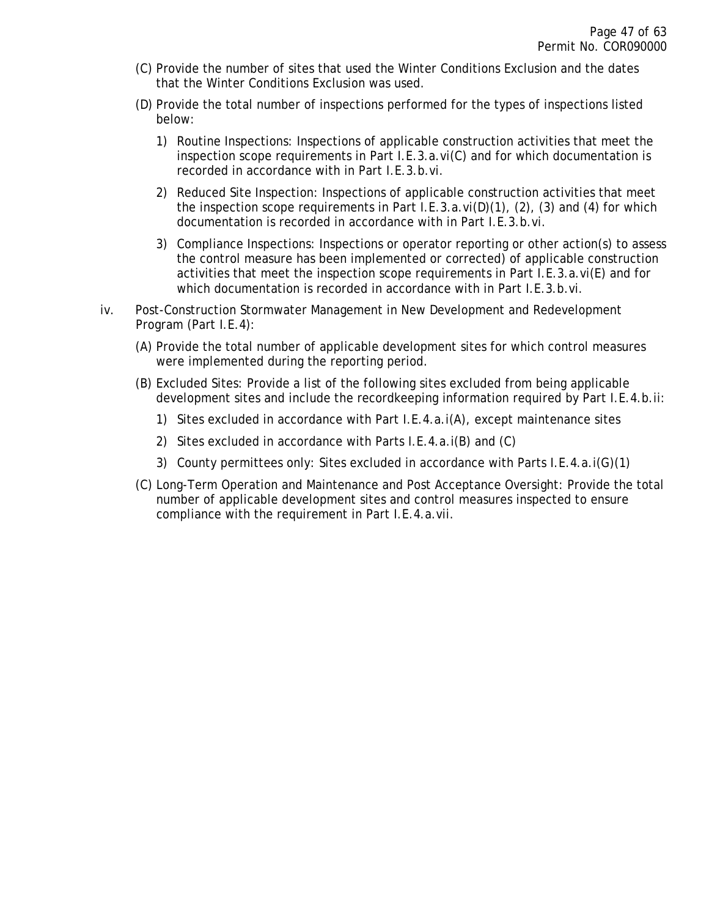- (C) Provide the number of sites that used the Winter Conditions Exclusion and the dates that the Winter Conditions Exclusion was used.
- (D) Provide the total number of inspections performed for the types of inspections listed below:
	- 1) Routine Inspections: Inspections of applicable construction activities that meet the inspection scope requirements in Part I.E.3.a.vi(C) and for which documentation is recorded in accordance with in Part I.E.3.b.vi.
	- 2) Reduced Site Inspection: Inspections of applicable construction activities that meet the inspection scope requirements in Part I.E.3.a.vi(D)(1), (2), (3) and (4) for which documentation is recorded in accordance with in Part I.E.3.b.vi.
	- 3) Compliance Inspections: Inspections or operator reporting or other action(s) to assess the control measure has been implemented or corrected) of applicable construction activities that meet the inspection scope requirements in Part I.E.3.a.vi(E) and for which documentation is recorded in accordance with in Part I.E.3.b.vi.
- iv. Post-Construction Stormwater Management in New Development and Redevelopment Program (Part I.E.4):
	- (A) Provide the total number of applicable development sites for which control measures were implemented during the reporting period.
	- (B) Excluded Sites: Provide a list of the following sites excluded from being applicable development sites and include the recordkeeping information required by Part I.E.4.b.ii:
		- 1) Sites excluded in accordance with Part I.E.4.a.i(A), except maintenance sites
		- 2) Sites excluded in accordance with Parts I.E.4.a.i(B) and (C)
		- 3) County permittees only: Sites excluded in accordance with Parts I.E.4.a.i(G)(1)
	- (C) Long-Term Operation and Maintenance and Post Acceptance Oversight: Provide the total number of applicable development sites and control measures inspected to ensure compliance with the requirement in Part I.E.4.a.vii.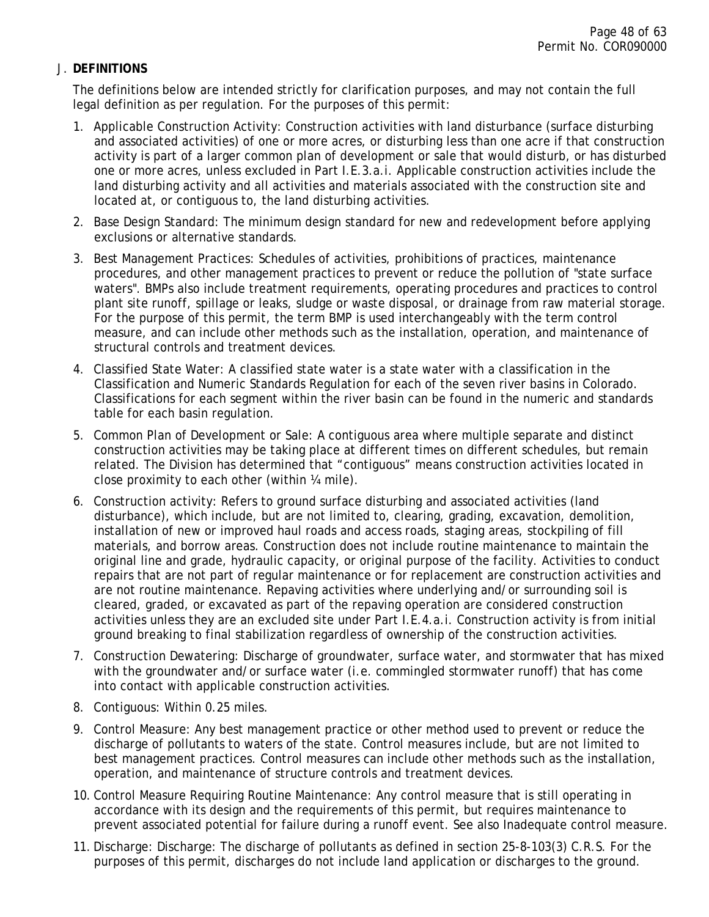### <span id="page-47-0"></span>J. **DEFINITIONS**

The definitions below are intended strictly for clarification purposes, and may not contain the full legal definition as per regulation. For the purposes of this permit:

- 1. Applicable Construction Activity: Construction activities with land disturbance (surface disturbing and associated activities) of one or more acres, or disturbing less than one acre if that construction activity is part of a larger common plan of development or sale that would disturb, or has disturbed one or more acres, unless excluded in Part I.E.3.a.i. Applicable construction activities include the land disturbing activity and all activities and materials associated with the construction site and located at, or contiguous to, the land disturbing activities.
- 2. Base Design Standard: The minimum design standard for new and redevelopment before applying exclusions or alternative standards.
- 3. Best Management Practices: Schedules of activities, prohibitions of practices, maintenance procedures, and other management practices to prevent or reduce the pollution of "state surface waters". BMPs also include treatment requirements, operating procedures and practices to control plant site runoff, spillage or leaks, sludge or waste disposal, or drainage from raw material storage. For the purpose of this permit, the term BMP is used interchangeably with the term control measure, and can include other methods such as the installation, operation, and maintenance of structural controls and treatment devices.
- 4. Classified State Water: A classified state water is a state water with a classification in the Classification and Numeric Standards Regulation for each of the seven river basins in Colorado. Classifications for each segment within the river basin can be found in the numeric and standards table for each basin regulation.
- 5. Common Plan of Development or Sale: A contiguous area where multiple separate and distinct construction activities may be taking place at different times on different schedules, but remain related. The Division has determined that "contiguous" means construction activities located in close proximity to each other (within ¼ mile).
- 6. Construction activity: Refers to ground surface disturbing and associated activities (land disturbance), which include, but are not limited to, clearing, grading, excavation, demolition, installation of new or improved haul roads and access roads, staging areas, stockpiling of fill materials, and borrow areas. Construction does not include routine maintenance to maintain the original line and grade, hydraulic capacity, or original purpose of the facility. Activities to conduct repairs that are not part of regular maintenance or for replacement are construction activities and are not routine maintenance. Repaving activities where underlying and/or surrounding soil is cleared, graded, or excavated as part of the repaving operation are considered construction activities unless they are an excluded site under Part I.E.4.a.i. Construction activity is from initial ground breaking to final stabilization regardless of ownership of the construction activities.
- 7. Construction Dewatering: Discharge of groundwater, surface water, and stormwater that has mixed with the groundwater and/or surface water (i.e. commingled stormwater runoff) that has come into contact with applicable construction activities.
- 8. Contiguous: Within 0.25 miles.
- 9. Control Measure: Any best management practice or other method used to prevent or reduce the discharge of pollutants to waters of the state. Control measures include, but are not limited to best management practices. Control measures can include other methods such as the installation, operation, and maintenance of structure controls and treatment devices.
- 10. Control Measure Requiring Routine Maintenance: Any control measure that is still operating in accordance with its design and the requirements of this permit, but requires maintenance to prevent associated potential for failure during a runoff event. See also Inadequate control measure.
- 11. Discharge: Discharge: The discharge of pollutants as defined in section 25-8-103(3) C.R.S. For the purposes of this permit, discharges do not include land application or discharges to the ground.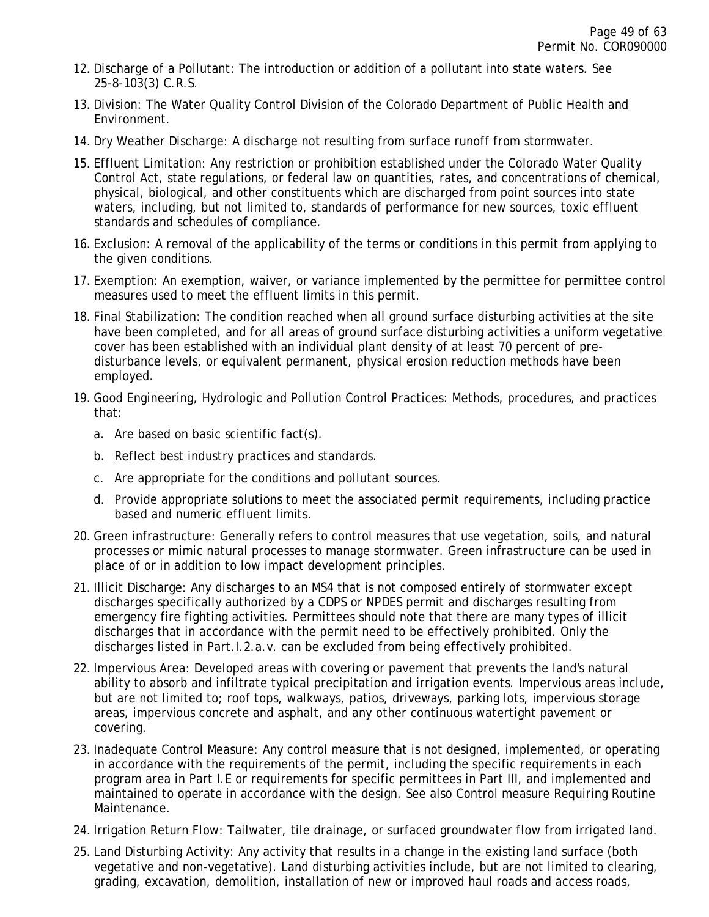- 12. Discharge of a Pollutant: The introduction or addition of a pollutant into state waters. See 25-8-103(3) C.R.S.
- 13. Division: The Water Quality Control Division of the Colorado Department of Public Health and Environment.
- 14. Dry Weather Discharge: A discharge not resulting from surface runoff from stormwater.
- 15. Effluent Limitation: Any restriction or prohibition established under the Colorado Water Quality Control Act, state regulations, or federal law on quantities, rates, and concentrations of chemical, physical, biological, and other constituents which are discharged from point sources into state waters, including, but not limited to, standards of performance for new sources, toxic effluent standards and schedules of compliance.
- 16. Exclusion: A removal of the applicability of the terms or conditions in this permit from applying to the given conditions.
- 17. Exemption: An exemption, waiver, or variance implemented by the permittee for permittee control measures used to meet the effluent limits in this permit.
- 18. Final Stabilization: The condition reached when all ground surface disturbing activities at the site have been completed, and for all areas of ground surface disturbing activities a uniform vegetative cover has been established with an individual plant density of at least 70 percent of predisturbance levels, or equivalent permanent, physical erosion reduction methods have been employed.
- 19. Good Engineering, Hydrologic and Pollution Control Practices: Methods, procedures, and practices that:
	- a. Are based on basic scientific fact(s).
	- b. Reflect best industry practices and standards.
	- c. Are appropriate for the conditions and pollutant sources.
	- d. Provide appropriate solutions to meet the associated permit requirements, including practice based and numeric effluent limits.
- 20. Green infrastructure: Generally refers to control measures that use vegetation, soils, and natural processes or mimic natural processes to manage stormwater. Green infrastructure can be used in place of or in addition to low impact development principles.
- 21. Illicit Discharge: Any discharges to an MS4 that is not composed entirely of stormwater except discharges specifically authorized by a CDPS or NPDES permit and discharges resulting from emergency fire fighting activities. Permittees should note that there are many types of illicit discharges that in accordance with the permit need to be effectively prohibited. Only the discharges listed in Part.I.2.a.v. can be excluded from being effectively prohibited.
- 22. Impervious Area: Developed areas with covering or pavement that prevents the land's natural ability to absorb and infiltrate typical precipitation and irrigation events. Impervious areas include, but are not limited to; roof tops, walkways, patios, driveways, parking lots, impervious storage areas, impervious concrete and asphalt, and any other continuous watertight pavement or covering.
- 23. Inadequate Control Measure: Any control measure that is not designed, implemented, or operating in accordance with the requirements of the permit, including the specific requirements in each program area in Part I.E or requirements for specific permittees in Part III, and implemented and maintained to operate in accordance with the design. See also Control measure Requiring Routine Maintenance.
- 24. Irrigation Return Flow: Tailwater, tile drainage, or surfaced groundwater flow from irrigated land.
- 25. Land Disturbing Activity: Any activity that results in a change in the existing land surface (both vegetative and non-vegetative). Land disturbing activities include, but are not limited to clearing, grading, excavation, demolition, installation of new or improved haul roads and access roads,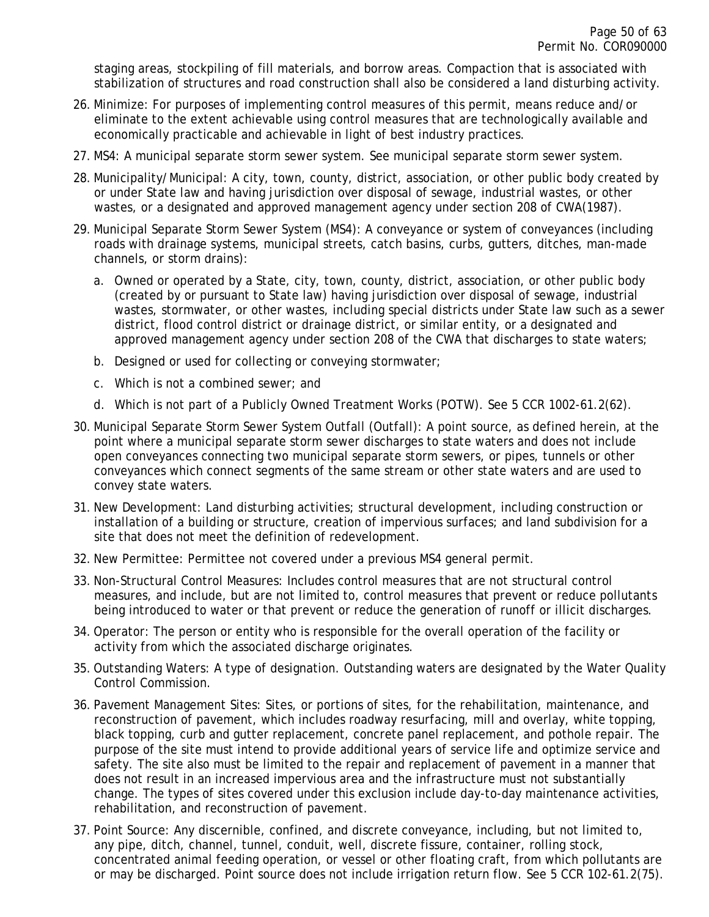staging areas, stockpiling of fill materials, and borrow areas. Compaction that is associated with stabilization of structures and road construction shall also be considered a land disturbing activity.

- 26. Minimize: For purposes of implementing control measures of this permit, means reduce and/or eliminate to the extent achievable using control measures that are technologically available and economically practicable and achievable in light of best industry practices.
- 27. MS4: A municipal separate storm sewer system. See municipal separate storm sewer system.
- 28. Municipality/Municipal: A city, town, county, district, association, or other public body created by or under State law and having jurisdiction over disposal of sewage, industrial wastes, or other wastes, or a designated and approved management agency under section 208 of CWA(1987).
- 29. Municipal Separate Storm Sewer System (MS4): A conveyance or system of conveyances (including roads with drainage systems, municipal streets, catch basins, curbs, gutters, ditches, man-made channels, or storm drains):
	- a. Owned or operated by a State, city, town, county, district, association, or other public body (created by or pursuant to State law) having jurisdiction over disposal of sewage, industrial wastes, stormwater, or other wastes, including special districts under State law such as a sewer district, flood control district or drainage district, or similar entity, or a designated and approved management agency under section 208 of the CWA that discharges to state waters;
	- b. Designed or used for collecting or conveying stormwater;
	- c. Which is not a combined sewer; and
	- d. Which is not part of a Publicly Owned Treatment Works (POTW). See 5 CCR 1002-61.2(62).
- 30. Municipal Separate Storm Sewer System Outfall (Outfall): A point source, as defined herein, at the point where a municipal separate storm sewer discharges to state waters and does not include open conveyances connecting two municipal separate storm sewers, or pipes, tunnels or other conveyances which connect segments of the same stream or other state waters and are used to convey state waters.
- 31. New Development: Land disturbing activities; structural development, including construction or installation of a building or structure, creation of impervious surfaces; and land subdivision for a site that does not meet the definition of redevelopment.
- 32. New Permittee: Permittee not covered under a previous MS4 general permit.
- 33. Non-Structural Control Measures: Includes control measures that are not structural control measures, and include, but are not limited to, control measures that prevent or reduce pollutants being introduced to water or that prevent or reduce the generation of runoff or illicit discharges.
- 34. Operator: The person or entity who is responsible for the overall operation of the facility or activity from which the associated discharge originates.
- 35. Outstanding Waters: A type of designation. Outstanding waters are designated by the Water Quality Control Commission.
- 36. Pavement Management Sites: Sites, or portions of sites, for the rehabilitation, maintenance, and reconstruction of pavement, which includes roadway resurfacing, mill and overlay, white topping, black topping, curb and gutter replacement, concrete panel replacement, and pothole repair. The purpose of the site must intend to provide additional years of service life and optimize service and safety. The site also must be limited to the repair and replacement of pavement in a manner that does not result in an increased impervious area and the infrastructure must not substantially change. The types of sites covered under this exclusion include day-to-day maintenance activities, rehabilitation, and reconstruction of pavement.
- 37. Point Source: Any discernible, confined, and discrete conveyance, including, but not limited to, any pipe, ditch, channel, tunnel, conduit, well, discrete fissure, container, rolling stock, concentrated animal feeding operation, or vessel or other floating craft, from which pollutants are or may be discharged. Point source does not include irrigation return flow. See 5 CCR 102-61.2(75).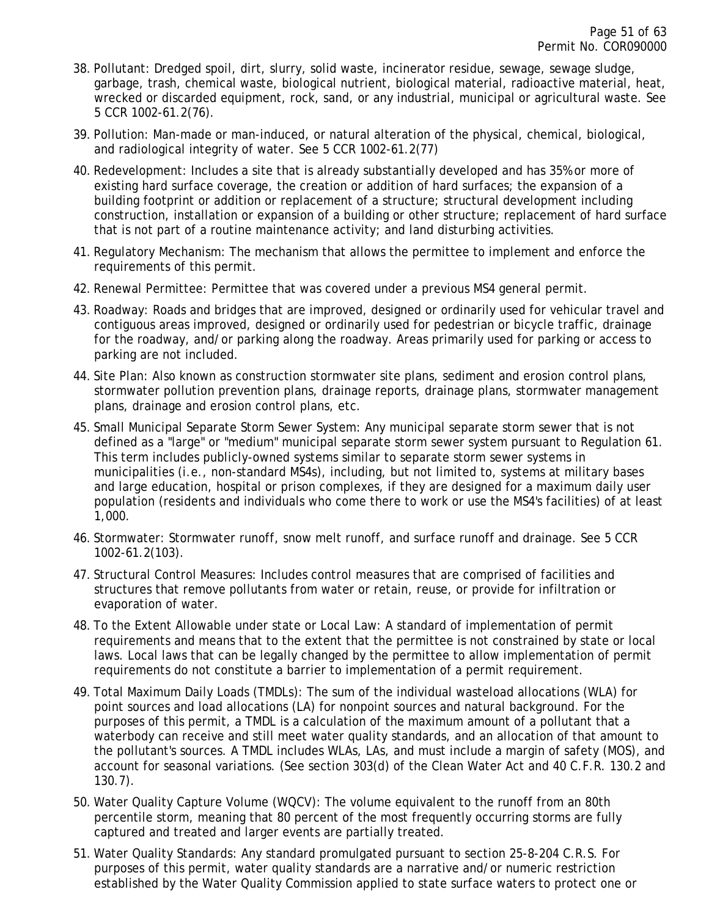- 38. Pollutant: Dredged spoil, dirt, slurry, solid waste, incinerator residue, sewage, sewage sludge, garbage, trash, chemical waste, biological nutrient, biological material, radioactive material, heat, wrecked or discarded equipment, rock, sand, or any industrial, municipal or agricultural waste. See 5 CCR 1002-61.2(76).
- 39. Pollution: Man-made or man-induced, or natural alteration of the physical, chemical, biological, and radiological integrity of water. See 5 CCR 1002-61.2(77)
- 40. Redevelopment: Includes a site that is already substantially developed and has 35% or more of existing hard surface coverage, the creation or addition of hard surfaces; the expansion of a building footprint or addition or replacement of a structure; structural development including construction, installation or expansion of a building or other structure; replacement of hard surface that is not part of a routine maintenance activity; and land disturbing activities.
- 41. Regulatory Mechanism: The mechanism that allows the permittee to implement and enforce the requirements of this permit.
- 42. Renewal Permittee: Permittee that was covered under a previous MS4 general permit.
- 43. Roadway: Roads and bridges that are improved, designed or ordinarily used for vehicular travel and contiguous areas improved, designed or ordinarily used for pedestrian or bicycle traffic, drainage for the roadway, and/or parking along the roadway. Areas primarily used for parking or access to parking are not included.
- 44. Site Plan: Also known as construction stormwater site plans, sediment and erosion control plans, stormwater pollution prevention plans, drainage reports, drainage plans, stormwater management plans, drainage and erosion control plans, etc.
- 45. Small Municipal Separate Storm Sewer System: Any municipal separate storm sewer that is not defined as a "large" or "medium" municipal separate storm sewer system pursuant to Regulation 61. This term includes publicly-owned systems similar to separate storm sewer systems in municipalities (i.e., non-standard MS4s), including, but not limited to, systems at military bases and large education, hospital or prison complexes, if they are designed for a maximum daily user population (residents and individuals who come there to work or use the MS4's facilities) of at least 1,000.
- 46. Stormwater: Stormwater runoff, snow melt runoff, and surface runoff and drainage. See 5 CCR 1002-61.2(103).
- 47. Structural Control Measures: Includes control measures that are comprised of facilities and structures that remove pollutants from water or retain, reuse, or provide for infiltration or evaporation of water.
- 48. To the Extent Allowable under state or Local Law: A standard of implementation of permit requirements and means that to the extent that the permittee is not constrained by state or local laws. Local laws that can be legally changed by the permittee to allow implementation of permit requirements do not constitute a barrier to implementation of a permit requirement.
- 49. Total Maximum Daily Loads (TMDLs): The sum of the individual wasteload allocations (WLA) for point sources and load allocations (LA) for nonpoint sources and natural background. For the purposes of this permit, a TMDL is a calculation of the maximum amount of a pollutant that a waterbody can receive and still meet water quality standards, and an allocation of that amount to the pollutant's sources. A TMDL includes WLAs, LAs, and must include a margin of safety (MOS), and account for seasonal variations. (See section 303(d) of the Clean Water Act and 40 C.F.R. 130.2 and 130.7).
- 50. Water Quality Capture Volume (WQCV): The volume equivalent to the runoff from an 80th percentile storm, meaning that 80 percent of the most frequently occurring storms are fully captured and treated and larger events are partially treated.
- 51. Water Quality Standards: Any standard promulgated pursuant to section 25-8-204 C.R.S. For purposes of this permit, water quality standards are a narrative and/or numeric restriction established by the Water Quality Commission applied to state surface waters to protect one or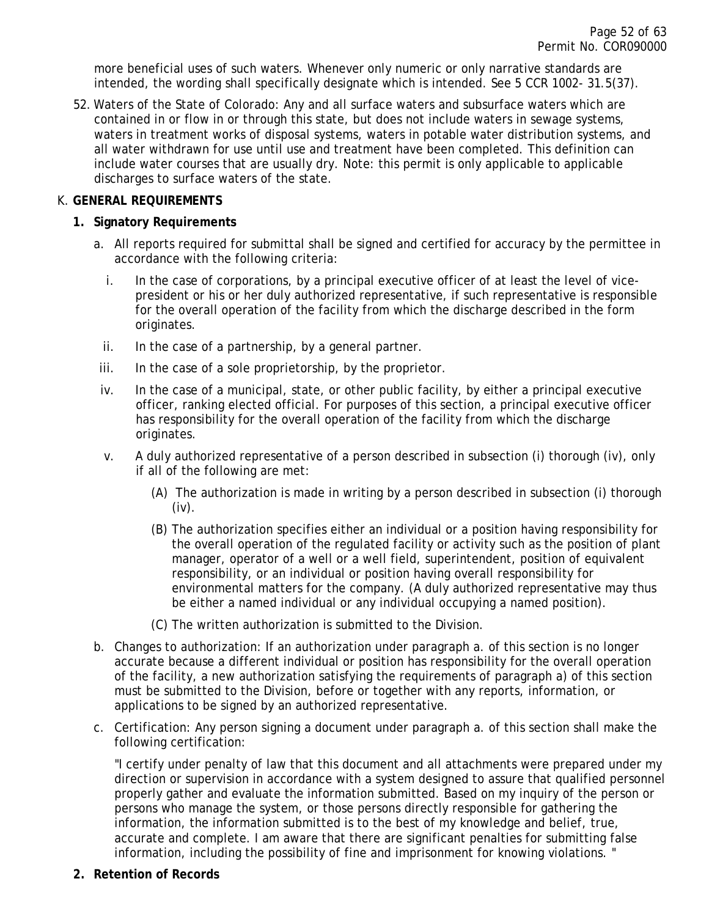more beneficial uses of such waters. Whenever only numeric or only narrative standards are intended, the wording shall specifically designate which is intended. See 5 CCR 1002- 31.5(37).

52. Waters of the State of Colorado: Any and all surface waters and subsurface waters which are contained in or flow in or through this state, but does not include waters in sewage systems, waters in treatment works of disposal systems, waters in potable water distribution systems, and all water withdrawn for use until use and treatment have been completed. This definition can include water courses that are usually dry. Note: this permit is only applicable to applicable discharges to surface waters of the state.

### <span id="page-51-1"></span><span id="page-51-0"></span>K. **GENERAL REQUIREMENTS**

### **1. Signatory Requirements**

- a. All reports required for submittal shall be signed and certified for accuracy by the permittee in accordance with the following criteria:
	- i. In the case of corporations, by a principal executive officer of at least the level of vicepresident or his or her duly authorized representative, if such representative is responsible for the overall operation of the facility from which the discharge described in the form originates.
	- ii. In the case of a partnership, by a general partner.
- iii. In the case of a sole proprietorship, by the proprietor.
- iv. In the case of a municipal, state, or other public facility, by either a principal executive officer, ranking elected official. For purposes of this section, a principal executive officer has responsibility for the overall operation of the facility from which the discharge originates.
- v. A duly authorized representative of a person described in subsection (i) thorough (iv), only if all of the following are met:
	- (A) The authorization is made in writing by a person described in subsection (i) thorough (iv).
	- (B) The authorization specifies either an individual or a position having responsibility for the overall operation of the regulated facility or activity such as the position of plant manager, operator of a well or a well field, superintendent, position of equivalent responsibility, or an individual or position having overall responsibility for environmental matters for the company. (A duly authorized representative may thus be either a named individual or any individual occupying a named position).
	- (C) The written authorization is submitted to the Division.
- b. Changes to authorization: If an authorization under paragraph a. of this section is no longer accurate because a different individual or position has responsibility for the overall operation of the facility, a new authorization satisfying the requirements of paragraph a) of this section must be submitted to the Division, before or together with any reports, information, or applications to be signed by an authorized representative.
- c. Certification: Any person signing a document under paragraph a. of this section shall make the following certification:

"I certify under penalty of law that this document and all attachments were prepared under my direction or supervision in accordance with a system designed to assure that qualified personnel properly gather and evaluate the information submitted. Based on my inquiry of the person or persons who manage the system, or those persons directly responsible for gathering the information, the information submitted is to the best of my knowledge and belief, true, accurate and complete. I am aware that there are significant penalties for submitting false information, including the possibility of fine and imprisonment for knowing violations. "

<span id="page-51-2"></span>**2. Retention of Records**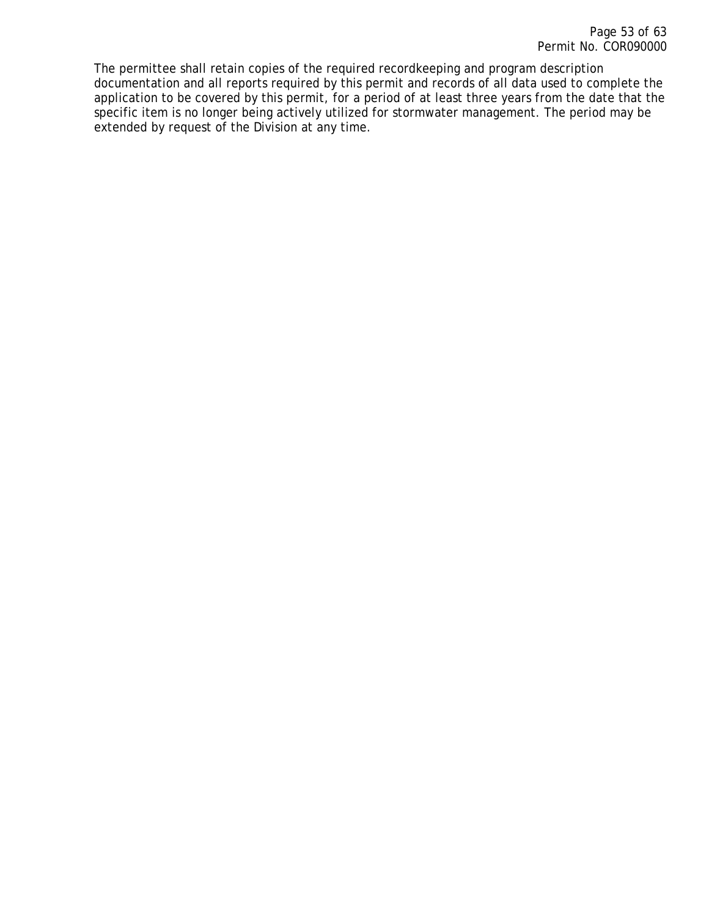The permittee shall retain copies of the required recordkeeping and program description documentation and all reports required by this permit and records of all data used to complete the application to be covered by this permit, for a period of at least three years from the date that the specific item is no longer being actively utilized for stormwater management. The period may be extended by request of the Division at any time.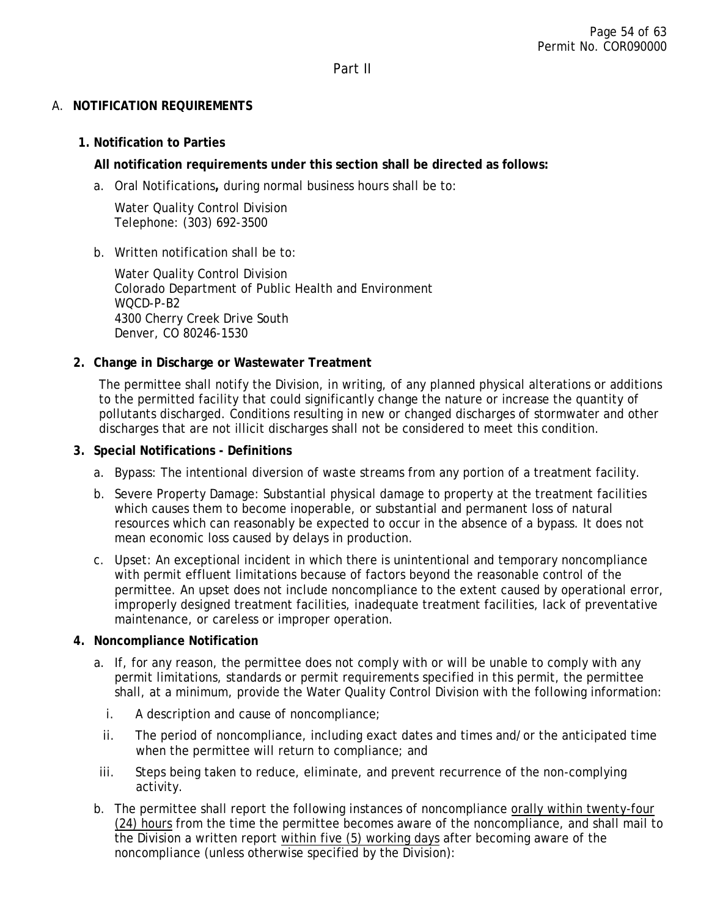Part II

## <span id="page-53-2"></span><span id="page-53-1"></span><span id="page-53-0"></span>A. **NOTIFICATION REQUIREMENTS**

# **1. Notification to Parties**

# **All notification requirements under this section shall be directed as follows:**

a. Oral Notifications**,** during normal business hours shall be to:

Water Quality Control Division Telephone: (303) 692-3500

# b. Written notification shall be to:

Water Quality Control Division Colorado Department of Public Health and Environment WQCD-P-B2 4300 Cherry Creek Drive South Denver, CO 80246-1530

# <span id="page-53-3"></span>**2. Change in Discharge or Wastewater Treatment**

The permittee shall notify the Division, in writing, of any planned physical alterations or additions to the permitted facility that could significantly change the nature or increase the quantity of pollutants discharged. Conditions resulting in new or changed discharges of stormwater and other discharges that are not illicit discharges shall not be considered to meet this condition.

### <span id="page-53-4"></span>**3. Special Notifications - Definitions**

- a. Bypass: The intentional diversion of waste streams from any portion of a treatment facility.
- b. Severe Property Damage: Substantial physical damage to property at the treatment facilities which causes them to become inoperable, or substantial and permanent loss of natural resources which can reasonably be expected to occur in the absence of a bypass. It does not mean economic loss caused by delays in production.
- c. Upset: An exceptional incident in which there is unintentional and temporary noncompliance with permit effluent limitations because of factors beyond the reasonable control of the permittee. An upset does not include noncompliance to the extent caused by operational error, improperly designed treatment facilities, inadequate treatment facilities, lack of preventative maintenance, or careless or improper operation.

### <span id="page-53-5"></span>**4. Noncompliance Notification**

- a. If, for any reason, the permittee does not comply with or will be unable to comply with any permit limitations, standards or permit requirements specified in this permit, the permittee shall, at a minimum, provide the Water Quality Control Division with the following information:
	- i. A description and cause of noncompliance;
	- ii. The period of noncompliance, including exact dates and times and/or the anticipated time when the permittee will return to compliance; and
- iii. Steps being taken to reduce, eliminate, and prevent recurrence of the non-complying activity.
- b. The permittee shall report the following instances of noncompliance orally within twenty-four (24) hours from the time the permittee becomes aware of the noncompliance, and shall mail to the Division a written report within five (5) working days after becoming aware of the noncompliance (unless otherwise specified by the Division):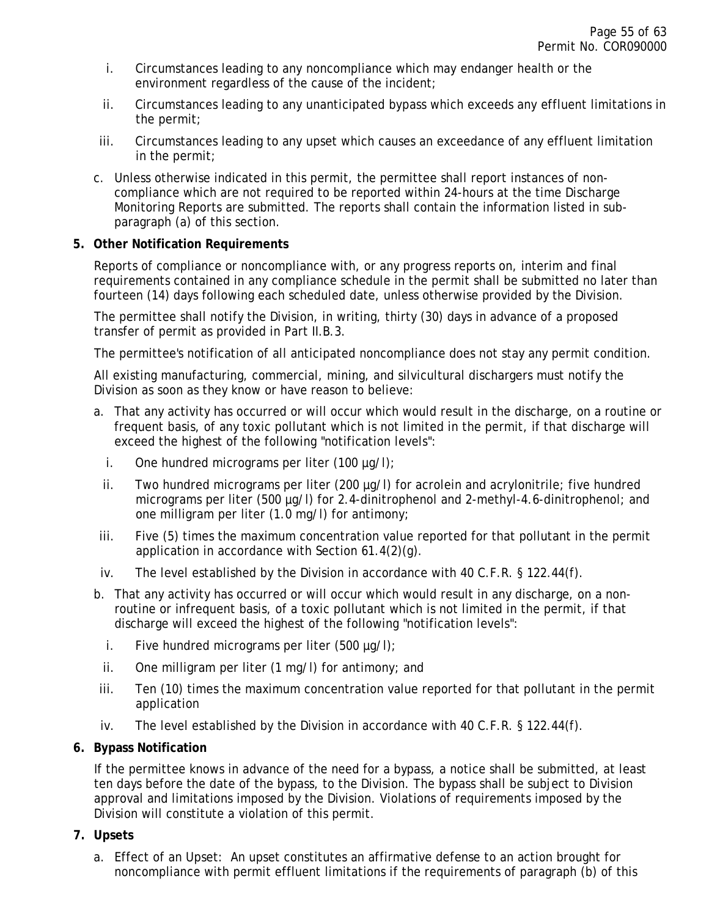- i. Circumstances leading to any noncompliance which may endanger health or the environment regardless of the cause of the incident;
- ii. Circumstances leading to any unanticipated bypass which exceeds any effluent limitations in the permit;
- iii. Circumstances leading to any upset which causes an exceedance of any effluent limitation in the permit;
- c. Unless otherwise indicated in this permit, the permittee shall report instances of noncompliance which are not required to be reported within 24-hours at the time Discharge Monitoring Reports are submitted. The reports shall contain the information listed in subparagraph (a) of this section.

### <span id="page-54-0"></span>**5. Other Notification Requirements**

Reports of compliance or noncompliance with, or any progress reports on, interim and final requirements contained in any compliance schedule in the permit shall be submitted no later than fourteen (14) days following each scheduled date, unless otherwise provided by the Division.

The permittee shall notify the Division, in writing, thirty (30) days in advance of a proposed transfer of permit as provided in Part II.B.3.

The permittee's notification of all anticipated noncompliance does not stay any permit condition.

All existing manufacturing, commercial, mining, and silvicultural dischargers must notify the Division as soon as they know or have reason to believe:

- a. That any activity has occurred or will occur which would result in the discharge, on a routine or frequent basis, of any toxic pollutant which is not limited in the permit, if that discharge will exceed the highest of the following "notification levels":
	- i. One hundred micrograms per liter  $(100 \mu q/I)$ ;
	- ii. Two hundred micrograms per liter (200 µg/l) for acrolein and acrylonitrile; five hundred micrograms per liter (500 µg/l) for 2.4-dinitrophenol and 2-methyl-4.6-dinitrophenol; and one milligram per liter (1.0 mg/l) for antimony;
- iii. Five (5) times the maximum concentration value reported for that pollutant in the permit application in accordance with Section 61.4(2)(g).
- iv. The level established by the Division in accordance with 40 C.F.R. § 122.44(f).
- b. That any activity has occurred or will occur which would result in any discharge, on a nonroutine or infrequent basis, of a toxic pollutant which is not limited in the permit, if that discharge will exceed the highest of the following "notification levels":
	- i. Five hundred micrograms per liter (500  $\mu$ g/l);
	- ii. One milligram per liter (1 mg/l) for antimony; and
- iii. Ten (10) times the maximum concentration value reported for that pollutant in the permit application
- iv. The level established by the Division in accordance with 40 C.F.R. § 122.44(f).

#### <span id="page-54-1"></span>**6. Bypass Notification**

If the permittee knows in advance of the need for a bypass, a notice shall be submitted, at least ten days before the date of the bypass, to the Division. The bypass shall be subject to Division approval and limitations imposed by the Division. Violations of requirements imposed by the Division will constitute a violation of this permit.

#### <span id="page-54-2"></span>**7. Upsets**

a. Effect of an Upset: An upset constitutes an affirmative defense to an action brought for noncompliance with permit effluent limitations if the requirements of paragraph (b) of this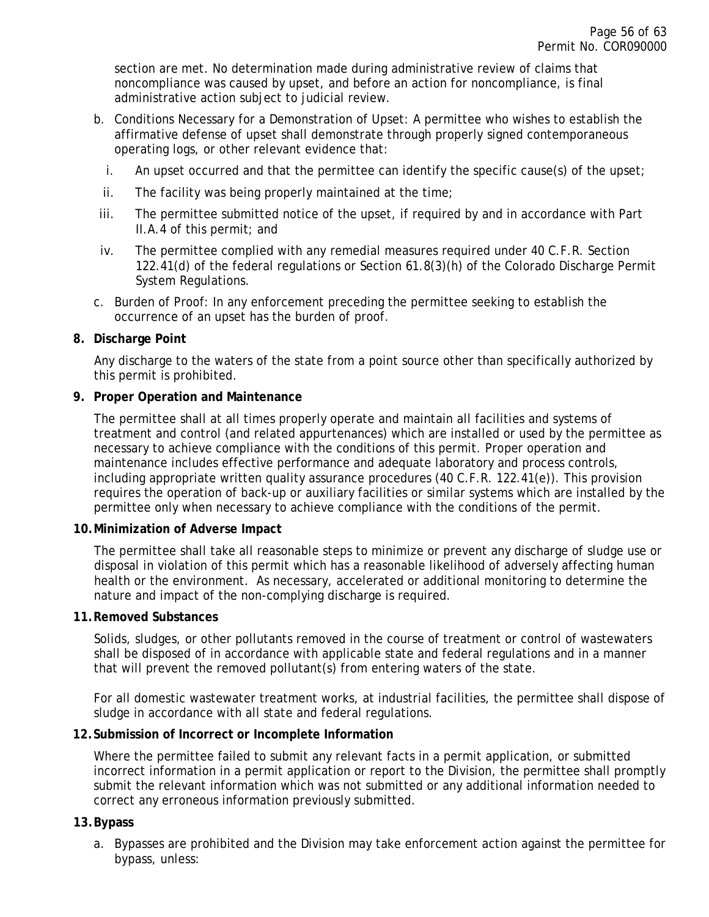section are met. No determination made during administrative review of claims that noncompliance was caused by upset, and before an action for noncompliance, is final administrative action subject to judicial review.

- b. Conditions Necessary for a Demonstration of Upset: A permittee who wishes to establish the affirmative defense of upset shall demonstrate through properly signed contemporaneous operating logs, or other relevant evidence that:
	- i. An upset occurred and that the permittee can identify the specific cause(s) of the upset;
	- ii. The facility was being properly maintained at the time;
- iii. The permittee submitted notice of the upset, if required by and in accordance with Part II.A.4 of this permit; and
- iv. The permittee complied with any remedial measures required under 40 C.F.R. Section 122.41(d) of the federal regulations or Section 61.8(3)(h) of the Colorado Discharge Permit System Regulations.
- c. Burden of Proof: In any enforcement preceding the permittee seeking to establish the occurrence of an upset has the burden of proof.

#### <span id="page-55-0"></span>**8. Discharge Point**

Any discharge to the waters of the state from a point source other than specifically authorized by this permit is prohibited.

#### <span id="page-55-1"></span>**9. Proper Operation and Maintenance**

The permittee shall at all times properly operate and maintain all facilities and systems of treatment and control (and related appurtenances) which are installed or used by the permittee as necessary to achieve compliance with the conditions of this permit. Proper operation and maintenance includes effective performance and adequate laboratory and process controls, including appropriate written quality assurance procedures (40 C.F.R. 122.41(e)). This provision requires the operation of back-up or auxiliary facilities or similar systems which are installed by the permittee only when necessary to achieve compliance with the conditions of the permit.

#### <span id="page-55-2"></span>**10.Minimization of Adverse Impact**

The permittee shall take all reasonable steps to minimize or prevent any discharge of sludge use or disposal in violation of this permit which has a reasonable likelihood of adversely affecting human health or the environment. As necessary, accelerated or additional monitoring to determine the nature and impact of the non-complying discharge is required.

#### <span id="page-55-3"></span>**11.Removed Substances**

Solids, sludges, or other pollutants removed in the course of treatment or control of wastewaters shall be disposed of in accordance with applicable state and federal regulations and in a manner that will prevent the removed pollutant(s) from entering waters of the state.

For all domestic wastewater treatment works, at industrial facilities, the permittee shall dispose of sludge in accordance with all state and federal regulations.

#### <span id="page-55-4"></span>**12.Submission of Incorrect or Incomplete Information**

Where the permittee failed to submit any relevant facts in a permit application, or submitted incorrect information in a permit application or report to the Division, the permittee shall promptly submit the relevant information which was not submitted or any additional information needed to correct any erroneous information previously submitted.

#### <span id="page-55-5"></span>**13.Bypass**

a. Bypasses are prohibited and the Division may take enforcement action against the permittee for bypass, unless: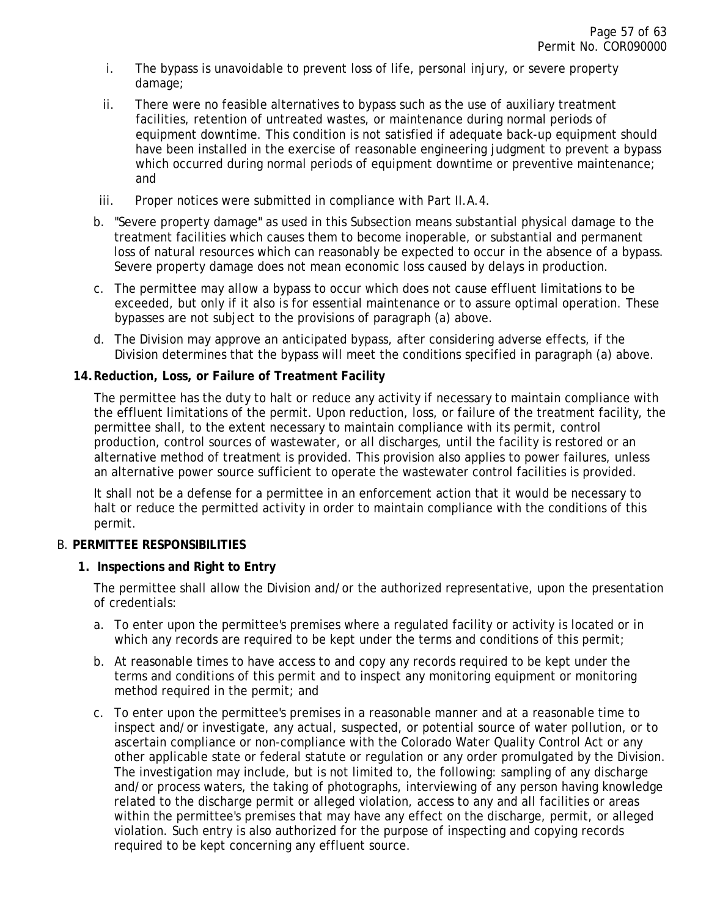- i. The bypass is unavoidable to prevent loss of life, personal injury, or severe property damage;
- ii. There were no feasible alternatives to bypass such as the use of auxiliary treatment facilities, retention of untreated wastes, or maintenance during normal periods of equipment downtime. This condition is not satisfied if adequate back-up equipment should have been installed in the exercise of reasonable engineering judgment to prevent a bypass which occurred during normal periods of equipment downtime or preventive maintenance; and
- iii. Proper notices were submitted in compliance with Part II.A.4.
- b. "Severe property damage" as used in this Subsection means substantial physical damage to the treatment facilities which causes them to become inoperable, or substantial and permanent loss of natural resources which can reasonably be expected to occur in the absence of a bypass. Severe property damage does not mean economic loss caused by delays in production.
- c. The permittee may allow a bypass to occur which does not cause effluent limitations to be exceeded, but only if it also is for essential maintenance or to assure optimal operation. These bypasses are not subject to the provisions of paragraph (a) above.
- d. The Division may approve an anticipated bypass, after considering adverse effects, if the Division determines that the bypass will meet the conditions specified in paragraph (a) above.

### <span id="page-56-0"></span>**14.Reduction, Loss, or Failure of Treatment Facility**

The permittee has the duty to halt or reduce any activity if necessary to maintain compliance with the effluent limitations of the permit. Upon reduction, loss, or failure of the treatment facility, the permittee shall, to the extent necessary to maintain compliance with its permit, control production, control sources of wastewater, or all discharges, until the facility is restored or an alternative method of treatment is provided. This provision also applies to power failures, unless an alternative power source sufficient to operate the wastewater control facilities is provided.

It shall not be a defense for a permittee in an enforcement action that it would be necessary to halt or reduce the permitted activity in order to maintain compliance with the conditions of this permit.

#### <span id="page-56-1"></span>B. **PERMITTEE RESPONSIBILITIES**

### <span id="page-56-2"></span>**1. Inspections and Right to Entry**

The permittee shall allow the Division and/or the authorized representative, upon the presentation of credentials:

- a. To enter upon the permittee's premises where a regulated facility or activity is located or in which any records are required to be kept under the terms and conditions of this permit;
- b. At reasonable times to have access to and copy any records required to be kept under the terms and conditions of this permit and to inspect any monitoring equipment or monitoring method required in the permit; and
- c. To enter upon the permittee's premises in a reasonable manner and at a reasonable time to inspect and/or investigate, any actual, suspected, or potential source of water pollution, or to ascertain compliance or non-compliance with the Colorado Water Quality Control Act or any other applicable state or federal statute or regulation or any order promulgated by the Division. The investigation may include, but is not limited to, the following: sampling of any discharge and/or process waters, the taking of photographs, interviewing of any person having knowledge related to the discharge permit or alleged violation, access to any and all facilities or areas within the permittee's premises that may have any effect on the discharge, permit, or alleged violation. Such entry is also authorized for the purpose of inspecting and copying records required to be kept concerning any effluent source.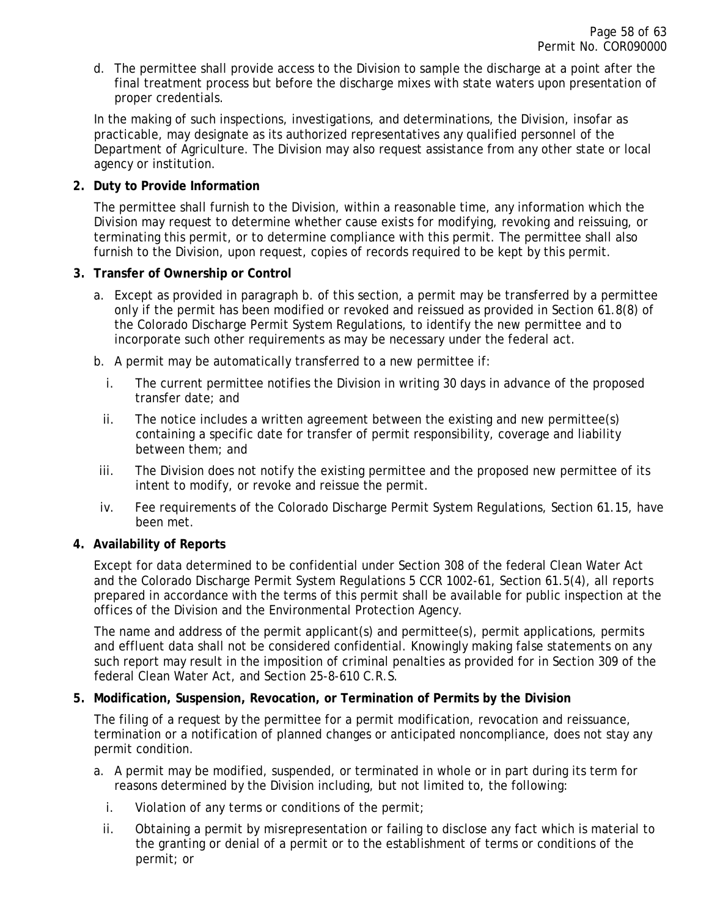d. The permittee shall provide access to the Division to sample the discharge at a point after the final treatment process but before the discharge mixes with state waters upon presentation of proper credentials.

In the making of such inspections, investigations, and determinations, the Division, insofar as practicable, may designate as its authorized representatives any qualified personnel of the Department of Agriculture. The Division may also request assistance from any other state or local agency or institution.

### <span id="page-57-0"></span>**2. Duty to Provide Information**

The permittee shall furnish to the Division, within a reasonable time, any information which the Division may request to determine whether cause exists for modifying, revoking and reissuing, or terminating this permit, or to determine compliance with this permit. The permittee shall also furnish to the Division, upon request, copies of records required to be kept by this permit.

### <span id="page-57-1"></span>**3. Transfer of Ownership or Control**

- a. Except as provided in paragraph b. of this section, a permit may be transferred by a permittee only if the permit has been modified or revoked and reissued as provided in Section 61.8(8) of the Colorado Discharge Permit System Regulations, to identify the new permittee and to incorporate such other requirements as may be necessary under the federal act.
- b. A permit may be automatically transferred to a new permittee if:
	- i. The current permittee notifies the Division in writing 30 days in advance of the proposed transfer date; and
	- ii. The notice includes a written agreement between the existing and new permittee(s) containing a specific date for transfer of permit responsibility, coverage and liability between them; and
- iii. The Division does not notify the existing permittee and the proposed new permittee of its intent to modify, or revoke and reissue the permit.
- iv. Fee requirements of the Colorado Discharge Permit System Regulations, Section 61.15, have been met.

### <span id="page-57-2"></span>**4. Availability of Reports**

Except for data determined to be confidential under Section 308 of the federal Clean Water Act and the Colorado Discharge Permit System Regulations 5 CCR 1002-61, Section 61.5(4), all reports prepared in accordance with the terms of this permit shall be available for public inspection at the offices of the Division and the Environmental Protection Agency.

The name and address of the permit applicant(s) and permittee(s), permit applications, permits and effluent data shall not be considered confidential. Knowingly making false statements on any such report may result in the imposition of criminal penalties as provided for in Section 309 of the federal Clean Water Act, and Section 25-8-610 C.R.S.

### <span id="page-57-3"></span>**5. Modification, Suspension, Revocation, or Termination of Permits by the Division**

The filing of a request by the permittee for a permit modification, revocation and reissuance, termination or a notification of planned changes or anticipated noncompliance, does not stay any permit condition.

- a. A permit may be modified, suspended, or terminated in whole or in part during its term for reasons determined by the Division including, but not limited to, the following:
	- i. Violation of any terms or conditions of the permit;
	- ii. Obtaining a permit by misrepresentation or failing to disclose any fact which is material to the granting or denial of a permit or to the establishment of terms or conditions of the permit; or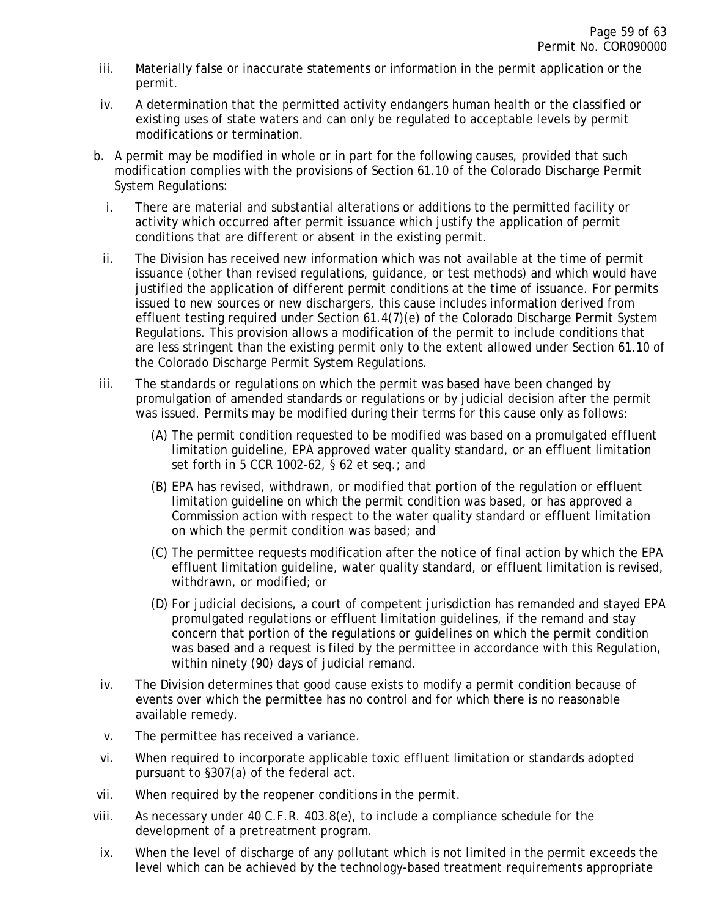- iii. Materially false or inaccurate statements or information in the permit application or the permit.
- iv. A determination that the permitted activity endangers human health or the classified or existing uses of state waters and can only be regulated to acceptable levels by permit modifications or termination.
- b. A permit may be modified in whole or in part for the following causes, provided that such modification complies with the provisions of Section 61.10 of the Colorado Discharge Permit System Regulations:
	- i. There are material and substantial alterations or additions to the permitted facility or activity which occurred after permit issuance which justify the application of permit conditions that are different or absent in the existing permit.
	- ii. The Division has received new information which was not available at the time of permit issuance (other than revised regulations, guidance, or test methods) and which would have justified the application of different permit conditions at the time of issuance. For permits issued to new sources or new dischargers, this cause includes information derived from effluent testing required under Section 61.4(7)(e) of the Colorado Discharge Permit System Regulations. This provision allows a modification of the permit to include conditions that are less stringent than the existing permit only to the extent allowed under Section 61.10 of the Colorado Discharge Permit System Regulations.
- iii. The standards or regulations on which the permit was based have been changed by promulgation of amended standards or regulations or by judicial decision after the permit was issued. Permits may be modified during their terms for this cause only as follows:
	- (A) The permit condition requested to be modified was based on a promulgated effluent limitation guideline, EPA approved water quality standard, or an effluent limitation set forth in 5 CCR 1002-62, § 62 et seq.; and
	- (B) EPA has revised, withdrawn, or modified that portion of the regulation or effluent limitation guideline on which the permit condition was based, or has approved a Commission action with respect to the water quality standard or effluent limitation on which the permit condition was based; and
	- (C) The permittee requests modification after the notice of final action by which the EPA effluent limitation guideline, water quality standard, or effluent limitation is revised, withdrawn, or modified; or
	- (D) For judicial decisions, a court of competent jurisdiction has remanded and stayed EPA promulgated regulations or effluent limitation guidelines, if the remand and stay concern that portion of the regulations or guidelines on which the permit condition was based and a request is filed by the permittee in accordance with this Regulation, within ninety (90) days of judicial remand.
- iv. The Division determines that good cause exists to modify a permit condition because of events over which the permittee has no control and for which there is no reasonable available remedy.
- v. The permittee has received a variance.
- vi. When required to incorporate applicable toxic effluent limitation or standards adopted pursuant to §307(a) of the federal act.
- vii. When required by the reopener conditions in the permit.
- viii. As necessary under 40 C.F.R. 403.8(e), to include a compliance schedule for the development of a pretreatment program.
- ix. When the level of discharge of any pollutant which is not limited in the permit exceeds the level which can be achieved by the technology-based treatment requirements appropriate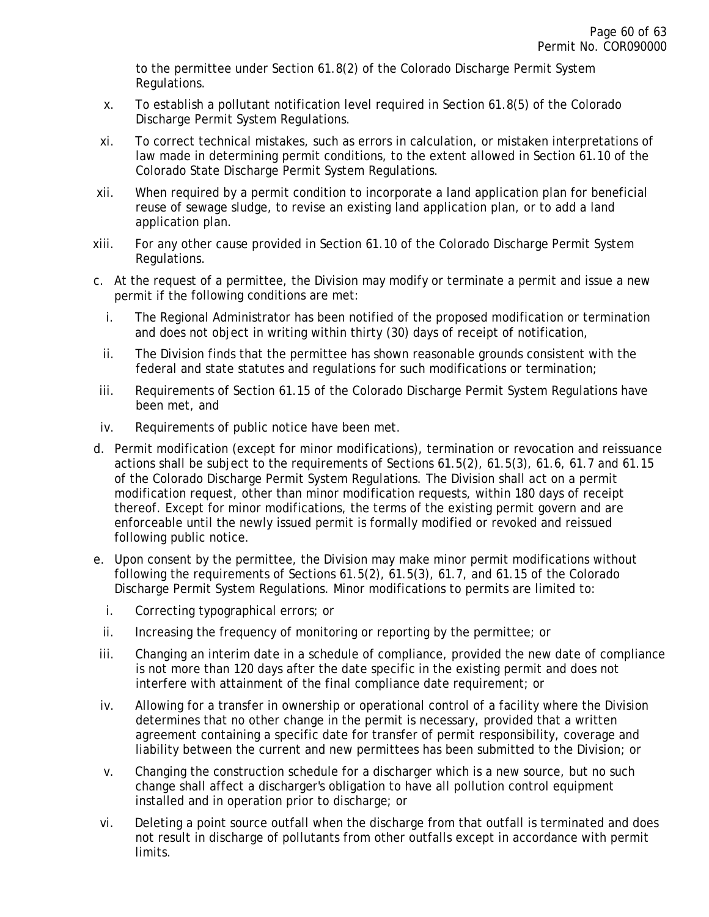to the permittee under Section 61.8(2) of the Colorado Discharge Permit System Regulations.

- x. To establish a pollutant notification level required in Section 61.8(5) of the Colorado Discharge Permit System Regulations.
- xi. To correct technical mistakes, such as errors in calculation, or mistaken interpretations of law made in determining permit conditions, to the extent allowed in Section 61.10 of the Colorado State Discharge Permit System Regulations.
- xii. When required by a permit condition to incorporate a land application plan for beneficial reuse of sewage sludge, to revise an existing land application plan, or to add a land application plan.
- xiii. For any other cause provided in Section 61.10 of the Colorado Discharge Permit System Regulations.
- c. At the request of a permittee, the Division may modify or terminate a permit and issue a new permit if the following conditions are met:
	- i. The Regional Administrator has been notified of the proposed modification or termination and does not object in writing within thirty (30) days of receipt of notification,
	- ii. The Division finds that the permittee has shown reasonable grounds consistent with the federal and state statutes and regulations for such modifications or termination;
- iii. Requirements of Section 61.15 of the Colorado Discharge Permit System Regulations have been met, and
- iv. Requirements of public notice have been met.
- d. Permit modification (except for minor modifications), termination or revocation and reissuance actions shall be subject to the requirements of Sections 61.5(2), 61.5(3), 61.6, 61.7 and 61.15 of the Colorado Discharge Permit System Regulations. The Division shall act on a permit modification request, other than minor modification requests, within 180 days of receipt thereof. Except for minor modifications, the terms of the existing permit govern and are enforceable until the newly issued permit is formally modified or revoked and reissued following public notice.
- e. Upon consent by the permittee, the Division may make minor permit modifications without following the requirements of Sections 61.5(2), 61.5(3), 61.7, and 61.15 of the Colorado Discharge Permit System Regulations. Minor modifications to permits are limited to:
	- i. Correcting typographical errors; or
	- ii. Increasing the frequency of monitoring or reporting by the permittee; or
- iii. Changing an interim date in a schedule of compliance, provided the new date of compliance is not more than 120 days after the date specific in the existing permit and does not interfere with attainment of the final compliance date requirement; or
- iv. Allowing for a transfer in ownership or operational control of a facility where the Division determines that no other change in the permit is necessary, provided that a written agreement containing a specific date for transfer of permit responsibility, coverage and liability between the current and new permittees has been submitted to the Division; or
- v. Changing the construction schedule for a discharger which is a new source, but no such change shall affect a discharger's obligation to have all pollution control equipment installed and in operation prior to discharge; or
- vi. Deleting a point source outfall when the discharge from that outfall is terminated and does not result in discharge of pollutants from other outfalls except in accordance with permit limits.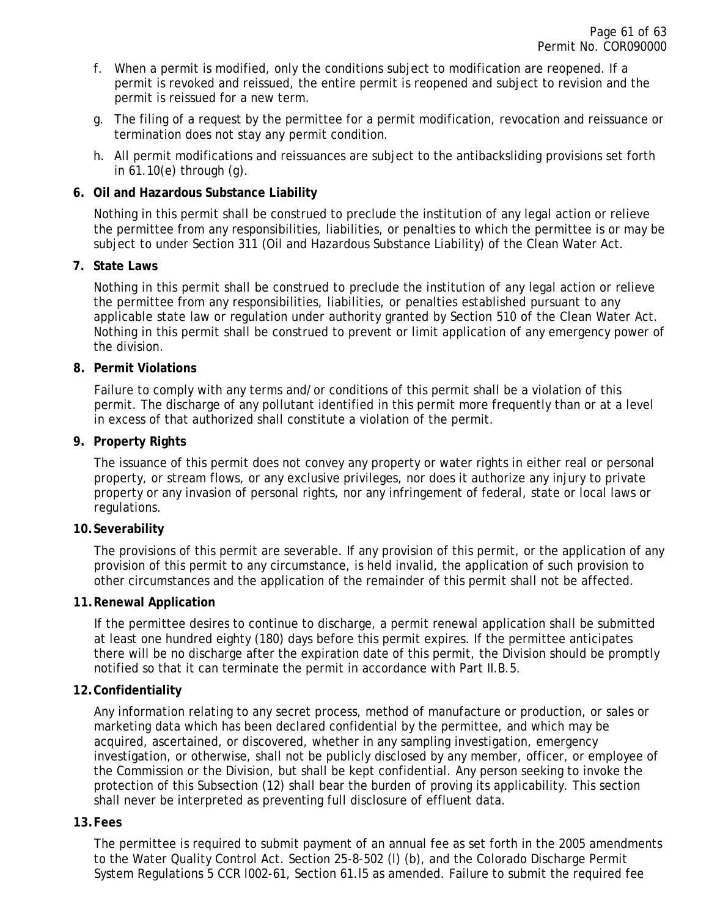- f. When a permit is modified, only the conditions subject to modification are reopened. If a permit is revoked and reissued, the entire permit is reopened and subject to revision and the permit is reissued for a new term.
- g. The filing of a request by the permittee for a permit modification, revocation and reissuance or termination does not stay any permit condition.
- h. All permit modifications and reissuances are subject to the antibacksliding provisions set forth in 61.10(e) through (g).

### <span id="page-60-0"></span>**6. Oil and Hazardous Substance Liability**

Nothing in this permit shall be construed to preclude the institution of any legal action or relieve the permittee from any responsibilities, liabilities, or penalties to which the permittee is or may be subject to under Section 311 (Oil and Hazardous Substance Liability) of the Clean Water Act.

### <span id="page-60-1"></span>**7. State Laws**

Nothing in this permit shall be construed to preclude the institution of any legal action or relieve the permittee from any responsibilities, liabilities, or penalties established pursuant to any applicable state law or regulation under authority granted by Section 510 of the Clean Water Act. Nothing in this permit shall be construed to prevent or limit application of any emergency power of the division.

### <span id="page-60-2"></span>**8. Permit Violations**

Failure to comply with any terms and/or conditions of this permit shall be a violation of this permit. The discharge of any pollutant identified in this permit more frequently than or at a level in excess of that authorized shall constitute a violation of the permit.

### <span id="page-60-3"></span>**9. Property Rights**

The issuance of this permit does not convey any property or water rights in either real or personal property, or stream flows, or any exclusive privileges, nor does it authorize any injury to private property or any invasion of personal rights, nor any infringement of federal, state or local laws or regulations.

#### <span id="page-60-4"></span>**10.Severability**

The provisions of this permit are severable. If any provision of this permit, or the application of any provision of this permit to any circumstance, is held invalid, the application of such provision to other circumstances and the application of the remainder of this permit shall not be affected.

#### <span id="page-60-5"></span>**11.Renewal Application**

If the permittee desires to continue to discharge, a permit renewal application shall be submitted at least one hundred eighty (180) days before this permit expires. If the permittee anticipates there will be no discharge after the expiration date of this permit, the Division should be promptly notified so that it can terminate the permit in accordance with Part II.B.5.

### <span id="page-60-6"></span>**12.Confidentiality**

Any information relating to any secret process, method of manufacture or production, or sales or marketing data which has been declared confidential by the permittee, and which may be acquired, ascertained, or discovered, whether in any sampling investigation, emergency investigation, or otherwise, shall not be publicly disclosed by any member, officer, or employee of the Commission or the Division, but shall be kept confidential. Any person seeking to invoke the protection of this Subsection (12) shall bear the burden of proving its applicability. This section shall never be interpreted as preventing full disclosure of effluent data.

#### <span id="page-60-7"></span>**13.Fees**

The permittee is required to submit payment of an annual fee as set forth in the 2005 amendments to the Water Quality Control Act. Section 25-8-502 (l) (b), and the Colorado Discharge Permit System Regulations 5 CCR l002-61, Section 61.l5 as amended. Failure to submit the required fee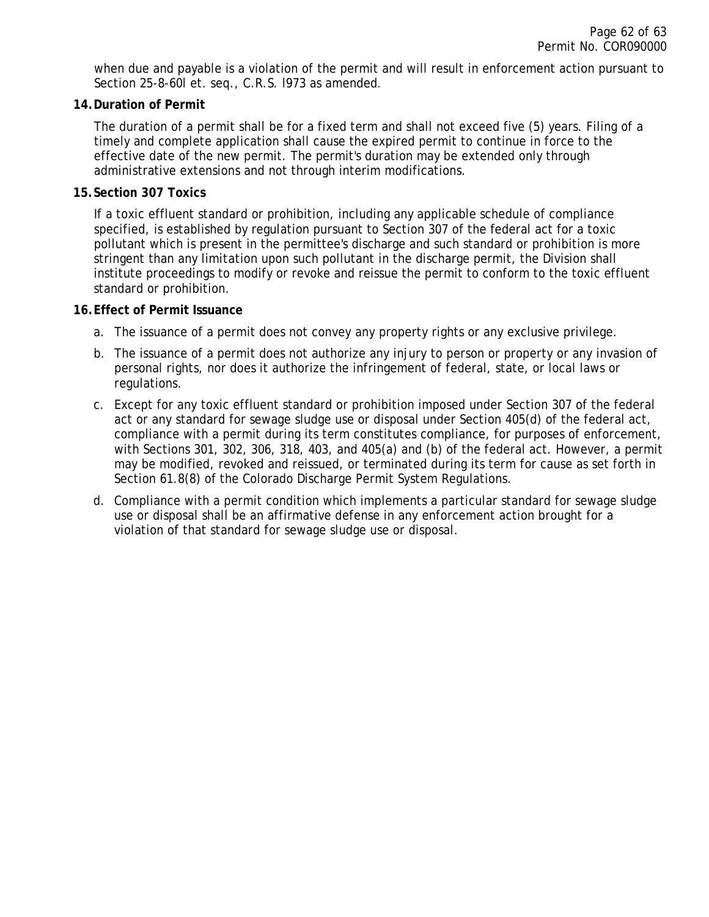when due and payable is a violation of the permit and will result in enforcement action pursuant to Section 25-8-60l et. seq., C.R.S. l973 as amended.

#### <span id="page-61-0"></span>**14.Duration of Permit**

The duration of a permit shall be for a fixed term and shall not exceed five (5) years. Filing of a timely and complete application shall cause the expired permit to continue in force to the effective date of the new permit. The permit's duration may be extended only through administrative extensions and not through interim modifications.

### <span id="page-61-1"></span>**15.Section 307 Toxics**

If a toxic effluent standard or prohibition, including any applicable schedule of compliance specified, is established by regulation pursuant to Section 307 of the federal act for a toxic pollutant which is present in the permittee's discharge and such standard or prohibition is more stringent than any limitation upon such pollutant in the discharge permit, the Division shall institute proceedings to modify or revoke and reissue the permit to conform to the toxic effluent standard or prohibition.

### <span id="page-61-2"></span>**16.Effect of Permit Issuance**

- a. The issuance of a permit does not convey any property rights or any exclusive privilege.
- b. The issuance of a permit does not authorize any injury to person or property or any invasion of personal rights, nor does it authorize the infringement of federal, state, or local laws or regulations.
- c. Except for any toxic effluent standard or prohibition imposed under Section 307 of the federal act or any standard for sewage sludge use or disposal under Section 405(d) of the federal act, compliance with a permit during its term constitutes compliance, for purposes of enforcement, with Sections 301, 302, 306, 318, 403, and 405(a) and (b) of the federal act. However, a permit may be modified, revoked and reissued, or terminated during its term for cause as set forth in Section 61.8(8) of the Colorado Discharge Permit System Regulations.
- d. Compliance with a permit condition which implements a particular standard for sewage sludge use or disposal shall be an affirmative defense in any enforcement action brought for a violation of that standard for sewage sludge use or disposal.